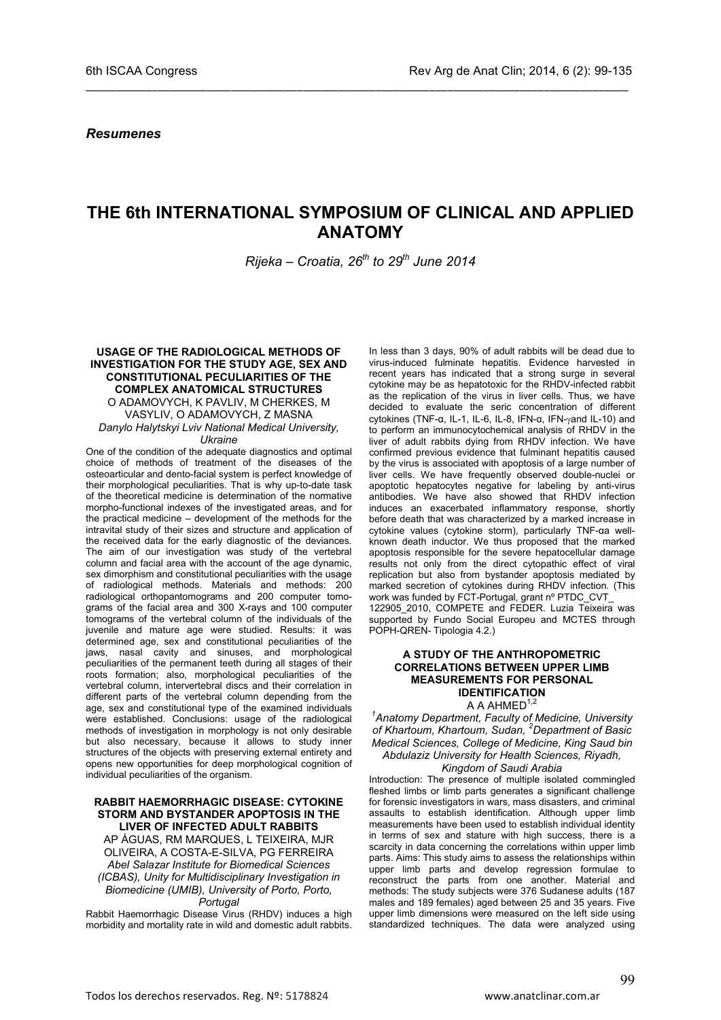*Resumenes*

# **THE 6th INTERNATIONAL SYMPOSIUM OF CLINICAL AND APPLIED ANATOMY**

\_\_\_\_\_\_\_\_\_\_\_\_\_\_\_\_\_\_\_\_\_\_\_\_\_\_\_\_\_\_\_\_\_\_\_\_\_\_\_\_\_\_\_\_\_\_\_\_\_\_\_\_\_\_\_\_\_\_\_\_\_\_\_\_\_\_\_\_\_\_\_\_\_\_\_\_\_\_\_\_\_\_\_\_\_\_\_\_\_\_

*Rijeka – Croatia, 26th to 29th June 2014*

#### **USAGE OF THE RADIOLOGICAL METHODS OF INVESTIGATION FOR THE STUDY AGE, SEX AND CONSTITUTIONAL PECULIARITIES OF THE COMPLEX ANATOMICAL STRUCTURES** O ADAMOVYCH, K PAVLIV, M CHERKES, M VASYLIV, O ADAMOVYCH, Z MASNA

*Danylo Halytskyi Lviv National Medical University, Ukraine*

One of the condition of the adequate diagnostics and optimal choice of methods of treatment of the diseases of the osteoarticular and dento-facial system is perfect knowledge of their morphological peculiarities. That is why up-to-date task of the theoretical medicine is determination of the normative morpho-functional indexes of the investigated areas, and for the practical medicine – development of the methods for the intravital study of their sizes and structure and application of the received data for the early diagnostic of the deviances. The aim of our investigation was study of the vertebral column and facial area with the account of the age dynamic, sex dimorphism and constitutional peculiarities with the usage of radiological methods. Materials and methods: 200 radiological orthopantomograms and 200 computer tomograms of the facial area and 300 X-rays and 100 computer tomograms of the vertebral column of the individuals of the juvenile and mature age were studied. Results: it was determined age, sex and constitutional peculiarities of the jaws, nasal cavity and sinuses, and morphological peculiarities of the permanent teeth during all stages of their roots formation; also, morphological peculiarities of the vertebral column, intervertebral discs and their correlation in different parts of the vertebral column depending from the age, sex and constitutional type of the examined individuals were established. Conclusions: usage of the radiological methods of investigation in morphology is not only desirable but also necessary, because it allows to study inner structures of the objects with preserving external entirety and opens new opportunities for deep morphological cognition of individual peculiarities of the organism.

#### **RABBIT HAEMORRHAGIC DISEASE: CYTOKINE STORM AND BYSTANDER APOPTOSIS IN THE LIVER OF INFECTED ADULT RABBITS**

AP ÁGUAS, RM MARQUES, L TEIXEIRA, MJR OLIVEIRA, A COSTA-E-SILVA, PG FERREIRA *Abel Salazar Institute for Biomedical Sciences (ICBAS), Unity for Multidisciplinary Investigation in Biomedicine (UMIB), University of Porto, Porto, Portugal*

Rabbit Haemorrhagic Disease Virus (RHDV) induces a high morbidity and mortality rate in wild and domestic adult rabbits. In less than 3 days, 90% of adult rabbits will be dead due to virus-induced fulminate hepatitis. Evidence harvested in recent years has indicated that a strong surge in several cytokine may be as hepatotoxic for the RHDV-infected rabbit as the replication of the virus in liver cells. Thus, we have decided to evaluate the seric concentration of different cytokines (TNF-α, IL-1, IL-6, IL-8, IFN-α, IFN-γand IL-10) and to perform an immunocytochemical analysis of RHDV in the liver of adult rabbits dying from RHDV infection. We have confirmed previous evidence that fulminant hepatitis caused by the virus is associated with apoptosis of a large number of liver cells. We have frequently observed double-nuclei or apoptotic hepatocytes negative for labeling by anti-virus antibodies. We have also showed that RHDV infection induces an exacerbated inflammatory response, shortly before death that was characterized by a marked increase in cytokine values (cytokine storm), particularly TNF-αa wellknown death inductor. We thus proposed that the marked apoptosis responsible for the severe hepatocellular damage results not only from the direct cytopathic effect of viral replication but also from bystander apoptosis mediated by marked secretion of cytokines during RHDV infection. (This work was funded by FCT-Portugal, grant nº PTDC\_CVT 122905 2010, COMPETE and FEDER. Luzia Teixeira was supported by Fundo Social Europeu and MCTES through

#### **A STUDY OF THE ANTHROPOMETRIC CORRELATIONS BETWEEN UPPER LIMB MEASUREMENTS FOR PERSONAL IDENTIFICATION** A A AHMED $1,2$

POPH-QREN- Tipologia 4.2.)

*1 Anatomy Department, Faculty of Medicine, University of Khartoum, Khartoum, Sudan, <sup>2</sup> Department of Basic Medical Sciences, College of Medicine, King Saud bin* 

# *Abdulaziz University for Health Sciences, Riyadh,*

### *Kingdom of Saudi Arabia*

Introduction: The presence of multiple isolated commingled fleshed limbs or limb parts generates a significant challenge for forensic investigators in wars, mass disasters, and criminal assaults to establish identification. Although upper limb measurements have been used to establish individual identity in terms of sex and stature with high success, there is a scarcity in data concerning the correlations within upper limb parts. Aims: This study aims to assess the relationships within upper limb parts and develop regression formulae to reconstruct the parts from one another. Material and methods: The study subjects were 376 Sudanese adults (187 males and 189 females) aged between 25 and 35 years. Five upper limb dimensions were measured on the left side using standardized techniques. The data were analyzed using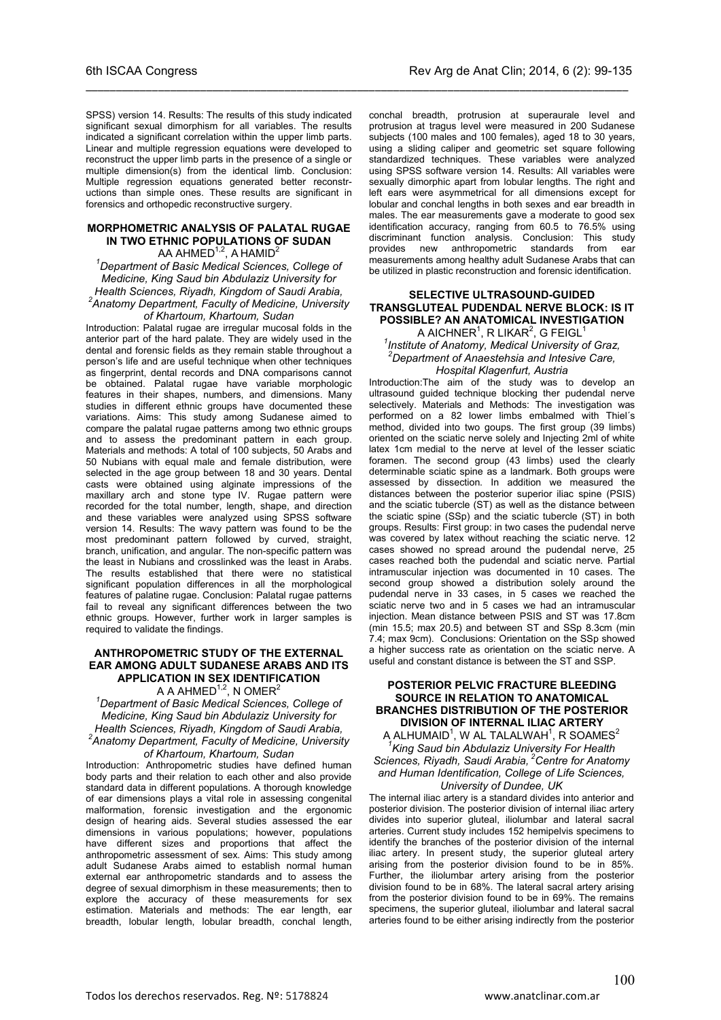SPSS) version 14. Results: The results of this study indicated significant sexual dimorphism for all variables. The results indicated a significant correlation within the upper limb parts. Linear and multiple regression equations were developed to reconstruct the upper limb parts in the presence of a single or multiple dimension(s) from the identical limb. Conclusion: Multiple regression equations generated better reconstructions than simple ones. These results are significant in forensics and orthopedic reconstructive surgery.

\_\_\_\_\_\_\_\_\_\_\_\_\_\_\_\_\_\_\_\_\_\_\_\_\_\_\_\_\_\_\_\_\_\_\_\_\_\_\_\_\_\_\_\_\_\_\_\_\_\_\_\_\_\_\_\_\_\_\_\_\_\_\_\_\_\_\_\_\_\_\_\_\_\_\_\_\_\_\_\_\_\_\_\_\_\_\_\_\_\_

### **MORPHOMETRIC ANALYSIS OF PALATAL RUGAE IN TWO ETHNIC POPULATIONS OF SUDAN**

AA AHMED<sup>1,2</sup>, A HAMID<sup>2</sup>

*1 Department of Basic Medical Sciences, College of Medicine, King Saud bin Abdulaziz University for Health Sciences, Riyadh, Kingdom of Saudi Arabia, 2 Anatomy Department, Faculty of Medicine, University* 

#### *of Khartoum, Khartoum, Sudan*

Introduction: Palatal rugae are irregular mucosal folds in the anterior part of the hard palate. They are widely used in the dental and forensic fields as they remain stable throughout a person's life and are useful technique when other techniques as fingerprint, dental records and DNA comparisons cannot be obtained. Palatal rugae have variable morphologic features in their shapes, numbers, and dimensions. Many studies in different ethnic groups have documented these variations. Aims: This study among Sudanese aimed to compare the palatal rugae patterns among two ethnic groups and to assess the predominant pattern in each group. Materials and methods: A total of 100 subjects, 50 Arabs and 50 Nubians with equal male and female distribution, were selected in the age group between 18 and 30 years. Dental casts were obtained using alginate impressions of the maxillary arch and stone type IV. Rugae pattern were recorded for the total number, length, shape, and direction and these variables were analyzed using SPSS software version 14. Results: The wavy pattern was found to be the most predominant pattern followed by curved, straight, branch, unification, and angular. The non-specific pattern was the least in Nubians and crosslinked was the least in Arabs. The results established that there were no statistical significant population differences in all the morphological features of palatine rugae. Conclusion: Palatal rugae patterns fail to reveal any significant differences between the two ethnic groups. However, further work in larger samples is required to validate the findings.

#### **ANTHROPOMETRIC STUDY OF THE EXTERNAL EAR AMONG ADULT SUDANESE ARABS AND ITS APPLICATION IN SEX IDENTIFICATION** A A AHMED<sup>1,2</sup>, N OMER<sup>2</sup>

*1 Department of Basic Medical Sciences, College of Medicine, King Saud bin Abdulaziz University for Health Sciences, Riyadh, Kingdom of Saudi Arabia, 2 Anatomy Department, Faculty of Medicine, University of Khartoum, Khartoum, Sudan*

Introduction: Anthropometric studies have defined human body parts and their relation to each other and also provide standard data in different populations. A thorough knowledge of ear dimensions plays a vital role in assessing congenital malformation, forensic investigation and the ergonomic design of hearing aids. Several studies assessed the ear dimensions in various populations; however, populations have different sizes and proportions that affect the anthropometric assessment of sex. Aims: This study among adult Sudanese Arabs aimed to establish normal human external ear anthropometric standards and to assess the degree of sexual dimorphism in these measurements; then to explore the accuracy of these measurements for sex estimation. Materials and methods: The ear length, ear breadth, lobular length, lobular breadth, conchal length,

conchal breadth, protrusion at superaurale level and protrusion at tragus level were measured in 200 Sudanese subjects (100 males and 100 females), aged 18 to 30 years, using a sliding caliper and geometric set square following standardized techniques. These variables were analyzed using SPSS software version 14. Results: All variables were sexually dimorphic apart from lobular lengths. The right and left ears were asymmetrical for all dimensions except for lobular and conchal lengths in both sexes and ear breadth in males. The ear measurements gave a moderate to good sex identification accuracy, ranging from 60.5 to 76.5% using discriminant function analysis. Conclusion: This study provides new anthropometric measurements among healthy adult Sudanese Arabs that can be utilized in plastic reconstruction and forensic identification.

#### **SELECTIVE ULTRASOUND-GUIDED TRANSGLUTEAL PUDENDAL NERVE BLOCK: IS IT POSSIBLE? AN ANATOMICAL INVESTIGATION** A AICHNER $^1$ , R LIKAR $^2$ , G FEIGL $^1$

*1 Institute of Anatomy, Medical University of Graz, 2 Department of Anaestehsia and Intesive Care, Hospital Klagenfurt, Austria*

Introduction:The aim of the study was to develop an ultrasound guided technique blocking ther pudendal nerve selectively. Materials and Methods: The investigation was performed on a 82 lower limbs embalmed with Thiel´s method, divided into two goups. The first group (39 limbs) oriented on the sciatic nerve solely and Injecting 2ml of white latex 1cm medial to the nerve at level of the lesser sciatic foramen. The second group (43 limbs) used the clearly determinable sciatic spine as a landmark. Both groups were assessed by dissection. In addition we measured the distances between the posterior superior iliac spine (PSIS) and the sciatic tubercle (ST) as well as the distance between the sciatic spine (SSp) and the sciatic tubercle (ST) in both groups. Results: First group: in two cases the pudendal nerve was covered by latex without reaching the sciatic nerve. 12 cases showed no spread around the pudendal nerve, 25 cases reached both the pudendal and sciatic nerve. Partial intramuscular injection was documented in 10 cases. The second group showed a distribution solely around the pudendal nerve in 33 cases, in 5 cases we reached the sciatic nerve two and in 5 cases we had an intramuscular injection. Mean distance between PSIS and ST was 17.8cm (min 15.5; max 20.5) and between ST and SSp 8.3cm (min 7.4; max 9cm). Conclusions: Orientation on the SSp showed a higher success rate as orientation on the sciatic nerve. A useful and constant distance is between the ST and SSP.

#### **POSTERIOR PELVIC FRACTURE BLEEDING SOURCE IN RELATION TO ANATOMICAL BRANCHES DISTRIBUTION OF THE POSTERIOR DIVISION OF INTERNAL ILIAC ARTERY**

A ALHUMAID $^{\rm 1}$ , w al talalwah $^{\rm 1}$ , r soames $^{\rm 2}$ *1 King Saud bin Abdulaziz University For Health Sciences, Riyadh, Saudi Arabia, 2Centre for Anatomy and Human Identification, College of Life Sciences, University of Dundee, UK*

The internal iliac artery is a standard divides into anterior and posterior division. The posterior division of internal iliac artery divides into superior gluteal, iliolumbar and lateral sacral arteries. Current study includes 152 hemipelvis specimens to identify the branches of the posterior division of the internal iliac artery. In present study, the superior gluteal artery arising from the posterior division found to be in 85%. Further, the iliolumbar artery arising from the posterior division found to be in 68%. The lateral sacral artery arising from the posterior division found to be in 69%. The remains specimens, the superior gluteal, iliolumbar and lateral sacral arteries found to be either arising indirectly from the posterior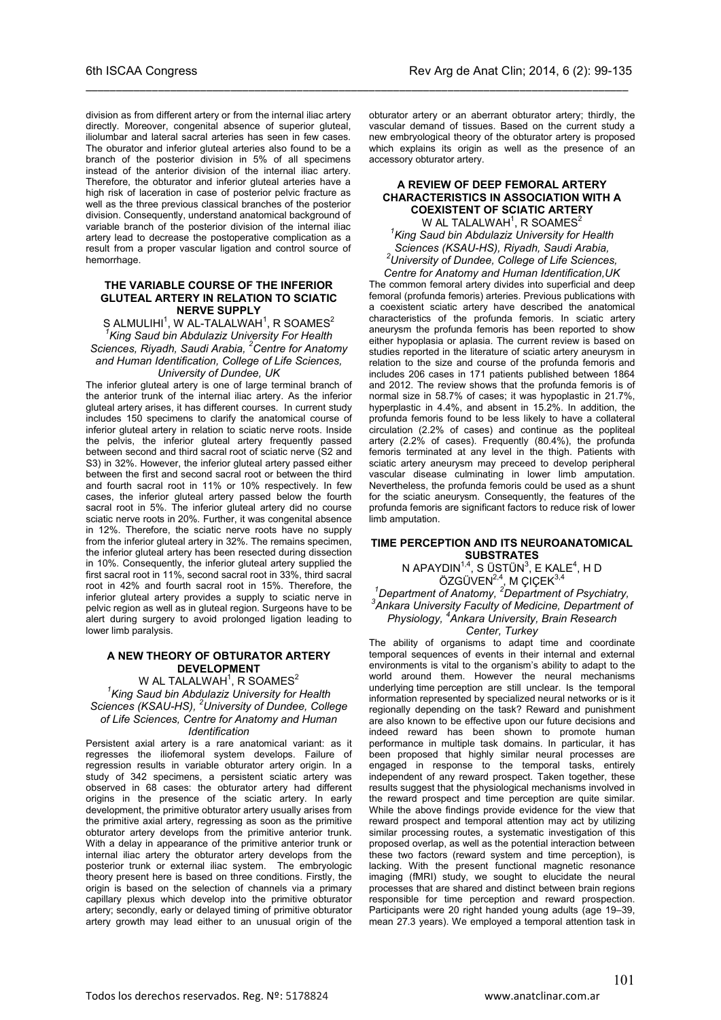division as from different artery or from the internal iliac artery directly. Moreover, congenital absence of superior gluteal, iliolumbar and lateral sacral arteries has seen in few cases. The oburator and inferior gluteal arteries also found to be a branch of the posterior division in 5% of all specimens instead of the anterior division of the internal iliac artery. Therefore, the obturator and inferior gluteal arteries have a high risk of laceration in case of posterior pelvic fracture as well as the three previous classical branches of the posterior division. Consequently, understand anatomical background of variable branch of the posterior division of the internal iliac artery lead to decrease the postoperative complication as a result from a proper vascular ligation and control source of hemorrhage.

\_\_\_\_\_\_\_\_\_\_\_\_\_\_\_\_\_\_\_\_\_\_\_\_\_\_\_\_\_\_\_\_\_\_\_\_\_\_\_\_\_\_\_\_\_\_\_\_\_\_\_\_\_\_\_\_\_\_\_\_\_\_\_\_\_\_\_\_\_\_\_\_\_\_\_\_\_\_\_\_\_\_\_\_\_\_\_\_\_\_

#### **THE VARIABLE COURSE OF THE INFERIOR GLUTEAL ARTERY IN RELATION TO SCIATIC NERVE SUPPLY**

 $\,$ S ALMULIHI $^1$ , W AL-TALALWAH $^1$ , R SOAMES $^2$ *1 King Saud bin Abdulaziz University For Health Sciences, Riyadh, Saudi Arabia, <sup>2</sup> Centre for Anatomy and Human Identification, College of Life Sciences, University of Dundee, UK*

The inferior gluteal artery is one of large terminal branch of the anterior trunk of the internal iliac artery. As the inferior gluteal artery arises, it has different courses. In current study includes 150 specimens to clarify the anatomical course of inferior gluteal artery in relation to sciatic nerve roots. Inside the pelvis, the inferior gluteal artery frequently passed between second and third sacral root of sciatic nerve (S2 and S3) in 32%. However, the inferior gluteal artery passed either between the first and second sacral root or between the third and fourth sacral root in 11% or 10% respectively. In few cases, the inferior gluteal artery passed below the fourth sacral root in 5%. The inferior gluteal artery did no course sciatic nerve roots in 20%. Further, it was congenital absence in 12%. Therefore, the sciatic nerve roots have no supply from the inferior gluteal artery in 32%. The remains specimen, the inferior gluteal artery has been resected during dissection in 10%. Consequently, the inferior gluteal artery supplied the first sacral root in 11%, second sacral root in 33%, third sacral root in 42% and fourth sacral root in 15%. Therefore, the inferior gluteal artery provides a supply to sciatic nerve in pelvic region as well as in gluteal region. Surgeons have to be alert during surgery to avoid prolonged ligation leading to lower limb paralysis.

#### **A NEW THEORY OF OBTURATOR ARTERY DEVELOPMENT**

W AL TALALWAH $^{\rm 1}$ , R SOAMES $^{\rm 2}$ *1 King Saud bin Abdulaziz University for Health Sciences (KSAU-HS), <sup>2</sup> University of Dundee, College of Life Sciences, Centre for Anatomy and Human Identification*

Persistent axial artery is a rare anatomical variant: as it regresses the iliofemoral system develops. Failure of regression results in variable obturator artery origin. In a study of 342 specimens, a persistent sciatic artery was observed in 68 cases: the obturator artery had different origins in the presence of the sciatic artery. In early development, the primitive obturator artery usually arises from the primitive axial artery, regressing as soon as the primitive obturator artery develops from the primitive anterior trunk. With a delay in appearance of the primitive anterior trunk or internal iliac artery the obturator artery develops from the posterior trunk or external iliac system. The embryologic theory present here is based on three conditions. Firstly, the origin is based on the selection of channels via a primary capillary plexus which develop into the primitive obturator artery; secondly, early or delayed timing of primitive obturator artery growth may lead either to an unusual origin of the

obturator artery or an aberrant obturator artery; thirdly, the vascular demand of tissues. Based on the current study a new embryological theory of the obturator artery is proposed which explains its origin as well as the presence of an accessory obturator artery.

#### **A REVIEW OF DEEP FEMORAL ARTERY CHARACTERISTICS IN ASSOCIATION WITH A COEXISTENT OF SCIATIC ARTERY** W AL TALALWAH<sup>1</sup>, R SOAMES<sup>2</sup>

*1 King Saud bin Abdulaziz University for Health Sciences (KSAU-HS), Riyadh, Saudi Arabia, <sup>2</sup> University of Dundee, College of Life Sciences, Centre for Anatomy and Human Identification,UK*

The common femoral artery divides into superficial and deep femoral (profunda femoris) arteries. Previous publications with a coexistent sciatic artery have described the anatomical characteristics of the profunda femoris. In sciatic artery aneurysm the profunda femoris has been reported to show either hypoplasia or aplasia. The current review is based on studies reported in the literature of sciatic artery aneurysm in relation to the size and course of the profunda femoris and includes 206 cases in 171 patients published between 1864 and 2012. The review shows that the profunda femoris is of normal size in 58.7% of cases; it was hypoplastic in 21.7%, hyperplastic in 4.4%, and absent in 15.2%. In addition, the profunda femoris found to be less likely to have a collateral circulation (2.2% of cases) and continue as the popliteal artery (2.2% of cases). Frequently (80.4%), the profunda femoris terminated at any level in the thigh. Patients with sciatic artery aneurysm may preceed to develop peripheral vascular disease culminating in lower limb amputation. Nevertheless, the profunda femoris could be used as a shunt for the sciatic aneurysm. Consequently, the features of the profunda femoris are significant factors to reduce risk of lower limb amputation.

#### **TIME PERCEPTION AND ITS NEUROANATOMICAL SUBSTRATES**

N APAYDIN<sup>1,4</sup>, S ÜSTÜN<sup>3</sup>, E KALE<sup>4</sup>, H D  $OZ$ GÜVEN<sup>2,4</sup>, M ÇIÇEK<sup>3,4</sup>

*1 Department of Anatomy, <sup>2</sup> Department of Psychiatry, 3 Ankara University Faculty of Medicine, Department of Physiology, <sup>4</sup> Ankara University, Brain Research Center, Turkey*

#### The ability of organisms to adapt time and coordinate temporal sequences of events in their internal and external environments is vital to the organism's ability to adapt to the world around them. However the neural mechanisms underlying time perception are still unclear. Is the temporal information represented by specialized neural networks or is it regionally depending on the task? Reward and punishment are also known to be effective upon our future decisions and indeed reward has been shown to promote human performance in multiple task domains. In particular, it has been proposed that highly similar neural processes are engaged in response to the temporal tasks, entirely independent of any reward prospect. Taken together, these results suggest that the physiological mechanisms involved in the reward prospect and time perception are quite similar. While the above findings provide evidence for the view that reward prospect and temporal attention may act by utilizing similar processing routes, a systematic investigation of this proposed overlap, as well as the potential interaction between these two factors (reward system and time perception), is lacking. With the present functional magnetic resonance imaging (fMRI) study, we sought to elucidate the neural processes that are shared and distinct between brain regions responsible for time perception and reward prospection. Participants were 20 right handed young adults (age 19–39, mean 27.3 years). We employed a temporal attention task in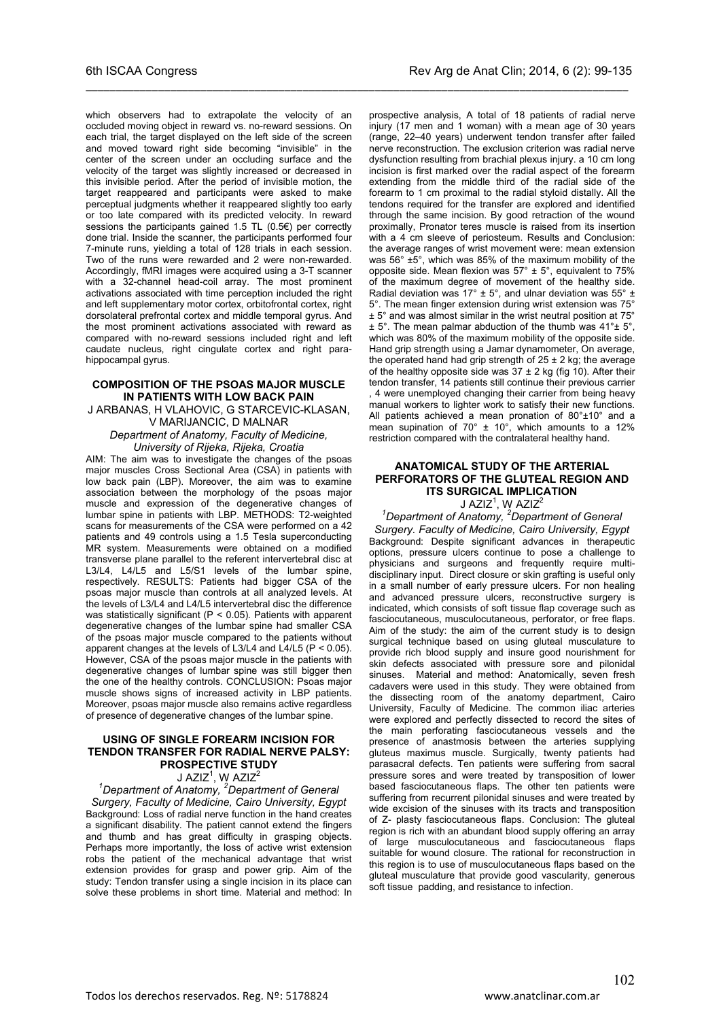which observers had to extrapolate the velocity of an occluded moving object in reward vs. no-reward sessions. On each trial, the target displayed on the left side of the screen and moved toward right side becoming "invisible" in the center of the screen under an occluding surface and the velocity of the target was slightly increased or decreased in this invisible period. After the period of invisible motion, the target reappeared and participants were asked to make perceptual judgments whether it reappeared slightly too early or too late compared with its predicted velocity. In reward sessions the participants gained 1.5 TL (0.5€) per correctly done trial. Inside the scanner, the participants performed four 7-minute runs, yielding a total of 128 trials in each session. Two of the runs were rewarded and 2 were non-rewarded. Accordingly, fMRI images were acquired using a 3-T scanner with a 32-channel head-coil array. The most prominent activations associated with time perception included the right and left supplementary motor cortex, orbitofrontal cortex, right dorsolateral prefrontal cortex and middle temporal gyrus. And the most prominent activations associated with reward as compared with no-reward sessions included right and left caudate nucleus, right cingulate cortex and right parahippocampal gyrus.

\_\_\_\_\_\_\_\_\_\_\_\_\_\_\_\_\_\_\_\_\_\_\_\_\_\_\_\_\_\_\_\_\_\_\_\_\_\_\_\_\_\_\_\_\_\_\_\_\_\_\_\_\_\_\_\_\_\_\_\_\_\_\_\_\_\_\_\_\_\_\_\_\_\_\_\_\_\_\_\_\_\_\_\_\_\_\_\_\_\_

### **COMPOSITION OF THE PSOAS MAJOR MUSCLE IN PATIENTS WITH LOW BACK PAIN**

J ARBANAS, H VLAHOVIC, G STARCEVIC-KLASAN, V MARIJANCIC, D MALNAR

*Department of Anatomy, Faculty of Medicine, University of Rijeka, Rijeka, Croatia*

AIM: The aim was to investigate the changes of the psoas major muscles Cross Sectional Area (CSA) in patients with low back pain (LBP). Moreover, the aim was to examine association between the morphology of the psoas major muscle and expression of the degenerative changes of lumbar spine in patients with LBP. METHODS: T2-weighted scans for measurements of the CSA were performed on a 42 patients and 49 controls using a 1.5 Tesla superconducting MR system. Measurements were obtained on a modified transverse plane parallel to the referent intervertebral disc at L3/L4, L4/L5 and L5/S1 levels of the lumbar spine, respectively. RESULTS: Patients had bigger CSA of the psoas major muscle than controls at all analyzed levels. At the levels of L3/L4 and L4/L5 intervertebral disc the difference was statistically significant ( $P < 0.05$ ). Patients with apparent degenerative changes of the lumbar spine had smaller CSA of the psoas major muscle compared to the patients without apparent changes at the levels of L3/L4 and L4/L5 (P < 0.05). However, CSA of the psoas major muscle in the patients with degenerative changes of lumbar spine was still bigger then the one of the healthy controls. CONCLUSION: Psoas major muscle shows signs of increased activity in LBP patients. Moreover, psoas major muscle also remains active regardless of presence of degenerative changes of the lumbar spine.

### **USING OF SINGLE FOREARM INCISION FOR TENDON TRANSFER FOR RADIAL NERVE PALSY: PROSPECTIVE STUDY**

J AZIZ<sup>1</sup>, W AZIZ $^2$ 

*1 Department of Anatomy, <sup>2</sup> Department of General Surgery, Faculty of Medicine, Cairo University, Egypt* Background: Loss of radial nerve function in the hand creates a significant disability. The patient cannot extend the fingers and thumb and has great difficulty in grasping objects. Perhaps more importantly, the loss of active wrist extension robs the patient of the mechanical advantage that wrist extension provides for grasp and power grip. Aim of the study: Tendon transfer using a single incision in its place can solve these problems in short time. Material and method: In

prospective analysis, A total of 18 patients of radial nerve injury (17 men and 1 woman) with a mean age of 30 years (range, 22–40 years) underwent tendon transfer after failed nerve reconstruction. The exclusion criterion was radial nerve dysfunction resulting from brachial plexus injury. a 10 cm long incision is first marked over the radial aspect of the forearm extending from the middle third of the radial side of the forearm to 1 cm proximal to the radial styloid distally. All the tendons required for the transfer are explored and identified through the same incision. By good retraction of the wound proximally, Pronator teres muscle is raised from its insertion with a 4 cm sleeve of periosteum. Results and Conclusion: the average ranges of wrist movement were: mean extension was 56° ±5°, which was 85% of the maximum mobility of the opposite side. Mean flexion was  $57^{\circ}$  ±  $5^{\circ}$ , equivalent to 75% of the maximum degree of movement of the healthy side. Radial deviation was 17°  $\pm$  5°, and ulnar deviation was 55°  $\pm$ 5°. The mean finger extension during wrist extension was 75° ± 5° and was almost similar in the wrist neutral position at 75°  $\pm$  5°. The mean palmar abduction of the thumb was 41° $\pm$  5°. which was 80% of the maximum mobility of the opposite side. Hand grip strength using a Jamar dynamometer, On average, the operated hand had grip strength of  $25 \pm 2$  kg; the average of the healthy opposite side was  $37 \pm 2$  kg (fig 10). After their tendon transfer, 14 patients still continue their previous carrier , 4 were unemployed changing their carrier from being heavy manual workers to lighter work to satisfy their new functions. All patients achieved a mean pronation of 80°±10° and a mean supination of  $70^{\circ}$  ± 10°, which amounts to a 12% restriction compared with the contralateral healthy hand.

## **ANATOMICAL STUDY OF THE ARTERIAL PERFORATORS OF THE GLUTEAL REGION AND ITS SURGICAL IMPLICATION**

J AZIZ<sup>1</sup> , W AZIZ2 *1 Department of Anatomy, <sup>2</sup> Department of General Surgery. Faculty of Medicine, Cairo University, Egypt* Background: Despite significant advances in therapeutic options, pressure ulcers continue to pose a challenge to physicians and surgeons and frequently require multidisciplinary input. Direct closure or skin grafting is useful only in a small number of early pressure ulcers. For non healing and advanced pressure ulcers, reconstructive surgery is indicated, which consists of soft tissue flap coverage such as fasciocutaneous, musculocutaneous, perforator, or free flaps. Aim of the study: the aim of the current study is to design surgical technique based on using gluteal musculature to provide rich blood supply and insure good nourishment for skin defects associated with pressure sore and pilonidal sinuses. Material and method: Anatomically, seven fresh cadavers were used in this study. They were obtained from the dissecting room of the anatomy department, Cairo University, Faculty of Medicine. The common iliac arteries were explored and perfectly dissected to record the sites of the main perforating fasciocutaneous vessels and the presence of anastmosis between the arteries supplying gluteus maximus muscle. Surgically, twenty patients had parasacral defects. Ten patients were suffering from sacral pressure sores and were treated by transposition of lower based fasciocutaneous flaps. The other ten patients were suffering from recurrent pilonidal sinuses and were treated by wide excision of the sinuses with its tracts and transposition of Z- plasty fasciocutaneous flaps. Conclusion: The gluteal region is rich with an abundant blood supply offering an array of large musculocutaneous and fasciocutaneous flaps suitable for wound closure. The rational for reconstruction in this region is to use of musculocutaneous flaps based on the gluteal musculature that provide good vascularity, generous soft tissue padding, and resistance to infection.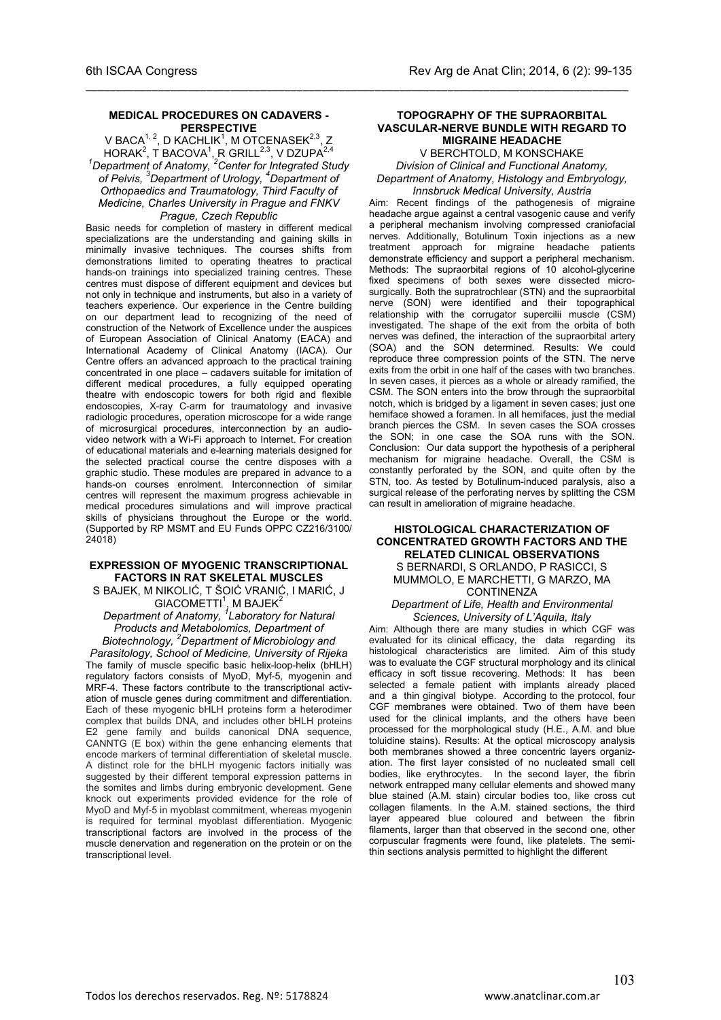#### **MEDICAL PROCEDURES ON CADAVERS - PERSPECTIVE**

\_\_\_\_\_\_\_\_\_\_\_\_\_\_\_\_\_\_\_\_\_\_\_\_\_\_\_\_\_\_\_\_\_\_\_\_\_\_\_\_\_\_\_\_\_\_\_\_\_\_\_\_\_\_\_\_\_\_\_\_\_\_\_\_\_\_\_\_\_\_\_\_\_\_\_\_\_\_\_\_\_\_\_\_\_\_\_\_\_\_

V BACA $^{1,\,2}$ , D KACHLIK $^1$ , M OTCENASEK $^{2,\,3}$ , Z HORAK<sup>2</sup>, T BACOVA<sup>1</sup>, R GRILL<sup>2,3</sup>, V DZUPA<sup>2,4</sup><br><sup>1</sup> Department of Anatomy, <sup>2</sup> Center for Integrated Study *of Pelvis, <sup>3</sup> Department of Urology, 4 Department of Orthopaedics and Traumatology, Third Faculty of Medicine, Charles University in Prague and FNKV Prague, Czech Republic*

Basic needs for completion of mastery in different medical specializations are the understanding and gaining skills in minimally invasive techniques. The courses shifts from demonstrations limited to operating theatres to practical hands-on trainings into specialized training centres. These centres must dispose of different equipment and devices but not only in technique and instruments, but also in a variety of teachers experience. Our experience in the Centre building on our department lead to recognizing of the need of construction of the Network of Excellence under the auspices of European Association of Clinical Anatomy (EACA) and International Academy of Clinical Anatomy (IACA). Our Centre offers an advanced approach to the practical training concentrated in one place – cadavers suitable for imitation of different medical procedures, a fully equipped operating theatre with endoscopic towers for both rigid and flexible endoscopies, X-ray C-arm for traumatology and invasive radiologic procedures, operation microscope for a wide range of microsurgical procedures, interconnection by an audiovideo network with a Wi-Fi approach to Internet. For creation of educational materials and e-learning materials designed for the selected practical course the centre disposes with a graphic studio. These modules are prepared in advance to a hands-on courses enrolment. Interconnection of similar centres will represent the maximum progress achievable in medical procedures simulations and will improve practical skills of physicians throughout the Europe or the world. (Supported by RP MSMT and EU Funds OPPC CZ216/3100/ 24018)

#### **EXPRESSION OF MYOGENIC TRANSCRIPTIONAL FACTORS IN RAT SKELETAL MUSCLES**

S BAJEK, M NIKOLIĆ, T ŠOIĆ VRANIĆ, I MARIĆ, J  $G$ IACOMETTI<sup>1</sup>, M BAJEK<sup>2</sup>

*Department of Anatomy, <sup>1</sup> Laboratory for Natural Products and Metabolomics, Department of Biotechnology, <sup>2</sup> Department of Microbiology and* 

*Parasitology, School of Medicine, University of Rijeka* The family of muscle specific basic helix-loop-helix (bHLH) regulatory factors consists of MyoD, Myf-5, myogenin and MRF-4. These factors contribute to the transcriptional activation of muscle genes during commitment and differentiation. Each of these myogenic bHLH proteins form a heterodimer complex that builds DNA, and includes other bHLH proteins E2 gene family and builds canonical DNA sequence, CANNTG (E box) within the gene enhancing elements that encode markers of terminal differentiation of skeletal muscle. A distinct role for the bHLH myogenic factors initially was suggested by their different temporal expression patterns in the somites and limbs during embryonic development. Gene knock out experiments provided evidence for the role of MyoD and Myf-5 in myoblast commitment, whereas myogenin is required for terminal myoblast differentiation. Myogenic transcriptional factors are involved in the process of the muscle denervation and regeneration on the protein or on the transcriptional level.

#### **TOPOGRAPHY OF THE SUPRAORBITAL VASCULAR-NERVE BUNDLE WITH REGARD TO MIGRAINE HEADACHE**

V BERCHTOLD, M KONSCHAKE

*Division of Clinical and Functional Anatomy, Department of Anatomy, Histology and Embryology, Innsbruck Medical University, Austria*

Aim: Recent findings of the pathogenesis of migraine headache argue against a central vasogenic cause and verify a peripheral mechanism involving compressed craniofacial nerves. Additionally, Botulinum Toxin injections as a new treatment approach for migraine headache patients demonstrate efficiency and support a peripheral mechanism. Methods: The supraorbital regions of 10 alcohol-glycerine fixed specimens of both sexes were dissected microsurgically. Both the supratrochlear (STN) and the supraorbital nerve (SON) were identified and their topographical relationship with the corrugator supercilii muscle (CSM) investigated. The shape of the exit from the orbita of both nerves was defined, the interaction of the supraorbital artery (SOA) and the SON determined. Results: We could reproduce three compression points of the STN. The nerve exits from the orbit in one half of the cases with two branches. In seven cases, it pierces as a whole or already ramified, the CSM. The SON enters into the brow through the supraorbital notch, which is bridged by a ligament in seven cases; just one hemiface showed a foramen. In all hemifaces, just the medial branch pierces the CSM. In seven cases the SOA crosses the SON; in one case the SOA runs with the SON. Conclusion: Our data support the hypothesis of a peripheral mechanism for migraine headache. Overall, the CSM is constantly perforated by the SON, and quite often by the STN, too. As tested by Botulinum-induced paralysis, also a surgical release of the perforating nerves by splitting the CSM can result in amelioration of migraine headache.

#### **HISTOLOGICAL CHARACTERIZATION OF CONCENTRATED GROWTH FACTORS AND THE RELATED CLINICAL OBSERVATIONS**

S BERNARDI, S ORLANDO, P RASICCI, S MUMMOLO, E MARCHETTI, G MARZO, MA CONTINENZA

#### *Department of Life, Health and Environmental Sciences, University of L'Aquila, Italy*

Aim: Although there are many studies in which CGF was evaluated for its clinical efficacy, the data regarding its histological characteristics are limited. Aim of this study was to evaluate the CGF structural morphology and its clinical efficacy in soft tissue recovering. Methods: It has been selected a female patient with implants already placed and a thin gingival biotype. According to the protocol, four CGF membranes were obtained. Two of them have been used for the clinical implants, and the others have been processed for the morphological study (H.E., A.M. and blue toluidine stains). Results: At the optical microscopy analysis both membranes showed a three concentric layers organization. The first layer consisted of no nucleated small cell bodies, like erythrocytes. In the second layer, the fibrin network entrapped many cellular elements and showed many blue stained (A.M. stain) circular bodies too, like cross cut collagen filaments. In the A.M. stained sections, the third layer appeared blue coloured and between the fibrin filaments, larger than that observed in the second one, other corpuscular fragments were found, like platelets. The semithin sections analysis permitted to highlight the different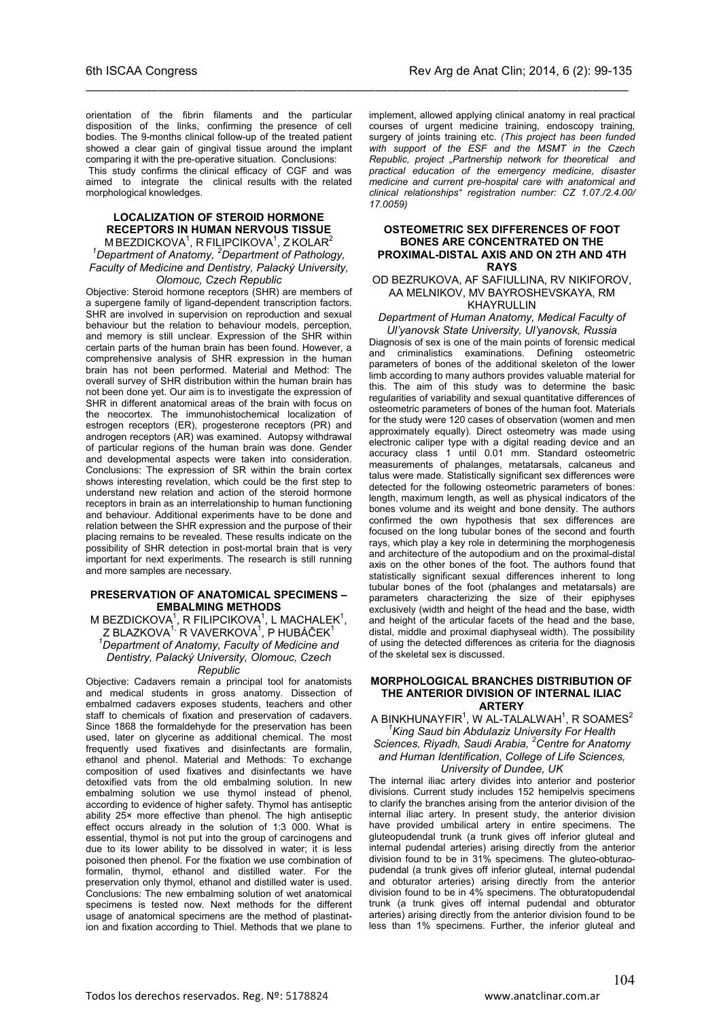orientation of the fibrin filaments and the particular disposition of the links, confirming the presence of cell bodies. The 9-months clinical follow-up of the treated patient showed a clear gain of gingival tissue around the implant comparing it with the pre-operative situation. Conclusions:

\_\_\_\_\_\_\_\_\_\_\_\_\_\_\_\_\_\_\_\_\_\_\_\_\_\_\_\_\_\_\_\_\_\_\_\_\_\_\_\_\_\_\_\_\_\_\_\_\_\_\_\_\_\_\_\_\_\_\_\_\_\_\_\_\_\_\_\_\_\_\_\_\_\_\_\_\_\_\_\_\_\_\_\_\_\_\_\_\_\_

 This study confirms the clinical efficacy of CGF and was aimed to integrate the clinical results with the related morphological knowledges.

#### **LOCALIZATION OF STEROID HORMONE RECEPTORS IN HUMAN NERVOUS TISSUE** M BEZDICKOVA $^{\rm 1}$ , R FILIPCIKOVA $^{\rm 1}$ , Z KOLAR $^{\rm 2}$ *1 Department of Anatomy, <sup>2</sup> Department of Pathology, Faculty of Medicine and Dentistry, Palacký University, Olomouc, Czech Republic*

Objective: Steroid hormone receptors (SHR) are members of a supergene family of ligand-dependent transcription factors. SHR are involved in supervision on reproduction and sexual behaviour but the relation to behaviour models, perception, and memory is still unclear. Expression of the SHR within certain parts of the human brain has been found. However, a comprehensive analysis of SHR expression in the human brain has not been performed. Material and Method: The overall survey of SHR distribution within the human brain has not been done yet. Our aim is to investigate the expression of SHR in different anatomical areas of the brain with focus on the neocortex. The immunohistochemical localization of estrogen receptors (ER), progesterone receptors (PR) and androgen receptors (AR) was examined. Autopsy withdrawal of particular regions of the human brain was done. Gender and developmental aspects were taken into consideration. Conclusions: The expression of SR within the brain cortex shows interesting revelation, which could be the first step to understand new relation and action of the steroid hormone receptors in brain as an interrelationship to human functioning and behaviour. Additional experiments have to be done and relation between the SHR expression and the purpose of their placing remains to be revealed. These results indicate on the possibility of SHR detection in post-mortal brain that is very important for next experiments. The research is still running and more samples are necessary.

#### **PRESERVATION OF ANATOMICAL SPECIMENS – EMBALMING METHODS**

M BEZDICKOVA<sup>1</sup>, R FILIPCIKOVA<sup>1</sup>, L MACHALEK<sup>1</sup>, Z BLAZKOVA<sup>1,</sup> R VAVERKOVA<sup>1</sup>, P HUBÁČEK<sup>1</sup><br><sup>1</sup> Department of Angtomy, Fogulfy of Modicine on *Department of Anatomy, Faculty of Medicine and Dentistry, Palacký University, Olomouc, Czech Republic*

Objective: Cadavers remain a principal tool for anatomists and medical students in gross anatomy. Dissection of embalmed cadavers exposes students, teachers and other staff to chemicals of fixation and preservation of cadavers. Since 1868 the formaldehyde for the preservation has been used, later on glycerine as additional chemical. The most frequently used fixatives and disinfectants are formalin, ethanol and phenol. Material and Methods: To exchange composition of used fixatives and disinfectants we have detoxified vats from the old embalming solution. In new embalming solution we use thymol instead of phenol, according to evidence of higher safety. Thymol has antiseptic ability 25× more effective than phenol. The high antiseptic effect occurs already in the solution of 1:3 000. What is essential, thymol is not put into the group of carcinogens and due to its lower ability to be dissolved in water; it is less poisoned then phenol. For the fixation we use combination of formalin, thymol, ethanol and distilled water. For the preservation only thymol, ethanol and distilled water is used. Conclusions: The new embalming solution of wet anatomical specimens is tested now. Next methods for the different usage of anatomical specimens are the method of plastination and fixation according to Thiel. Methods that we plane to

implement, allowed applying clinical anatomy in real practical courses of urgent medicine training, endoscopy training, surgery of joints training etc. *(This project has been funded with support of the ESF and the MSMT in the Czech Republic, project "Partnership network for theoretical and practical education of the emergency medicine, disaster medicine and current pre-hospital care with anatomical and clinical relationships" registration number: CZ 1.07./2.4.00/ 17.0059)*

#### **OSTEOMETRIC SEX DIFFERENCES OF FOOT BONES ARE CONCENTRATED ON THE PROXIMAL-DISTAL AXIS AND ON 2TH AND 4TH RAYS**

#### OD BEZRUKOVA, AF SAFIULLINA, RV NIKIFOROV, AA MELNIKOV, MV BAYROSHEVSKAYA, RM KHAYRULLIN

# *Department of Human Anatomy, Medical Faculty of*

*Ul'yanovsk State University, Ul'yanovsk, Russia* Diagnosis of sex is one of the main points of forensic medical and criminalistics examinations. Defining osteometric parameters of bones of the additional skeleton of the lower limb according to many authors provides valuable material for this. The aim of this study was to determine the basic regularities of variability and sexual quantitative differences of osteometric parameters of bones of the human foot. Materials for the study were 120 cases of observation (women and men approximately equally). Direct osteometry was made using electronic caliper type with a digital reading device and an accuracy class 1 until 0.01 mm. Standard osteometric measurements of phalanges, metatarsals, calcaneus and talus were made. Statistically significant sex differences were detected for the following osteometric parameters of bones: length, maximum length, as well as physical indicators of the bones volume and its weight and bone density. The authors confirmed the own hypothesis that sex differences are focused on the long tubular bones of the second and fourth rays, which play a key role in determining the morphogenesis and architecture of the autopodium and on the proximal-distal axis on the other bones of the foot. The authors found that statistically significant sexual differences inherent to long tubular bones of the foot (phalanges and metatarsals) are parameters characterizing the size of their epiphyses exclusively (width and height of the head and the base, width and height of the articular facets of the head and the base, distal, middle and proximal diaphyseal width). The possibility of using the detected differences as criteria for the diagnosis of the skeletal sex is discussed.

#### **MORPHOLOGICAL BRANCHES DISTRIBUTION OF THE ANTERIOR DIVISION OF INTERNAL ILIAC ARTERY**

A BINKHUNAYFIR $^{\rm 1}$ , W AL-TALALWAH $^{\rm 1}$ , R SOAMES $^{\rm 2}$ *1 King Saud bin Abdulaziz University For Health Sciences, Riyadh, Saudi Arabia, <sup>2</sup> Centre for Anatomy and Human Identification, College of Life Sciences, University of Dundee, UK*

The internal iliac artery divides into anterior and posterior

divisions. Current study includes 152 hemipelvis specimens to clarify the branches arising from the anterior division of the internal iliac artery. In present study, the anterior division have provided umbilical artery in entire specimens. The gluteopudendal trunk (a trunk gives off inferior gluteal and internal pudendal arteries) arising directly from the anterior division found to be in 31% specimens. The gluteo-obturaopudendal (a trunk gives off inferior gluteal, internal pudendal and obturator arteries) arising directly from the anterior division found to be in 4% specimens. The obturatopudendal trunk (a trunk gives off internal pudendal and obturator arteries) arising directly from the anterior division found to be less than 1% specimens. Further, the inferior gluteal and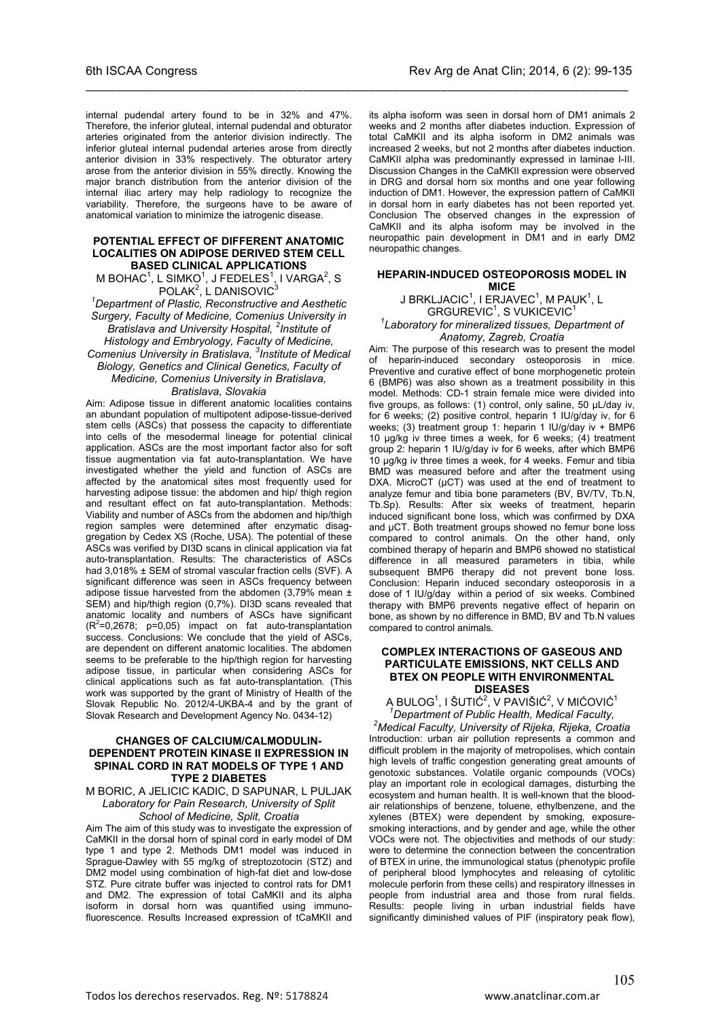internal pudendal artery found to be in 32% and 47%. Therefore, the inferior gluteal, internal pudendal and obturator arteries originated from the anterior division indirectly. The inferior gluteal internal pudendal arteries arose from directly anterior division in 33% respectively. The obturator artery arose from the anterior division in 55% directly. Knowing the major branch distribution from the anterior division of the internal iliac artery may help radiology to recognize the variability. Therefore, the surgeons have to be aware of anatomical variation to minimize the iatrogenic disease.

\_\_\_\_\_\_\_\_\_\_\_\_\_\_\_\_\_\_\_\_\_\_\_\_\_\_\_\_\_\_\_\_\_\_\_\_\_\_\_\_\_\_\_\_\_\_\_\_\_\_\_\_\_\_\_\_\_\_\_\_\_\_\_\_\_\_\_\_\_\_\_\_\_\_\_\_\_\_\_\_\_\_\_\_\_\_\_\_\_\_

#### **POTENTIAL EFFECT OF DIFFERENT ANATOMIC LOCALITIES ON ADIPOSE DERIVED STEM CELL BASED CLINICAL APPLICATIONS**

M BOHAC<sup>1</sup>, L SIMKO<sup>1</sup>, J FEDELES<sup>1</sup>, I VARGA<sup>2</sup>, S  $POLAK<sup>2</sup>$ , L DANISOVIC $<sup>3</sup>$ </sup>

*1 Department of Plastic, Reconstructive and Aesthetic Surgery, Faculty of Medicine, Comenius University in Bratislava and University Hospital, <sup>2</sup> Institute of Histology and Embryology, Faculty of Medicine, Comenius University in Bratislava, <sup>3</sup> Institute of Medical Biology, Genetics and Clinical Genetics, Faculty of Medicine, Comenius University in Bratislava,* 

#### *Bratislava, Slovakia*

Aim: Adipose tissue in different anatomic localities contains an abundant population of multipotent adipose-tissue-derived stem cells (ASCs) that possess the capacity to differentiate into cells of the mesodermal lineage for potential clinical application. ASCs are the most important factor also for soft tissue augmentation via fat auto-transplantation. We have investigated whether the yield and function of ASCs are affected by the anatomical sites most frequently used for harvesting adipose tissue: the abdomen and hip/ thigh region and resultant effect on fat auto-transplantation. Methods: Viability and number of ASCs from the abdomen and hip/thigh region samples were determined after enzymatic disaggregation by Cedex XS (Roche, USA). The potential of these ASCs was verified by DI3D scans in clinical application via fat auto-transplantation. Results: The characteristics of ASCs had 3,018% ± SEM of stromal vascular fraction cells (SVF). A significant difference was seen in ASCs frequency between adipose tissue harvested from the abdomen  $(3.79\%$  mean  $\pm$ SEM) and hip/thigh region (0,7%). DI3D scans revealed that anatomic locality and numbers of ASCs have significant  $(R<sup>2</sup>=0,2678; p=0,05)$  impact on fat auto-transplantation success. Conclusions: We conclude that the yield of ASCs, are dependent on different anatomic localities. The abdomen seems to be preferable to the hip/thigh region for harvesting adipose tissue, in particular when considering ASCs for clinical applications such as fat auto-transplantation. (This work was supported by the grant of Ministry of Health of the Slovak Republic No. 2012/4-UKBA-4 and by the grant of Slovak Research and Development Agency No. 0434-12)

#### **CHANGES OF CALCIUM/CALMODULIN-DEPENDENT PROTEIN KINASE II EXPRESSION IN SPINAL CORD IN RAT MODELS OF TYPE 1 AND TYPE 2 DIABETES**

#### M BORIC, A JELICIC KADIC, D SAPUNAR, L PULJAK *Laboratory for Pain Research, University of Split School of Medicine, Split, Croatia*

Aim The aim of this study was to investigate the expression of CaMKII in the dorsal horn of spinal cord in early model of DM type 1 and type 2. Methods DM1 model was induced in Sprague-Dawley with 55 mg/kg of streptozotocin (STZ) and DM2 model using combination of high-fat diet and low-dose STZ. Pure citrate buffer was injected to control rats for DM1 and DM2. The expression of total CaMKII and its alpha isoform in dorsal horn was quantified using immunofluorescence. Results Increased expression of tCaMKII and

its alpha isoform was seen in dorsal horn of DM1 animals 2 weeks and 2 months after diabetes induction. Expression of total CaMKII and its alpha isoform in DM2 animals was increased 2 weeks, but not 2 months after diabetes induction. CaMKII alpha was predominantly expressed in laminae I-III. Discussion Changes in the CaMKII expression were observed in DRG and dorsal horn six months and one year following induction of DM1. However, the expression pattern of CaMKII in dorsal horn in early diabetes has not been reported yet. Conclusion The observed changes in the expression of CaMKII and its alpha isoform may be involved in the neuropathic pain development in DM1 and in early DM2 neuropathic changes.

### **HEPARIN-INDUCED OSTEOPOROSIS MODEL IN MICE**

J BRKLJACIC $^1$ , I ERJAVEC $^1$ , M PAUK $^1$ , L GRGUREVIC<sup>1</sup>, S VUKICEVIC<sup>1</sup>

*1 Laboratory for mineralized tissues, Department of Anatomy, Zagreb, Croatia*

Aim: The purpose of this research was to present the model of heparin-induced secondary osteoporosis in mice. Preventive and curative effect of bone morphogenetic protein 6 (BMP6) was also shown as a treatment possibility in this model. Methods: CD-1 strain female mice were divided into five groups, as follows: (1) control, only saline, 50 µL/day iv, for 6 weeks; (2) positive control, heparin 1 IU/g/day iv, for 6 weeks; (3) treatment group 1: heparin 1 IU/g/day iv + BMP6 10 µg/kg iv three times a week, for 6 weeks; (4) treatment group 2: heparin 1 IU/g/day iv for 6 weeks, after which BMP6 10 µg/kg iv three times a week, for 4 weeks. Femur and tibia BMD was measured before and after the treatment using DXA. MicroCT  $(\mu$ CT) was used at the end of treatment to analyze femur and tibia bone parameters (BV, BV/TV, Tb.N, Tb.Sp). Results: After six weeks of treatment, heparin induced significant bone loss, which was confirmed by DXA and uCT. Both treatment groups showed no femur bone loss compared to control animals. On the other hand, only combined therapy of heparin and BMP6 showed no statistical difference in all measured parameters in tibia, while subsequent BMP6 therapy did not prevent bone loss. Conclusion: Heparin induced secondary osteoporosis in a dose of 1 IU/g/day within a period of six weeks. Combined therapy with BMP6 prevents negative effect of heparin on bone, as shown by no difference in BMD, BV and Tb.N values compared to control animals.

#### **COMPLEX INTERACTIONS OF GASEOUS AND PARTICULATE EMISSIONS, NKT CELLS AND BTEX ON PEOPLE WITH ENVIRONMENTAL DISEASES**

A BULOG<sup>1</sup>, I ŠUTIĆ<sup>2</sup>, V PAVIŠIĆ<sup>2</sup>, V MIĆOVIĆ<sup>1</sup><br><sup>1</sup> Department of Public Health, Medical Faculty,<br><sup>2</sup> Medical Faculty, University of Pijaka, Pijaka, Crea

*Medical Faculty, University of Rijeka, Rijeka, Croatia* Introduction: urban air pollution represents a common and difficult problem in the majority of metropolises, which contain high levels of traffic congestion generating great amounts of genotoxic substances. Volatile organic compounds (VOCs) play an important role in ecological damages, disturbing the ecosystem and human health. It is well-known that the bloodair relationships of benzene, toluene, ethylbenzene, and the xylenes (BTEX) were dependent by smoking, exposuresmoking interactions, and by gender and age, while the other VOCs were not. The objectivities and methods of our study: were to determine the connection between the concentration of BTEX in urine, the immunological status (phenotypic profile of peripheral blood lymphocytes and releasing of cytolitic molecule perforin from these cells) and respiratory illnesses in people from industrial area and those from rural fields. Results: people living in urban industrial fields have significantly diminished values of PIF (inspiratory peak flow),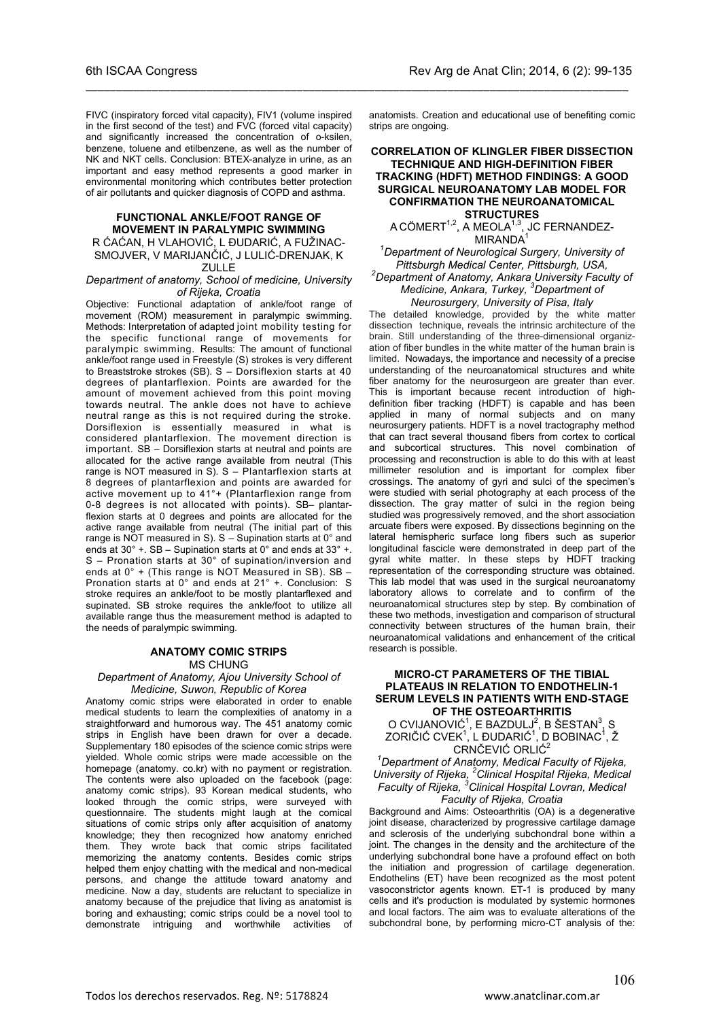FIVC (inspiratory forced vital capacity), FIV1 (volume inspired in the first second of the test) and FVC (forced vital capacity) and significantly increased the concentration of o-ksilen, benzene, toluene and etilbenzene, as well as the number of NK and NKT cells. Conclusion: BTEX-analyze in urine, as an important and easy method represents a good marker in environmental monitoring which contributes better protection of air pollutants and quicker diagnosis of COPD and asthma.

\_\_\_\_\_\_\_\_\_\_\_\_\_\_\_\_\_\_\_\_\_\_\_\_\_\_\_\_\_\_\_\_\_\_\_\_\_\_\_\_\_\_\_\_\_\_\_\_\_\_\_\_\_\_\_\_\_\_\_\_\_\_\_\_\_\_\_\_\_\_\_\_\_\_\_\_\_\_\_\_\_\_\_\_\_\_\_\_\_\_

#### **FUNCTIONAL ANKLE/FOOT RANGE OF MOVEMENT IN PARALYMPIC SWIMMING** R ĆAĆAN, H VLAHOVIĆ, L ĐUDARIĆ, A FUŽINAC-SMOJVER, V MARIJANČIĆ, J LULIĆ-DRENJAK, K ZULLE

#### *Department of anatomy, School of medicine, University of Rijeka, Croatia*

Objective: Functional adaptation of ankle/foot range of movement (ROM) measurement in paralympic swimming. Methods: Interpretation of adapted joint mobility testing for the specific functional range of movements for paralympic swimming. Results: The amount of functional ankle/foot range used in Freestyle (S) strokes is very different to Breaststroke strokes (SB).  $S -$  Dorsiflexion starts at 40 degrees of plantarflexion. Points are awarded for the amount of movement achieved from this point moving towards neutral. The ankle does not have to achieve neutral range as this is not required during the stroke. Dorsiflexion is essentially measured in what is considered plantarflexion. The movement direction is important. SB – Dorsiflexion starts at neutral and points are allocated for the active range available from neutral (This range is NOT measured in S). S – Plantarflexion starts at 8 degrees of plantarflexion and points are awarded for active movement up to 41°+ (Plantarflexion range from 0-8 degrees is not allocated with points). SB– plantarflexion starts at 0 degrees and points are allocated for the active range available from neutral (The initial part of this range is NOT measured in S).  $S -$  Supination starts at  $0^\circ$  and ends at 30° +. SB – Supination starts at 0° and ends at 33° +. S – Pronation starts at 30° of supination/inversion and ends at  $0^\circ$  + (This range is NOT Measured in SB). SB -Pronation starts at 0° and ends at 21° +. Conclusion: S stroke requires an ankle/foot to be mostly plantarflexed and supinated. SB stroke requires the ankle/foot to utilize all available range thus the measurement method is adapted to the needs of paralympic swimming.

#### **ANATOMY COMIC STRIPS** MS CHUNG

*Department of Anatomy, Ajou University School of Medicine, Suwon, Republic of Korea*

Anatomy comic strips were elaborated in order to enable medical students to learn the complexities of anatomy in a straightforward and humorous way. The 451 anatomy comic strips in English have been drawn for over a decade. Supplementary 180 episodes of the science comic strips were yielded. Whole comic strips were made accessible on the homepage (anatomy. co.kr) with no payment or registration. The contents were also uploaded on the facebook (page: anatomy comic strips). 93 Korean medical students, who looked through the comic strips, were surveyed with questionnaire. The students might laugh at the comical situations of comic strips only after acquisition of anatomy knowledge; they then recognized how anatomy enriched them. They wrote back that comic strips facilitated memorizing the anatomy contents. Besides comic strips helped them enjoy chatting with the medical and non-medical persons, and change the attitude toward anatomy and medicine. Now a day, students are reluctant to specialize in anatomy because of the prejudice that living as anatomist is boring and exhausting; comic strips could be a novel tool to demonstrate intriguing and worthwhile activities of

anatomists. Creation and educational use of benefiting comic strips are ongoing.

#### **CORRELATION OF KLINGLER FIBER DISSECTION TECHNIQUE AND HIGH-DEFINITION FIBER TRACKING (HDFT) METHOD FINDINGS: A GOOD SURGICAL NEUROANATOMY LAB MODEL FOR CONFIRMATION THE NEUROANATOMICAL STRUCTURES**

A CÖMERT $^{1,2}$ , A MEOLA $^{1,3}$ , JC FERNANDEZ-MIRANDA<sup>1</sup>

#### *1 Department of Neurological Surgery, University of Pittsburgh Medical Center, Pittsburgh, USA, 2 Department of Anatomy, Ankara University Faculty of Medicine, Ankara, Turkey, <sup>3</sup> Department of Neurosurgery, University of Pisa, Italy*

The detailed knowledge, provided by the white matter dissection technique, reveals the intrinsic architecture of the brain. Still understanding of the three-dimensional organization of fiber bundles in the white matter of the human brain is limited. Nowadays, the importance and necessity of a precise understanding of the neuroanatomical structures and white fiber anatomy for the neurosurgeon are greater than ever. This is important because recent introduction of highdefinition fiber tracking (HDFT) is capable and has been applied in many of normal subjects and on many neurosurgery patients. HDFT is a novel tractography method that can tract several thousand fibers from cortex to cortical and subcortical structures. This novel combination of processing and reconstruction is able to do this with at least millimeter resolution and is important for complex fiber crossings. The anatomy of gyri and sulci of the specimen's were studied with serial photography at each process of the dissection. The gray matter of sulci in the region being studied was progressively removed, and the short association arcuate fibers were exposed. By dissections beginning on the lateral hemispheric surface long fibers such as superior longitudinal fascicle were demonstrated in deep part of the gyral white matter. In these steps by HDFT tracking representation of the corresponding structure was obtained. This lab model that was used in the surgical neuroanatomy laboratory allows to correlate and to confirm of the neuroanatomical structures step by step. By combination of these two methods, investigation and comparison of structural connectivity between structures of the human brain, their neuroanatomical validations and enhancement of the critical research is possible.

#### **MICRO-CT PARAMETERS OF THE TIBIAL PLATEAUS IN RELATION TO ENDOTHELIN-1 SERUM LEVELS IN PATIENTS WITH END-STAGE OF THE OSTEOARTHRITIS**

O CVIJANOVIĆ<sup>1</sup>, E BAZDULJ<sup>2</sup>, B ŠESTAN<sup>3</sup>, S ZORIČIĆ CVEK<sup>1</sup>, L ĐUDARIĆ<sup>1</sup>, D BOBINAC<sup>1</sup>, Ž CRNČEVIĆ ORLIĆ<sup>2</sup>

*1 Department of Anatomy, Medical Faculty of Rijeka, University of Rijeka, <sup>2</sup> Clinical Hospital Rijeka, Medical Faculty of Rijeka, <sup>3</sup> Clinical Hospital Lovran, Medical Faculty of Rijeka, Croatia*

Background and Aims: Osteoarthritis (OA) is a degenerative joint disease, characterized by progressive cartilage damage and sclerosis of the underlying subchondral bone within a joint. The changes in the density and the architecture of the underlying subchondral bone have a profound effect on both the initiation and progression of cartilage degeneration. Endothelins (ET) have been recognized as the most potent vasoconstrictor agents known. ET-1 is produced by many cells and it's production is modulated by systemic hormones and local factors. The aim was to evaluate alterations of the subchondral bone, by performing micro-CT analysis of the: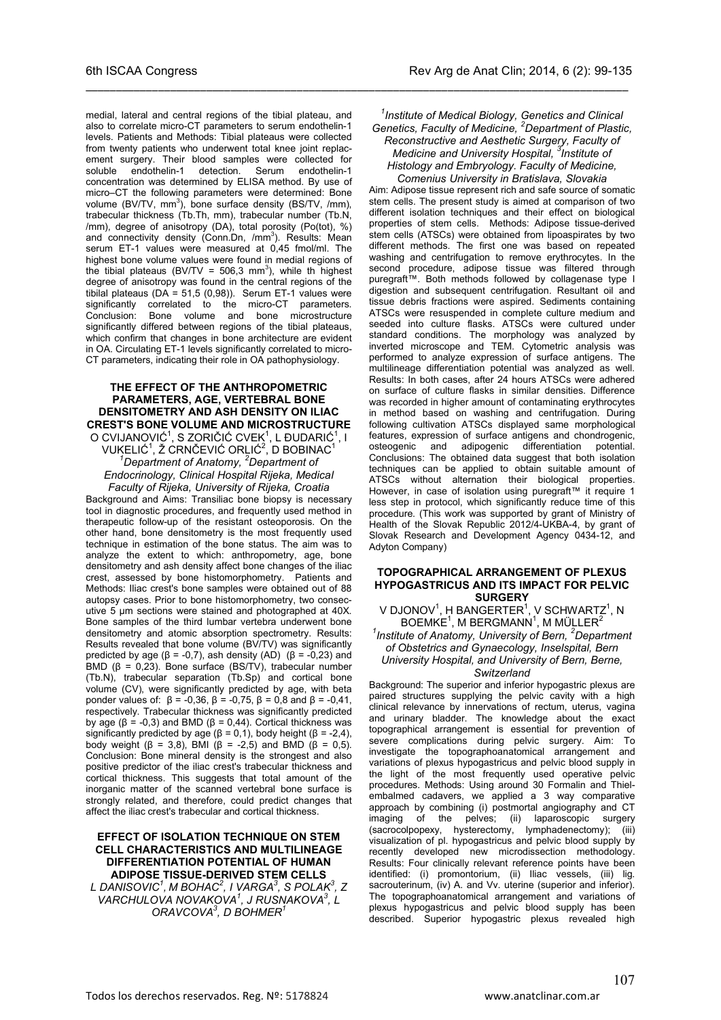medial, lateral and central regions of the tibial plateau, and also to correlate micro-CT parameters to serum endothelin-1 levels. Patients and Methods: Tibial plateaus were collected from twenty patients who underwent total knee joint replacement surgery. Their blood samples were collected for soluble endothelin-1 detection. Serum endothelin-1 soluble endothelin-1 detection. Serum endothelin-1 concentration was determined by ELISA method. By use of micro–CT the following parameters were determined: Bone volume  $(BV/TV, mm^3)$ , bone surface density  $(BS/TV, /mm)$ , trabecular thickness (Tb.Th, mm), trabecular number (Tb.N, /mm), degree of anisotropy (DA), total porosity (Po(tot), %) and connectivity density (Conn.Dn, /mm<sup>3</sup>). Results: Mean serum ET-1 values were measured at 0.45 fmol/ml. The highest bone volume values were found in medial regions of the tibial plateaus (BV/TV = 506,3 mm<sup>3</sup>), while th highest degree of anisotropy was found in the central regions of the tibilal plateaus (DA = 51,5 (0,98)). Serum ET-1 values were significantly correlated to the micro-CT parameters. Conclusion: Bone volume and bone microstructure significantly differed between regions of the tibial plateaus, which confirm that changes in bone architecture are evident in OA. Circulating ET-1 levels significantly correlated to micro-CT parameters, indicating their role in OA pathophysiology.

#### **THE EFFECT OF THE ANTHROPOMETRIC PARAMETERS, AGE, VERTEBRAL BONE DENSITOMETRY AND ASH DENSITY ON ILIAC CREST'S BONE VOLUME AND MICROSTRUCTURE**

O CVIJANOVIĆ<sup>1</sup>, S ZORIČIĆ CVEK<sup>1</sup>, L ĐUDARIĆ<sup>1</sup>, I VUKELIĆ<sup>1</sup>, Ž CRNČEVIĆ ORLIĆ<sup>2</sup>, D BOBINAC<sup>1</sup><br>Lineartment of Anatomy <sup>2</sup> Department of *Department of Anatomy, <sup>2</sup> Department of Endocrinology, Clinical Hospital Rijeka, Medical Faculty of Rijeka, University of Rijeka, Croatia*

Background and Aims: Transiliac bone biopsy is necessary tool in diagnostic procedures, and frequently used method in therapeutic follow-up of the resistant osteoporosis. On the other hand, bone densitometry is the most frequently used technique in estimation of the bone status. The aim was to analyze the extent to which: anthropometry, age, bone densitometry and ash density affect bone changes of the iliac crest, assessed by bone histomorphometry. Patients and Methods: Iliac crest's bone samples were obtained out of 88 autopsy cases. Prior to bone histomorphometry, two consecutive 5 µm sections were stained and photographed at 40X. Bone samples of the third lumbar vertebra underwent bone densitometry and atomic absorption spectrometry. Results: Results revealed that bone volume (BV/TV) was significantly predicted by age ( $β = -0,7$ ), ash density (AD) ( $β = -0,23$ ) and BMD  $(\beta = 0.23)$ . Bone surface (BS/TV), trabecular number (Tb.N), trabecular separation (Tb.Sp) and cortical bone volume (CV), were significantly predicted by age, with beta ponder values of:  $β = -0,36, β = -0,75, β = 0,8$  and  $β = -0,41,$ respectively. Trabecular thickness was significantly predicted by age ( $β = -0,3$ ) and BMD ( $β = 0,44$ ). Cortical thickness was significantly predicted by age ( $\beta$  = 0,1), body height ( $\beta$  = -2,4), body weight (β = 3,8), BMI (β = -2,5) and BMD (β = 0,5). Conclusion: Bone mineral density is the strongest and also positive predictor of the iliac crest's trabecular thickness and cortical thickness. This suggests that total amount of the inorganic matter of the scanned vertebral bone surface is strongly related, and therefore, could predict changes that affect the iliac crest's trabecular and cortical thickness.

#### **EFFECT OF ISOLATION TECHNIQUE ON STEM CELL CHARACTERISTICS AND MULTILINEAGE DIFFERENTIATION POTENTIAL OF HUMAN ADIPOSE TISSUE-DERIVED STEM CELLS**

*L DANISOVIC1 , M BOHAC<sup>2</sup> , I VARGA3 , S POLAK3 , Z VARCHULOVA NOVAKOVA<sup>1</sup> , J RUSNAKOVA3 , L ORAVCOVA3 , D BOHMER1*

### *1 Institute of Medical Biology, Genetics and Clinical Genetics, Faculty of Medicine, <sup>2</sup> Department of Plastic, Reconstructive and Aesthetic Surgery, Faculty of Medicine and University Hospital, <sup>3</sup> Institute of Histology and Embryology. Faculty of Medicine,*

\_\_\_\_\_\_\_\_\_\_\_\_\_\_\_\_\_\_\_\_\_\_\_\_\_\_\_\_\_\_\_\_\_\_\_\_\_\_\_\_\_\_\_\_\_\_\_\_\_\_\_\_\_\_\_\_\_\_\_\_\_\_\_\_\_\_\_\_\_\_\_\_\_\_\_\_\_\_\_\_\_\_\_\_\_\_\_\_\_\_

*Comenius University in Bratislava, Slovakia* Aim: Adipose tissue represent rich and safe source of somatic stem cells. The present study is aimed at comparison of two different isolation techniques and their effect on biological properties of stem cells. Methods: Adipose tissue-derived stem cells (ATSCs) were obtained from lipoaspirates by two different methods. The first one was based on repeated washing and centrifugation to remove erythrocytes. In the second procedure, adipose tissue was filtered through puregraft™. Both methods followed by collagenase type I digestion and subsequent centrifugation. Resultant oil and tissue debris fractions were aspired. Sediments containing ATSCs were resuspended in complete culture medium and seeded into culture flasks. ATSCs were cultured under standard conditions. The morphology was analyzed by inverted microscope and TEM. Cytometric analysis was performed to analyze expression of surface antigens. The multilineage differentiation potential was analyzed as well. Results: In both cases, after 24 hours ATSCs were adhered on surface of culture flasks in similar densities. Difference was recorded in higher amount of contaminating erythrocytes in method based on washing and centrifugation. During following cultivation ATSCs displayed same morphological features, expression of surface antigens and chondrogenic, osteogenic and adipogenic differentiation potential. Conclusions: The obtained data suggest that both isolation techniques can be applied to obtain suitable amount of ATSCs without alternation their biological properties. However, in case of isolation using puregraft™ it require 1 less step in protocol, which significantly reduce time of this procedure. (This work was supported by grant of Ministry of Health of the Slovak Republic 2012/4-UKBA-4, by grant of Slovak Research and Development Agency 0434-12, and Adyton Company)

#### **TOPOGRAPHICAL ARRANGEMENT OF PLEXUS HYPOGASTRICUS AND ITS IMPACT FOR PELVIC SURGERY**

V DJONOV $^1$ , H BANGERTER $^1$ , V SCHWARTZ $^1$ , N  $\mathsf{BOEMKE}^1$ , M  $\mathsf{BERGMANN}^1$ , M  $\mathsf{MÜLLER}^2$ 

### <sup>1</sup> Institute of Anatomy, University of Bern, <sup>2</sup> Department *of Obstetrics and Gynaecology, Inselspital, Bern*

*University Hospital, and University of Bern, Berne, Switzerland*

Background: The superior and inferior hypogastric plexus are paired structures supplying the pelvic cavity with a high clinical relevance by innervations of rectum, uterus, vagina and urinary bladder. The knowledge about the exact topographical arrangement is essential for prevention of severe complications during pelvic surgery. Aim: To investigate the topographoanatomical arrangement and variations of plexus hypogastricus and pelvic blood supply in the light of the most frequently used operative pelvic procedures. Methods: Using around 30 Formalin and Thielembalmed cadavers, we applied a 3 way comparative approach by combining (i) postmortal angiography and CT imaging of the pelves; (ii) laparoscopic surgery (sacrocolpopexy, hysterectomy, lymphadenectomy); (iii) visualization of pl. hypogastricus and pelvic blood supply by recently developed new microdissection methodology. Results: Four clinically relevant reference points have been identified: (i) promontorium, (ii) Iliac vessels, (iii) lig. sacrouterinum, (iv) A. and Vv. uterine (superior and inferior). The topographoanatomical arrangement and variations of plexus hypogastricus and pelvic blood supply has been described. Superior hypogastric plexus revealed high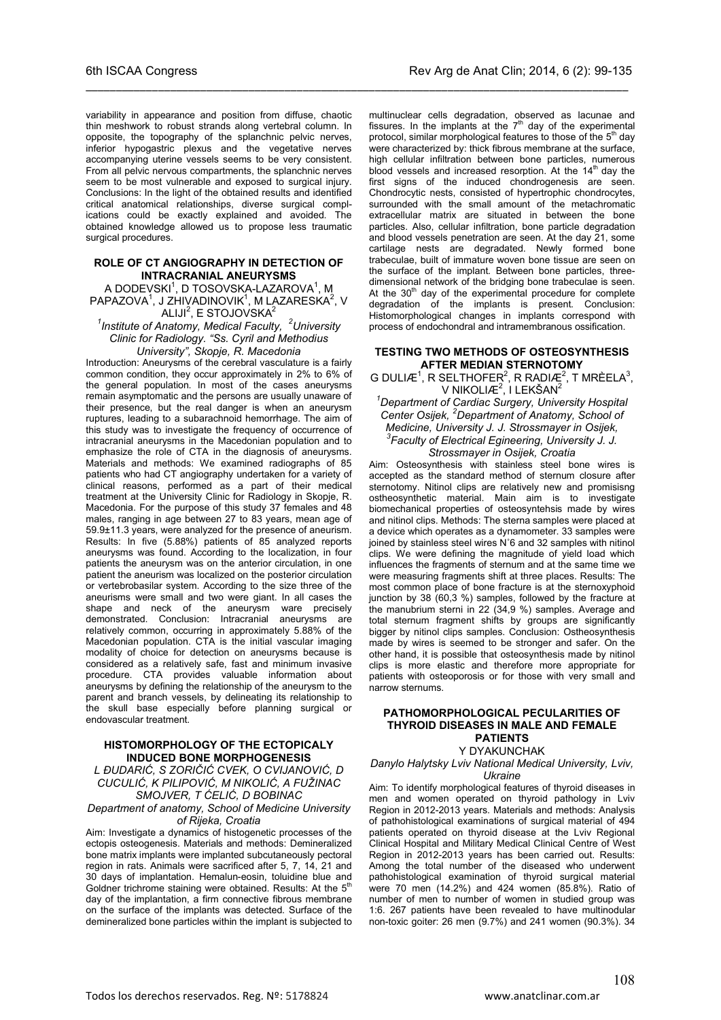variability in appearance and position from diffuse, chaotic thin meshwork to robust strands along vertebral column. In opposite, the topography of the splanchnic pelvic nerves, inferior hypogastric plexus and the vegetative nerves accompanying uterine vessels seems to be very consistent. From all pelvic nervous compartments, the splanchnic nerves seem to be most vulnerable and exposed to surgical injury. Conclusions: In the light of the obtained results and identified critical anatomical relationships, diverse surgical complications could be exactly explained and avoided. The obtained knowledge allowed us to propose less traumatic surgical procedures.

\_\_\_\_\_\_\_\_\_\_\_\_\_\_\_\_\_\_\_\_\_\_\_\_\_\_\_\_\_\_\_\_\_\_\_\_\_\_\_\_\_\_\_\_\_\_\_\_\_\_\_\_\_\_\_\_\_\_\_\_\_\_\_\_\_\_\_\_\_\_\_\_\_\_\_\_\_\_\_\_\_\_\_\_\_\_\_\_\_\_

#### **ROLE OF CT ANGIOGRAPHY IN DETECTION OF INTRACRANIAL ANEURYSMS**

A DODEVSKI<sup>1</sup>, D TOSOVSKA-LAZAROVA<sup>1</sup>, M  $\mathsf{PAPAZOVA}^1$ , J ZHIVADINOVIK $^1$ , M LAZARESKA $^2$ , V

ALIJI $^2$ , E STOJOVSKA $^2$ *1 Institute of Anatomy, Medical Faculty, <sup>2</sup> University Clinic for Radiology. "Ss. Cyril and Methodius University", Skopje, R. Macedonia*

Introduction: Aneurysms of the cerebral vasculature is a fairly common condition, they occur approximately in 2% to 6% of the general population. In most of the cases aneurysms remain asymptomatic and the persons are usually unaware of their presence, but the real danger is when an aneurysm ruptures, leading to a subarachnoid hemorrhage. The aim of this study was to investigate the frequency of occurrence of intracranial aneurysms in the Macedonian population and to emphasize the role of CTA in the diagnosis of aneurysms. Materials and methods: We examined radiographs of 85 patients who had CT angiography undertaken for a variety of clinical reasons, performed as a part of their medical treatment at the University Clinic for Radiology in Skopje, R. Macedonia. For the purpose of this study 37 females and 48 males, ranging in age between 27 to 83 years, mean age of 59.9±11.3 years, were analyzed for the presence of aneurism. Results: In five (5.88%) patients of 85 analyzed reports aneurysms was found. According to the localization, in four patients the aneurysm was on the anterior circulation, in one patient the aneurism was localized on the posterior circulation or vertebrobasilar system. According to the size three of the aneurisms were small and two were giant. In all cases the shape and neck of the aneurysm ware precisely demonstrated. Conclusion: Intracranial aneurysms are relatively common, occurring in approximately 5.88% of the Macedonian population. CTA is the initial vascular imaging modality of choice for detection on aneurysms because is considered as a relatively safe, fast and minimum invasive procedure. CTA provides valuable information about aneurysms by defining the relationship of the aneurysm to the parent and branch vessels, by delineating its relationship to the skull base especially before planning surgical or endovascular treatment.

### **HISTOMORPHOLOGY OF THE ECTOPICALY INDUCED BONE MORPHOGENESIS**

*L ĐUDARIĆ, S ZORIČIĆ CVEK, O CVIJANOVIĆ, D CUCULIĆ, K PILIPOVIĆ, M NIKOLIĆ, A FUŽINAC SMOJVER, T ĆELIĆ, D BOBINAC*

#### *Department of anatomy, School of Medicine University of Rijeka, Croatia*

Aim: Investigate a dynamics of histogenetic processes of the ectopis osteogenesis. Materials and methods: Demineralized bone matrix implants were implanted subcutaneously pectoral region in rats. Animals were sacrificed after 5, 7, 14, 21 and 30 days of implantation. Hemalun-eosin, toluidine blue and Goldner trichrome staining were obtained. Results: At the 5<sup>th</sup> day of the implantation, a firm connective fibrous membrane on the surface of the implants was detected. Surface of the demineralized bone particles within the implant is subjected to multinuclear cells degradation, observed as lacunae and fissures. In the implants at the  $7<sup>th</sup>$  day of the experimental protocol, similar morphological features to those of the  $5<sup>th</sup>$  day were characterized by: thick fibrous membrane at the surface, high cellular infiltration between bone particles, numerous blood vessels and increased resorption. At the  $14<sup>th</sup>$  day the first signs of the induced chondrogenesis are seen. Chondrocytic nests, consisted of hypertrophic chondrocytes, surrounded with the small amount of the metachromatic extracellular matrix are situated in between the bone particles. Also, cellular infiltration, bone particle degradation and blood vessels penetration are seen. At the day 21, some cartilage nests are degradated. Newly formed bone trabeculae, built of immature woven bone tissue are seen on the surface of the implant. Between bone particles, threedimensional network of the bridging bone trabeculae is seen. At the  $30<sup>th</sup>$  day of the experimental procedure for complete degradation of the implants is present. Conclusion: Histomorphological changes in implants correspond with process of endochondral and intramembranous ossification.

#### **TESTING TWO METHODS OF OSTEOSYNTHESIS AFTER MEDIAN STERNOTOMY**

G DULIÆ<sup>1</sup>, R SELTHOFER<sup>2</sup>, R RADIÆ<sup>2</sup>, T MRÈELA<sup>3</sup>, V NIKOLIÆ<sup>2</sup>, I LEKŠAN<sup>2</sup>

#### *1 Department of Cardiac Surgery, University Hospital Center Osijek, <sup>2</sup> Department of Anatomy, School of Medicine, University J. J. Strossmayer in Osijek, 3 Faculty of Electrical Egineering, University J. J. Strossmayer in Osijek, Croatia*

Aim: Osteosynthesis with stainless steel bone wires is accepted as the standard method of sternum closure after sternotomy. Nitinol clips are relatively new and promisisng ostheosynthetic material. Main aim is to investigate biomechanical properties of osteosyntehsis made by wires and nitinol clips. Methods: The sterna samples were placed at a device which operates as a dynamometer. 33 samples were joined by stainless steel wires N˚6 and 32 samples with nitinol clips. We were defining the magnitude of yield load which influences the fragments of sternum and at the same time we were measuring fragments shift at three places. Results: The most common place of bone fracture is at the sternoxyphoid junction by 38 (60,3 %) samples, followed by the fracture at the manubrium sterni in 22 (34,9 %) samples. Average and total sternum fragment shifts by groups are significantly bigger by nitinol clips samples. Conclusion: Ostheosynthesis made by wires is seemed to be stronger and safer. On the other hand, it is possible that osteosynthesis made by nitinol clips is more elastic and therefore more appropriate for patients with osteoporosis or for those with very small and narrow sternums.

#### **PATHOMORPHOLOGICAL PECULARITIES OF THYROID DISEASES IN MALE AND FEMALE PATIENTS** Y DYAKUNCHAK

#### *Danylo Halytsky Lviv National Medical University, Lviv, Ukraine*

Aim: To identify morphological features of thyroid diseases in men and women operated on thyroid pathology in Lviv Region in 2012-2013 years. Materials and methods: Analysis of pathohistological examinations of surgical material of 494 patients operated on thyroid disease at the Lviv Regional Clinical Hospital and Military Medical Clinical Centre of West Region in 2012-2013 years has been carried out. Results: Among the total number of the diseased who underwent pathohistological examination of thyroid surgical material were 70 men (14.2%) and 424 women (85.8%). Ratio of number of men to number of women in studied group was 1:6. 267 patients have been revealed to have multinodular non-toxic goiter: 26 men (9.7%) and 241 women (90.3%). 34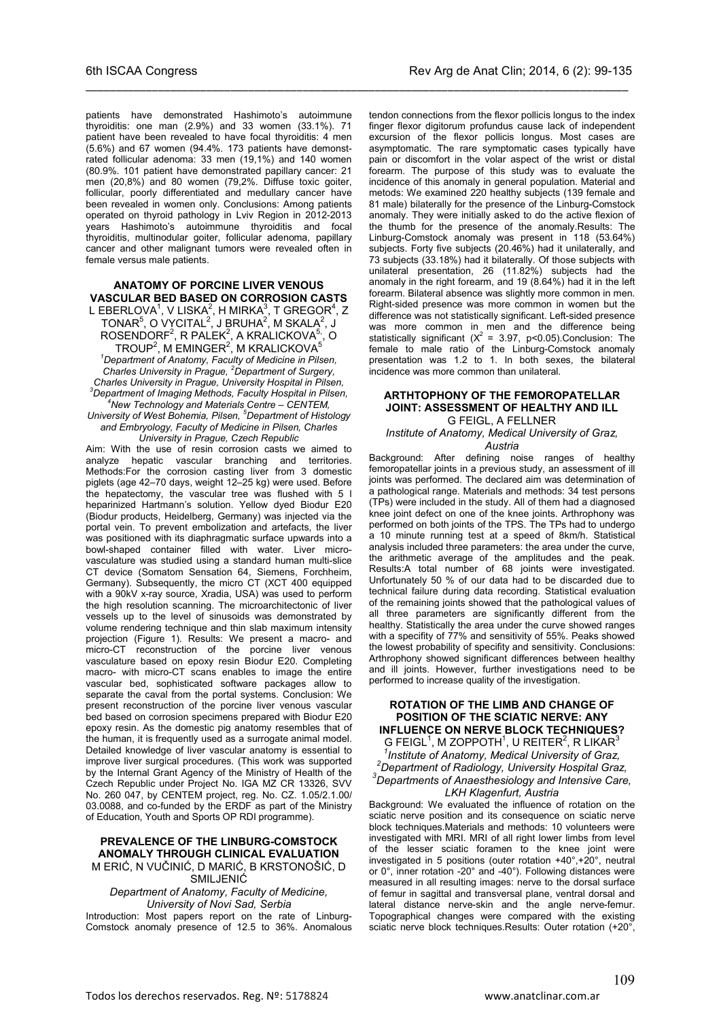patients have demonstrated Hashimoto's autoimmune thyroiditis: one man (2.9%) and 33 women (33.1%). 71 patient have been revealed to have focal thyroiditis: 4 men (5.6%) and 67 women (94.4%. 173 patients have demonstrated follicular adenoma: 33 men (19,1%) and 140 women (80.9%. 101 patient have demonstrated papillary cancer: 21 men (20,8%) and 80 women (79,2%. Diffuse toxic goiter, follicular, poorly differentiated and medullary cancer have been revealed in women only. Conclusions: Among patients operated on thyroid pathology in Lviv Region in 2012-2013 years Hashimoto's autoimmune thyroiditis and focal thyroiditis, multinodular goiter, follicular adenoma, papillary cancer and other malignant tumors were revealed often in female versus male patients.

\_\_\_\_\_\_\_\_\_\_\_\_\_\_\_\_\_\_\_\_\_\_\_\_\_\_\_\_\_\_\_\_\_\_\_\_\_\_\_\_\_\_\_\_\_\_\_\_\_\_\_\_\_\_\_\_\_\_\_\_\_\_\_\_\_\_\_\_\_\_\_\_\_\_\_\_\_\_\_\_\_\_\_\_\_\_\_\_\_\_

#### **ANATOMY OF PORCINE LIVER VENOUS VASCULAR BED BASED ON CORROSION CASTS**

L EBERLOVA $^1$ , V LISKA $^2$ , H MIRKA $^3$ , T GREGOR $^4$ , Z  $\mathsf{TONAR}^\mathbf{5}$ , O VYCITAL $^2$ , J BRUHA $^2$ , M SKALA $^2$ , J  $\mathsf{ROSENDORF}^2$ ,  $\mathsf R$   $\mathsf{PALEK}^2$ ,  $\mathsf A$   $\mathsf{KRALICKOVA}^{5}$ ,  $\mathsf O$  ${\sf TROUP}^2$ , M ${\sf EMINGER}^2$ , M ${\sf KRALICKOVA}^5$ *1 Department of Anatomy, Faculty of Medicine in Pilsen, Charles University in Prague, <sup>2</sup> Department of Surgery, Charles University in Prague, University Hospital in Pilsen, 3 Department of Imaging Methods, Faculty Hospital in Pilsen, 4 New Technology and Materials Centre – CENTEM, University of West Bohemia, Pilsen, <sup>5</sup> Department of Histology and Embryology, Faculty of Medicine in Pilsen, Charles University in Prague, Czech Republic*

Aim: With the use of resin corrosion casts we aimed to analyze hepatic vascular branching and territories. Methods:For the corrosion casting liver from 3 domestic piglets (age 42–70 days, weight 12–25 kg) were used. Before the hepatectomy, the vascular tree was flushed with 5 l heparinized Hartmann's solution. Yellow dyed Biodur E20 (Biodur products, Heidelberg, Germany) was injected via the portal vein. To prevent embolization and artefacts, the liver was positioned with its diaphragmatic surface upwards into a bowl-shaped container filled with water. Liver microvasculature was studied using a standard human multi-slice CT device (Somatom Sensation 64, Siemens, Forchheim, Germany). Subsequently, the micro CT (XCT 400 equipped with a 90kV x-ray source, Xradia, USA) was used to perform the high resolution scanning. The microarchitectonic of liver vessels up to the level of sinusoids was demonstrated by volume rendering technique and thin slab maximum intensity projection (Figure 1). Results: We present a macro- and micro-CT reconstruction of the porcine liver venous vasculature based on epoxy resin Biodur E20. Completing macro- with micro-CT scans enables to image the entire vascular bed, sophisticated software packages allow to separate the caval from the portal systems. Conclusion: We present reconstruction of the porcine liver venous vascular bed based on corrosion specimens prepared with Biodur E20 epoxy resin. As the domestic pig anatomy resembles that of the human, it is frequently used as a surrogate animal model. Detailed knowledge of liver vascular anatomy is essential to improve liver surgical procedures. (This work was supported by the Internal Grant Agency of the Ministry of Health of the Czech Republic under Project No. IGA MZ CR 13326, SVV No. 260 047, by CENTEM project, reg. No. CZ. 1.05/2.1.00/ 03.0088, and co-funded by the ERDF as part of the Ministry of Education, Youth and Sports OP RDI programme).

### **PREVALENCE OF THE LINBURG-COMSTOCK ANOMALY THROUGH CLINICAL EVALUATION**

M ERIĆ, N VUČINIĆ, D MARIĆ, B KRSTONOŠIĆ, D SMILJENIĆ

*Department of Anatomy, Faculty of Medicine, University of Novi Sad, Serbia* Introduction: Most papers report on the rate of Linburg-Comstock anomaly presence of 12.5 to 36%. Anomalous tendon connections from the flexor pollicis longus to the index finger flexor digitorum profundus cause lack of independent excursion of the flexor pollicis longus. Most cases are asymptomatic. The rare symptomatic cases typically have pain or discomfort in the volar aspect of the wrist or distal forearm. The purpose of this study was to evaluate the incidence of this anomaly in general population. Material and metods: We examined 220 healthy subjects (139 female and 81 male) bilaterally for the presence of the Linburg-Comstock anomaly. They were initially asked to do the active flexion of the thumb for the presence of the anomaly.Results: The Linburg-Comstock anomaly was present in 118 (53.64%) subjects. Forty five subjects (20.46%) had it unilaterally, and 73 subjects (33.18%) had it bilaterally. Of those subjects with unilateral presentation, 26 (11.82%) subjects had the anomaly in the right forearm, and 19 (8.64%) had it in the left forearm. Bilateral absence was slightly more common in men. Right-sided presence was more common in women but the difference was not statistically significant. Left-sided presence was more common in men and the difference being statistically significant  $(X^2 = 3.97, p < 0.05)$ . Conclusion: The female to male ratio of the Linburg-Comstock anomaly presentation was 1.2 to 1. In both sexes, the bilateral incidence was more common than unilateral.

#### **ARTHTOPHONY OF THE FEMOROPATELLAR JOINT: ASSESSMENT OF HEALTHY AND ILL** G FEIGL, A FELLNER

# *Institute of Anatomy, Medical University of Graz,*

#### *Austria*

Background: After defining noise ranges of healthy femoropatellar joints in a previous study, an assessment of ill joints was performed. The declared aim was determination of a pathological range. Materials and methods: 34 test persons (TPs) were included in the study. All of them had a diagnosed knee joint defect on one of the knee joints. Arthrophony was performed on both joints of the TPS. The TPs had to undergo a 10 minute running test at a speed of 8km/h. Statistical analysis included three parameters: the area under the curve, the arithmetic average of the amplitudes and the peak. Results:A total number of 68 joints were investigated. Unfortunately 50 % of our data had to be discarded due to technical failure during data recording. Statistical evaluation of the remaining joints showed that the pathological values of all three parameters are significantly different from the healthy. Statistically the area under the curve showed ranges with a specifity of 77% and sensitivity of 55%. Peaks showed the lowest probability of specifity and sensitivity. Conclusions: Arthrophony showed significant differences between healthy and ill joints. However, further investigations need to be performed to increase quality of the investigation.

#### **ROTATION OF THE LIMB AND CHANGE OF POSITION OF THE SCIATIC NERVE: ANY INFLUENCE ON NERVE BLOCK TECHNIQUES?**

 $G$  FEIGL<sup>1</sup>, M ZOPPOTH<sup>1</sup>, U REITER<sup>2</sup>, R LIKAR<sup>3</sup> <sup>1</sup> Institute of Anatomy, Medical University of Graz, *Department of Radiology, University Hospital Graz, 3 Departments of Anaesthesiology and Intensive Care, LKH Klagenfurt, Austria*

Background: We evaluated the influence of rotation on the sciatic nerve position and its consequence on sciatic nerve block techniques.Materials and methods: 10 volunteers were investigated with MRI. MRI of all right lower limbs from level of the lesser sciatic foramen to the knee joint were investigated in 5 positions (outer rotation +40°,+20°, neutral or 0°, inner rotation -20° and -40°). Following distances were measured in all resulting images: nerve to the dorsal surface of femur in sagittal and transversal plane, ventral dorsal and lateral distance nerve-skin and the angle nerve-femur. Topographical changes were compared with the existing sciatic nerve block techniques.Results: Outer rotation (+20°,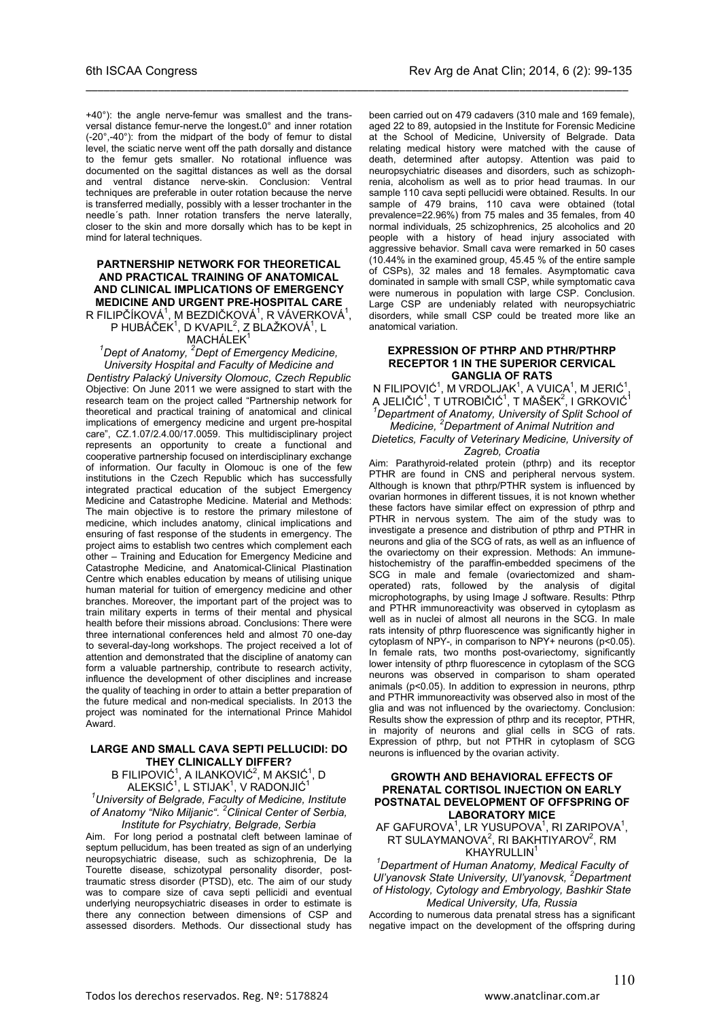+40°): the angle nerve-femur was smallest and the transversal distance femur-nerve the longest**.**0° and inner rotation (-20°,-40°): from the midpart of the body of femur to distal level, the sciatic nerve went off the path dorsally and distance to the femur gets smaller. No rotational influence was documented on the sagittal distances as well as the dorsal and ventral distance nerve-skin. Conclusion: Ventral techniques are preferable in outer rotation because the nerve is transferred medially, possibly with a lesser trochanter in the needle´s path. Inner rotation transfers the nerve laterally, closer to the skin and more dorsally which has to be kept in mind for lateral techniques.

\_\_\_\_\_\_\_\_\_\_\_\_\_\_\_\_\_\_\_\_\_\_\_\_\_\_\_\_\_\_\_\_\_\_\_\_\_\_\_\_\_\_\_\_\_\_\_\_\_\_\_\_\_\_\_\_\_\_\_\_\_\_\_\_\_\_\_\_\_\_\_\_\_\_\_\_\_\_\_\_\_\_\_\_\_\_\_\_\_\_

#### **PARTNERSHIP NETWORK FOR THEORETICAL AND PRACTICAL TRAINING OF ANATOMICAL AND CLINICAL IMPLICATIONS OF EMERGENCY MEDICINE AND URGENT PRE-HOSPITAL CARE**

R FILIPČÍKOVÁ $^1$ , M BEZDIČKOVÁ $^1$ , R VÁVERKOVÁ $^1$ , P HUBÁČEK<sup>1</sup>, D KVAPIL<sup>2</sup>, Z BLAŽKOVÁ<sup>1</sup>, L

#### MACHÁLEK<sup>1</sup>

*1 Dept of Anatomy, <sup>2</sup> Dept of Emergency Medicine, University Hospital and Faculty of Medicine and* 

*Dentistry Palacký University Olomouc, Czech Republic* Objective: On June 2011 we were assigned to start with the research team on the project called "Partnership network for theoretical and practical training of anatomical and clinical implications of emergency medicine and urgent pre-hospital care", CZ.1.07/2.4.00/17.0059. This multidisciplinary project represents an opportunity to create a functional and cooperative partnership focused on interdisciplinary exchange of information. Our faculty in Olomouc is one of the few institutions in the Czech Republic which has successfully integrated practical education of the subject Emergency Medicine and Catastrophe Medicine. Material and Methods: The main objective is to restore the primary milestone of medicine, which includes anatomy, clinical implications and ensuring of fast response of the students in emergency. The project aims to establish two centres which complement each other – Training and Education for Emergency Medicine and Catastrophe Medicine, and Anatomical-Clinical Plastination Centre which enables education by means of utilising unique human material for tuition of emergency medicine and other branches. Moreover, the important part of the project was to train military experts in terms of their mental and physical health before their missions abroad. Conclusions: There were three international conferences held and almost 70 one-day to several-day-long workshops. The project received a lot of attention and demonstrated that the discipline of anatomy can form a valuable partnership, contribute to research activity, influence the development of other disciplines and increase the quality of teaching in order to attain a better preparation of the future medical and non-medical specialists. In 2013 the project was nominated for the international Prince Mahidol Award.

#### **LARGE AND SMALL CAVA SEPTI PELLUCIDI: DO THEY CLINICALLY DIFFER?**

B FILIPOVIĆ $^1$ , A ILANKOVIĆ $^2$ , M AKSIĆ $^1$ , D ALEKSIĆ $^1$ , L STIJAK $^1$ , V RADONJIĆ $^1$ 

*1 University of Belgrade, Faculty of Medicine, Institute of Anatomy "Niko Miljanic". <sup>2</sup> Clinical Center of Serbia, Institute for Psychiatry, Belgrade, Serbia*

Aim. For long period a postnatal cleft between laminae of septum pellucidum, has been treated as sign of an underlying neuropsychiatric disease, such as schizophrenia, De la Tourette disease, schizotypal personality disorder, posttraumatic stress disorder (PTSD), etc. The aim of our study was to compare size of cava septi pellicidi and eventual underlying neuropsychiatric diseases in order to estimate is there any connection between dimensions of CSP and assessed disorders. Methods. Our dissectional study has

been carried out on 479 cadavers (310 male and 169 female), aged 22 to 89, autopsied in the Institute for Forensic Medicine at the School of Medicine, University of Belgrade. Data relating medical history were matched with the cause of death, determined after autopsy. Attention was paid to neuropsychiatric diseases and disorders, such as schizophrenia, alcoholism as well as to prior head traumas. In our sample 110 cava septi pellucidi were obtained. Results. In our sample of 479 brains, 110 cava were obtained (total prevalence=22.96%) from 75 males and 35 females, from 40 normal individuals, 25 schizophrenics, 25 alcoholics and 20 people with a history of head injury associated with aggressive behavior. Small cava were remarked in 50 cases (10.44% in the examined group, 45.45 % of the entire sample of CSPs), 32 males and 18 females. Asymptomatic cava dominated in sample with small CSP, while symptomatic cava were numerous in population with large CSP. Conclusion. Large CSP are undeniably related with neuropsychiatric disorders, while small CSP could be treated more like an anatomical variation.

#### **EXPRESSION OF PTHRP AND PTHR/PTHRP RECEPTOR 1 IN THE SUPERIOR CERVICAL GANGLIA OF RATS**

N FILIPOVIĆ<sup>1</sup>, M VRDOLJAK<sup>1</sup>, A VUICA<sup>1</sup>, M JERIĆ<sup>1</sup>, A JELIČIĆ<sup>1</sup>, T UTROBIČIĆ<sup>1</sup>, T MAŠEK<sup>2</sup>, I GRKOVIĆ<sup>1</sup><br><sup>1</sup> Department of Anatomy, University of Salit Sebeci at *Department of Anatomy, University of Split School of Medicine, <sup>2</sup> Department of Animal Nutrition and* 

### *Dietetics, Faculty of Veterinary Medicine, University of Zagreb, Croatia*

Aim: Parathyroid-related protein (pthrp) and its receptor PTHR are found in CNS and peripheral nervous system. Although is known that pthrp/PTHR system is influenced by ovarian hormones in different tissues, it is not known whether these factors have similar effect on expression of pthrp and PTHR in nervous system. The aim of the study was to investigate a presence and distribution of pthrp and PTHR in neurons and glia of the SCG of rats, as well as an influence of the ovariectomy on their expression. Methods: An immunehistochemistry of the paraffin-embedded specimens of the SCG in male and female (ovariectomized and shamoperated) rats, followed by the analysis of digital microphotographs, by using Image J software. Results: Pthrp and PTHR immunoreactivity was observed in cytoplasm as well as in nuclei of almost all neurons in the SCG. In male rats intensity of pthrp fluorescence was significantly higher in cytoplasm of NPY-, in comparison to NPY+ neurons ( $p$ <0.05). In female rats, two months post-ovariectomy, significantly lower intensity of pthrp fluorescence in cytoplasm of the SCG neurons was observed in comparison to sham operated animals (p<0.05). In addition to expression in neurons, pthrp and PTHR immunoreactivity was observed also in most of the glia and was not influenced by the ovariectomy. Conclusion: Results show the expression of pthrp and its receptor, PTHR, in majority of neurons and glial cells in SCG of rats. Expression of pthrp, but not PTHR in cytoplasm of SCG neurons is influenced by the ovarian activity.

#### **GROWTH AND BEHAVIORAL EFFECTS OF PRENATAL CORTISOL INJECTION ON EARLY POSTNATAL DEVELOPMENT OF OFFSPRING OF LABORATORY MICE**

#### AF GAFUROVA $1$ , LR YUSUPOVA $1$ , RI ZARIPOVA $1$ , RT SULAYMANOVA $2$ , RI BAKHTIYAROV $2$ , RM KHAYRULLIN<sup>1</sup>

*1 Department of Human Anatomy, Medical Faculty of Ul'yanovsk State University, Ul'yanovsk, <sup>2</sup> Department of Histology, Cytology and Embryology, Bashkir State Medical University, Ufa, Russia*

According to numerous data prenatal stress has a significant negative impact on the development of the offspring during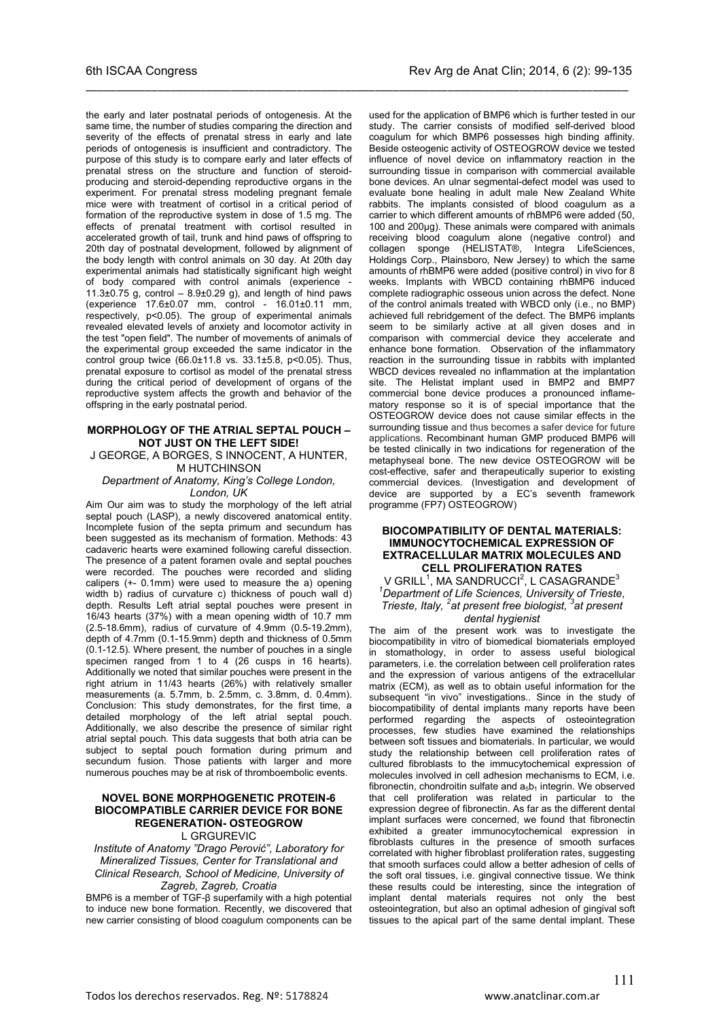\_\_\_\_\_\_\_\_\_\_\_\_\_\_\_\_\_\_\_\_\_\_\_\_\_\_\_\_\_\_\_\_\_\_\_\_\_\_\_\_\_\_\_\_\_\_\_\_\_\_\_\_\_\_\_\_\_\_\_\_\_\_\_\_\_\_\_\_\_\_\_\_\_\_\_\_\_\_\_\_\_\_\_\_\_\_\_\_\_\_

the early and later postnatal periods of ontogenesis. At the same time, the number of studies comparing the direction and severity of the effects of prenatal stress in early and late periods of ontogenesis is insufficient and contradictory. The purpose of this study is to compare early and later effects of prenatal stress on the structure and function of steroidproducing and steroid-depending reproductive organs in the experiment. For prenatal stress modeling pregnant female mice were with treatment of cortisol in a critical period of formation of the reproductive system in dose of 1.5 mg. The effects of prenatal treatment with cortisol resulted in accelerated growth of tail, trunk and hind paws of offspring to 20th day of postnatal development, followed by alignment of the body length with control animals on 30 day. At 20th day experimental animals had statistically significant high weight of body compared with control animals (experience - 11.3 $\pm$ 0.75 g, control – 8.9 $\pm$ 0.29 g), and length of hind paws (experience 17.6±0.07 mm, control - 16.01±0.11 mm, respectively, p<0.05). The group of experimental animals revealed elevated levels of anxiety and locomotor activity in the test "open field". The number of movements of animals of the experimental group exceeded the same indicator in the control group twice (66.0±11.8 vs. 33.1±5.8, p<0.05). Thus, prenatal exposure to cortisol as model of the prenatal stress during the critical period of development of organs of the reproductive system affects the growth and behavior of the offspring in the early postnatal period.

#### **MORPHOLOGY OF THE ATRIAL SEPTAL POUCH – NOT JUST ON THE LEFT SIDE!**

J GEORGE, A BORGES, S INNOCENT, A HUNTER, M HUTCHINSON

*Department of Anatomy, King's College London, London, UK*

Aim Our aim was to study the morphology of the left atrial septal pouch (LASP), a newly discovered anatomical entity. Incomplete fusion of the septa primum and secundum has been suggested as its mechanism of formation. Methods: 43 cadaveric hearts were examined following careful dissection. The presence of a patent foramen ovale and septal pouches were recorded. The pouches were recorded and sliding calipers (+- 0.1mm) were used to measure the a) opening width b) radius of curvature c) thickness of pouch wall d) depth. Results Left atrial septal pouches were present in 16/43 hearts (37%) with a mean opening width of 10.7 mm (2.5-18.6mm), radius of curvature of 4.9mm (0.5-19.2mm), depth of 4.7mm (0.1-15.9mm) depth and thickness of 0.5mm (0.1-12.5). Where present, the number of pouches in a single specimen ranged from 1 to 4 (26 cusps in 16 hearts). Additionally we noted that similar pouches were present in the right atrium in 11/43 hearts (26%) with relatively smaller measurements (a. 5.7mm, b. 2.5mm, c. 3.8mm, d. 0.4mm). Conclusion: This study demonstrates, for the first time, a detailed morphology of the left atrial septal pouch. Additionally, we also describe the presence of similar right atrial septal pouch. This data suggests that both atria can be subject to septal pouch formation during primum and secundum fusion. Those patients with larger and more numerous pouches may be at risk of thromboembolic events.

### **NOVEL BONE MORPHOGENETIC PROTEIN-6 BIOCOMPATIBLE CARRIER DEVICE FOR BONE REGENERATION- OSTEOGROW**

L GRGUREVIC

*Institute of Anatomy "Drago Perović", Laboratory for Mineralized Tissues, Center for Translational and Clinical Research, School of Medicine, University of Zagreb, Zagreb, Croatia*

BMP6 is a member of TGF-β superfamily with a high potential to induce new bone formation. Recently, we discovered that new carrier consisting of blood coagulum components can be

used for the application of BMP6 which is further tested in our study. The carrier consists of modified self-derived blood coagulum for which BMP6 possesses high binding affinity. Beside osteogenic activity of OSTEOGROW device we tested influence of novel device on inflammatory reaction in the surrounding tissue in comparison with commercial available bone devices. An ulnar segmental-defect model was used to evaluate bone healing in adult male New Zealand White rabbits. The implants consisted of blood coagulum as a carrier to which different amounts of rhBMP6 were added (50, 100 and 200µg). These animals were compared with animals receiving blood coagulum alone (negative control) and collagen sponge (HELISTAT®, Integra LifeSciences, sponge (HELISTAT®, Holdings Corp., Plainsboro, New Jersey) to which the same amounts of rhBMP6 were added (positive control) in vivo for 8 weeks. Implants with WBCD containing rhBMP6 induced complete radiographic osseous union across the defect. None of the control animals treated with WBCD only (i.e., no BMP) achieved full rebridgement of the defect. The BMP6 implants seem to be similarly active at all given doses and in comparison with commercial device they accelerate and enhance bone formation. Observation of the inflammatory reaction in the surrounding tissue in rabbits with implanted WBCD devices revealed no inflammation at the implantation site. The Helistat implant used in BMP2 and BMP7 commercial bone device produces a pronounced inflamematory response so it is of special importance that the OSTEOGROW device does not cause similar effects in the surrounding tissue and thus becomes a safer device for future applications. Recombinant human GMP produced BMP6 will be tested clinically in two indications for regeneration of the metaphyseal bone. The new device OSTEOGROW will be cost-effective, safer and therapeutically superior to existing commercial devices. (Investigation and development of device are supported by a EC's seventh framework programme (FP7) OSTEOGROW)

#### **BIOCOMPATIBILITY OF DENTAL MATERIALS: IMMUNOCYTOCHEMICAL EXPRESSION OF EXTRACELLULAR MATRIX MOLECULES AND CELL PROLIFERATION RATES**

V GRILL<sup>1</sup>, MA SANDRUCCI<sup>2</sup>, L CASAGRANDE<sup>3</sup> *1 Department of Life Sciences, University of Trieste, Trieste, Italy, <sup>2</sup> at present free biologist, 3 at present dental hygienist*

The aim of the present work was to investigate the biocompatibility in vitro of biomedical biomaterials employed in stomathology, in order to assess useful biological parameters, i.e. the correlation between cell proliferation rates and the expression of various antigens of the extracellular matrix (ECM), as well as to obtain useful information for the subsequent "in vivo" investigations.. Since in the study of biocompatibility of dental implants many reports have been performed regarding the aspects of osteointegration processes, few studies have examined the relationships between soft tissues and biomaterials. In particular, we would study the relationship between cell proliferation rates of cultured fibroblasts to the immucytochemical expression of molecules involved in cell adhesion mechanisms to ECM, i.e. fibronectin, chondroitin sulfate and  $a_5b_1$  integrin. We observed that cell proliferation was related in particular to the expression degree of fibronectin. As far as the different dental implant surfaces were concerned, we found that fibronectin exhibited a greater immunocytochemical expression in fibroblasts cultures in the presence of smooth surfaces correlated with higher fibroblast proliferation rates, suggesting that smooth surfaces could allow a better adhesion of cells of the soft oral tissues, i.e. gingival connective tissue. We think these results could be interesting, since the integration of implant dental materials requires not only the best osteointegration, but also an optimal adhesion of gingival soft tissues to the apical part of the same dental implant. These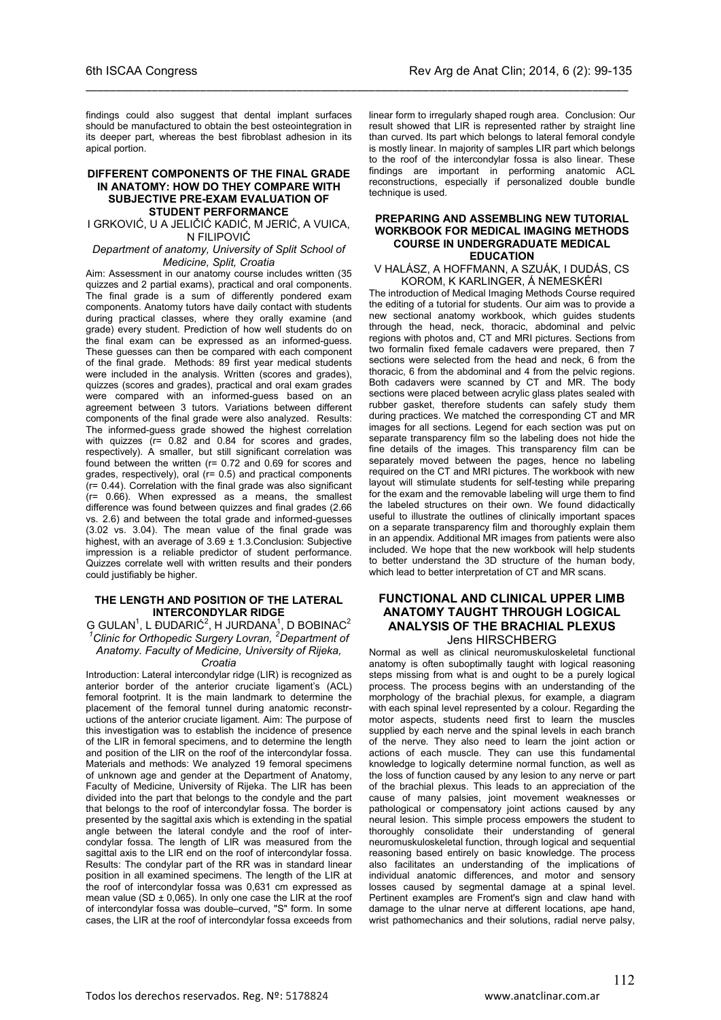findings could also suggest that dental implant surfaces should be manufactured to obtain the best osteointegration in its deeper part, whereas the best fibroblast adhesion in its apical portion.

\_\_\_\_\_\_\_\_\_\_\_\_\_\_\_\_\_\_\_\_\_\_\_\_\_\_\_\_\_\_\_\_\_\_\_\_\_\_\_\_\_\_\_\_\_\_\_\_\_\_\_\_\_\_\_\_\_\_\_\_\_\_\_\_\_\_\_\_\_\_\_\_\_\_\_\_\_\_\_\_\_\_\_\_\_\_\_\_\_\_

#### **DIFFERENT COMPONENTS OF THE FINAL GRADE IN ANATOMY: HOW DO THEY COMPARE WITH SUBJECTIVE PRE-EXAM EVALUATION OF STUDENT PERFORMANCE**

I GRKOVIĆ, U A JELIČIĆ KADIĆ, M JERIĆ, A VUICA, N FILIPOVIĆ

#### *Department of anatomy, University of Split School of Medicine, Split, Croatia*

Aim: Assessment in our anatomy course includes written (35 quizzes and 2 partial exams), practical and oral components. The final grade is a sum of differently pondered exam components. Anatomy tutors have daily contact with students during practical classes, where they orally examine (and grade) every student. Prediction of how well students do on the final exam can be expressed as an informed-guess. These guesses can then be compared with each component of the final grade. Methods: 89 first year medical students were included in the analysis. Written (scores and grades), quizzes (scores and grades), practical and oral exam grades were compared with an informed-guess based on an agreement between 3 tutors. Variations between different components of the final grade were also analyzed. Results: The informed-guess grade showed the highest correlation with quizzes (r= 0.82 and 0.84 for scores and grades, respectively). A smaller, but still significant correlation was found between the written (r= 0.72 and 0.69 for scores and grades, respectively), oral (r= 0.5) and practical components (r= 0.44). Correlation with the final grade was also significant  $(r= 0.66)$ . When expressed as a means, the smallest difference was found between quizzes and final grades (2.66 vs. 2.6) and between the total grade and informed-guesses (3.02 vs. 3.04). The mean value of the final grade was highest, with an average of  $3.69 \pm 1.3$ . Conclusion: Subjective impression is a reliable predictor of student performance. Quizzes correlate well with written results and their ponders could justifiably be higher.

#### **THE LENGTH AND POSITION OF THE LATERAL INTERCONDYLAR RIDGE**

G GULAN<sup>1</sup>, L ĐUDARIĆ<sup>2</sup>, H JURDANA<sup>1</sup>, D BOBINAC<sup>2</sup><br><sup>1</sup> Clinic for Orthopedic Surgery Lovran, <sup>2</sup> Department of *Anatomy. Faculty of Medicine, University of Rijeka, Croatia*

Introduction: Lateral intercondylar ridge (LIR) is recognized as anterior border of the anterior cruciate ligament's (ACL) femoral footprint. It is the main landmark to determine the placement of the femoral tunnel during anatomic reconstructions of the anterior cruciate ligament. Aim: The purpose of this investigation was to establish the incidence of presence of the LIR in femoral specimens, and to determine the length and position of the LIR on the roof of the intercondylar fossa. Materials and methods: We analyzed 19 femoral specimens of unknown age and gender at the Department of Anatomy, Faculty of Medicine, University of Rijeka. The LIR has been divided into the part that belongs to the condyle and the part that belongs to the roof of intercondylar fossa. The border is presented by the sagittal axis which is extending in the spatial angle between the lateral condyle and the roof of intercondylar fossa. The length of LIR was measured from the sagittal axis to the LIR end on the roof of intercondylar fossa. Results: The condylar part of the RR was in standard linear position in all examined specimens. The length of the LIR at the roof of intercondylar fossa was 0,631 cm expressed as mean value (SD  $\pm$  0,065). In only one case the LIR at the roof of intercondylar fossa was double–curved, "S" form. In some cases, the LIR at the roof of intercondylar fossa exceeds from

linear form to irregularly shaped rough area. Conclusion: Our result showed that LIR is represented rather by straight line than curved. Its part which belongs to lateral femoral condyle is mostly linear. In majority of samples LIR part which belongs to the roof of the intercondylar fossa is also linear. These findings are important in performing anatomic ACL reconstructions, especially if personalized double bundle technique is used.

#### **PREPARING AND ASSEMBLING NEW TUTORIAL WORKBOOK FOR MEDICAL IMAGING METHODS COURSE IN UNDERGRADUATE MEDICAL EDUCATION**

V HALÁSZ, A HOFFMANN, A SZUÁK, I DUDÁS, CS KOROM, K KARLINGER, Á NEMESKÉRI

The introduction of Medical Imaging Methods Course required the editing of a tutorial for students. Our aim was to provide a new sectional anatomy workbook, which guides students through the head, neck, thoracic, abdominal and pelvic regions with photos and, CT and MRI pictures. Sections from two formalin fixed female cadavers were prepared, then 7 sections were selected from the head and neck, 6 from the thoracic, 6 from the abdominal and 4 from the pelvic regions. Both cadavers were scanned by CT and MR. The body sections were placed between acrylic glass plates sealed with rubber gasket, therefore students can safely study them during practices. We matched the corresponding CT and MR images for all sections. Legend for each section was put on separate transparency film so the labeling does not hide the fine details of the images. This transparency film can be separately moved between the pages, hence no labeling required on the CT and MRI pictures. The workbook with new layout will stimulate students for self-testing while preparing for the exam and the removable labeling will urge them to find the labeled structures on their own. We found didactically useful to illustrate the outlines of clinically important spaces on a separate transparency film and thoroughly explain them in an appendix. Additional MR images from patients were also included. We hope that the new workbook will help students to better understand the 3D structure of the human body, which lead to better interpretation of CT and MR scans.

### **FUNCTIONAL AND CLINICAL UPPER LIMB ANATOMY TAUGHT THROUGH LOGICAL ANALYSIS OF THE BRACHIAL PLEXUS** Jens HIRSCHBERG

Normal as well as clinical neuromuskuloskeletal functional anatomy is often suboptimally taught with logical reasoning steps missing from what is and ought to be a purely logical process. The process begins with an understanding of the morphology of the brachial plexus, for example, a diagram with each spinal level represented by a colour. Regarding the motor aspects, students need first to learn the muscles supplied by each nerve and the spinal levels in each branch of the nerve. They also need to learn the joint action or actions of each muscle. They can use this fundamental knowledge to logically determine normal function, as well as the loss of function caused by any lesion to any nerve or part of the brachial plexus. This leads to an appreciation of the cause of many palsies, joint movement weaknesses or pathological or compensatory joint actions caused by any neural lesion. This simple process empowers the student to thoroughly consolidate their understanding of general neuromuskuloskeletal function, through logical and sequential reasoning based entirely on basic knowledge. The process also facilitates an understanding of the implications of individual anatomic differences, and motor and sensory losses caused by segmental damage at a spinal level. Pertinent examples are Froment's sign and claw hand with damage to the ulnar nerve at different locations, ape hand, wrist pathomechanics and their solutions, radial nerve palsy,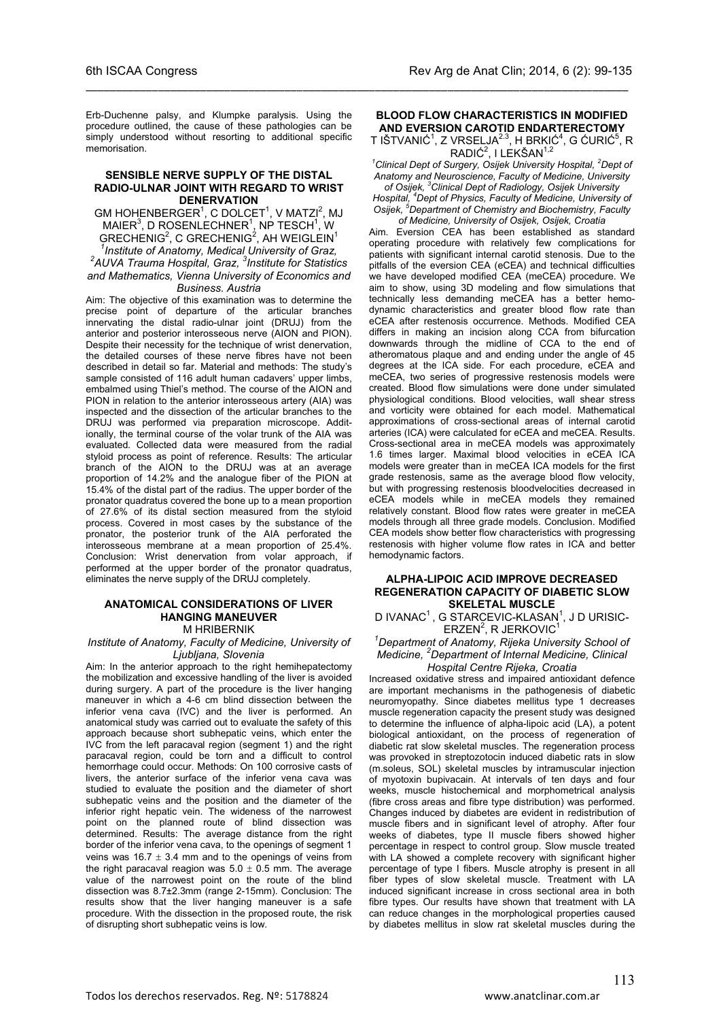Erb-Duchenne palsy, and Klumpke paralysis. Using the procedure outlined, the cause of these pathologies can be simply understood without resorting to additional specific memorisation.

\_\_\_\_\_\_\_\_\_\_\_\_\_\_\_\_\_\_\_\_\_\_\_\_\_\_\_\_\_\_\_\_\_\_\_\_\_\_\_\_\_\_\_\_\_\_\_\_\_\_\_\_\_\_\_\_\_\_\_\_\_\_\_\_\_\_\_\_\_\_\_\_\_\_\_\_\_\_\_\_\_\_\_\_\_\_\_\_\_\_

#### **SENSIBLE NERVE SUPPLY OF THE DISTAL RADIO-ULNAR JOINT WITH REGARD TO WRIST DENERVATION**

 $GM$  HOHENBERGER<sup>1</sup>, C DOLCET<sup>1</sup>, V MATZI<sup>2</sup>, MJ  $\mathsf{MAIER}^3$ , D ROSENLECHNER $^1$ , NP TESCH $^1$ , W GRECHENIG<sup>2</sup>, C GRECHENIG<sup>2</sup>, AH WEIGLEIN<sup>1</sup><br><sup>1</sup>laetitute of Angterny, Mediael University of Crea *Institute of Anatomy, Medical University of Graz, 2 AUVA Trauma Hospital, Graz, 3 Institute for Statistics and Mathematics, Vienna University of Economics and Business. Austria*

Aim: The objective of this examination was to determine the precise point of departure of the articular branches innervating the distal radio-ulnar joint (DRUJ) from the anterior and posterior interosseous nerve (AION and PION). Despite their necessity for the technique of wrist denervation. the detailed courses of these nerve fibres have not been described in detail so far. Material and methods: The study's sample consisted of 116 adult human cadavers' upper limbs, embalmed using Thiel's method. The course of the AION and PION in relation to the anterior interosseous artery (AIA) was inspected and the dissection of the articular branches to the DRUJ was performed via preparation microscope. Additionally, the terminal course of the volar trunk of the AIA was evaluated. Collected data were measured from the radial styloid process as point of reference. Results: The articular branch of the AION to the DRUJ was at an average proportion of 14.2% and the analogue fiber of the PION at 15.4% of the distal part of the radius. The upper border of the pronator quadratus covered the bone up to a mean proportion of 27.6% of its distal section measured from the styloid process. Covered in most cases by the substance of the pronator, the posterior trunk of the AIA perforated the interosseous membrane at a mean proportion of 25.4%. Conclusion: Wrist denervation from volar approach, if performed at the upper border of the pronator quadratus, eliminates the nerve supply of the DRUJ completely.

#### **ANATOMICAL CONSIDERATIONS OF LIVER HANGING MANEUVER** M HRIBERNIK

#### *Institute of Anatomy, Faculty of Medicine, University of Ljubljana, Slovenia*

Aim: In the anterior approach to the right hemihepatectomy the mobilization and excessive handling of the liver is avoided during surgery. A part of the procedure is the liver hanging maneuver in which a 4-6 cm blind dissection between the inferior vena cava (IVC) and the liver is performed. An anatomical study was carried out to evaluate the safety of this approach because short subhepatic veins, which enter the IVC from the left paracaval region (segment 1) and the right paracaval region, could be torn and a difficult to control hemorrhage could occur. Methods: On 100 corrosive casts of livers, the anterior surface of the inferior vena cava was studied to evaluate the position and the diameter of short subhepatic veins and the position and the diameter of the inferior right hepatic vein. The wideness of the narrowest point on the planned route of blind dissection was determined. Results: The average distance from the right border of the inferior vena cava, to the openings of segment 1 veins was 16.7  $\pm$  3.4 mm and to the openings of veins from the right paracaval reagion was  $5.0 \pm 0.5$  mm. The average value of the narrowest point on the route of the blind dissection was 8.7±2.3mm (range 2-15mm). Conclusion: The results show that the liver hanging maneuver is a safe procedure. With the dissection in the proposed route, the risk of disrupting short subhepatic veins is low.

### **BLOOD FLOW CHARACTERISTICS IN MODIFIED AND EVERSION CAROTID ENDARTERECTOMY**

T IŠTVANIĆ $^1$ , Z VRSELJA $^{2.3}$ , H BRKIĆ $^4$ , G ĆURIĆ $^5$ , R RADIĆ<sup>2</sup>, I LEKŠAN<sup>1,2</sup>

<sup>1</sup> Clinical Dept of Surgery, Osijek University Hospital, <sup>2</sup> Dept of *Anatomy and Neuroscience, Faculty of Medicine, University of Osijek, 3 Clinical Dept of Radiology, Osijek University* 

*Hospital, 4 Dept of Physics, Faculty of Medicine, University of Osijek, 5 Department of Chemistry and Biochemistry, Faculty of Medicine, University of Osijek, Osijek, Croatia*

Aim. Eversion CEA has been established as standard operating procedure with relatively few complications for patients with significant internal carotid stenosis. Due to the pitfalls of the eversion CEA (eCEA) and technical difficulties we have developed modified CEA (meCEA) procedure. We aim to show, using 3D modeling and flow simulations that technically less demanding meCEA has a better hemodynamic characteristics and greater blood flow rate than eCEA after restenosis occurrence. Methods. Modified CEA differs in making an incision along CCA from bifurcation downwards through the midline of CCA to the end of atheromatous plaque and and ending under the angle of 45 degrees at the ICA side. For each procedure, eCEA and meCEA, two series of progressive restenosis models were created. Blood flow simulations were done under simulated physiological conditions. Blood velocities, wall shear stress and vorticity were obtained for each model. Mathematical approximations of cross-sectional areas of internal carotid arteries (ICA) were calculated for eCEA and meCEA. Results. Cross-sectional area in meCEA models was approximately 1.6 times larger. Maximal blood velocities in eCEA ICA models were greater than in meCEA ICA models for the first grade restenosis, same as the average blood flow velocity, but with progressing restenosis bloodvelocities decreased in eCEA models while in meCEA models they remained relatively constant. Blood flow rates were greater in meCEA models through all three grade models. Conclusion. Modified CEA models show better flow characteristics with progressing restenosis with higher volume flow rates in ICA and better hemodynamic factors.

#### **ALPHA-LIPOIC ACID IMPROVE DECREASED REGENERATION CAPACITY OF DIABETIC SLOW SKELETAL MUSCLE**

D IVANAC<sup>1</sup>, G STARCEVIC-KLASAN<sup>1</sup>, J D URISIC- $ERZEN<sup>2</sup>$ , R JERKOVIC<sup>1</sup>

#### *1 Department of Anatomy, Rijeka University School of Medicine, <sup>2</sup> Department of Internal Medicine, Clinical Hospital Centre Rijeka, Croatia*

Increased oxidative stress and impaired antioxidant defence are important mechanisms in the pathogenesis of diabetic neuromyopathy. Since diabetes mellitus type 1 decreases muscle regeneration capacity the present study was designed to determine the influence of alpha-lipoic acid (LA), a potent biological antioxidant, on the process of regeneration of diabetic rat slow skeletal muscles. The regeneration process was provoked in streptozotocin induced diabetic rats in slow (m.soleus, SOL) skeletal muscles by intramuscular injection of myotoxin bupivacain. At intervals of ten days and four weeks, muscle histochemical and morphometrical analysis (fibre cross areas and fibre type distribution) was performed. Changes induced by diabetes are evident in redistribution of muscle fibers and in significant level of atrophy. After four weeks of diabetes, type II muscle fibers showed higher percentage in respect to control group. Slow muscle treated with LA showed a complete recovery with significant higher percentage of type I fibers. Muscle atrophy is present in all fiber types of slow skeletal muscle. Treatment with LA induced significant increase in cross sectional area in both fibre types. Our results have shown that treatment with LA can reduce changes in the morphological properties caused by diabetes mellitus in slow rat skeletal muscles during the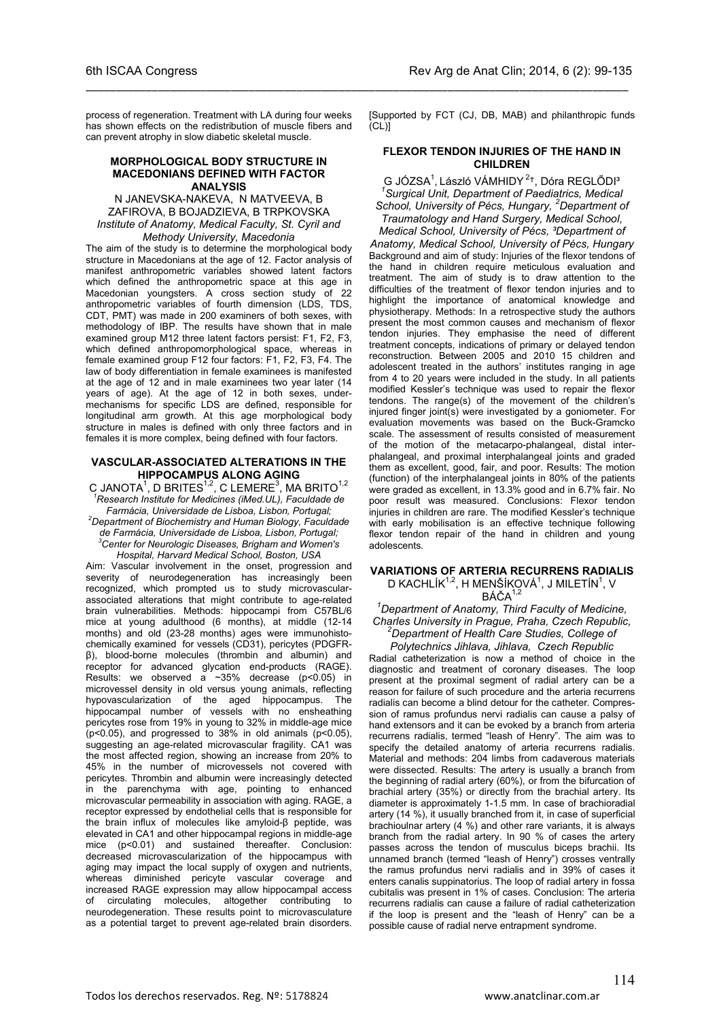process of regeneration. Treatment with LA during four weeks has shown effects on the redistribution of muscle fibers and can prevent atrophy in slow diabetic skeletal muscle.

\_\_\_\_\_\_\_\_\_\_\_\_\_\_\_\_\_\_\_\_\_\_\_\_\_\_\_\_\_\_\_\_\_\_\_\_\_\_\_\_\_\_\_\_\_\_\_\_\_\_\_\_\_\_\_\_\_\_\_\_\_\_\_\_\_\_\_\_\_\_\_\_\_\_\_\_\_\_\_\_\_\_\_\_\_\_\_\_\_\_

#### **MORPHOLOGICAL BODY STRUCTURE IN MACEDONIANS DEFINED WITH FACTOR ANALYSIS**

N JANEVSKA-NAKEVA, N MATVEEVA, B ZAFIROVA, B BOJADZIEVA, B TRPKOVSKA *Institute of Anatomy, Medical Faculty, St. Cyril and Methody University, Macedonia*

The aim of the study is to determine the morphological body structure in Macedonians at the age of 12. Factor analysis of manifest anthropometric variables showed latent factors which defined the anthropometric space at this age in Macedonian youngsters. A cross section study of 22 anthropometric variables of fourth dimension (LDS, TDS, CDT, PMT) was made in 200 examiners of both sexes, with methodology of IBP. The results have shown that in male examined group M12 three latent factors persist: F1, F2, F3, which defined anthropomorphological space, whereas in female examined group F12 four factors: F1, F2, F3, F4. The law of body differentiation in female examinees is manifested at the age of 12 and in male examinees two year later (14 years of age). At the age of 12 in both sexes, undermechanisms for specific LDS are defined, responsible for longitudinal arm growth. At this age morphological body structure in males is defined with only three factors and in females it is more complex, being defined with four factors.

#### **VASCULAR-ASSOCIATED ALTERATIONS IN THE HIPPOCAMPUS ALONG AGING**

C JANOTA<sup>1</sup>, D BRITES<sup>1,2</sup>, C LEMERE<sup>3</sup>, MA BRITO<sup>1,2</sup> *1 Research Institute for Medicines (iMed.UL), Faculdade de Farmácia, Universidade de Lisboa, Lisbon, Portugal; 2*

*Department of Biochemistry and Human Biology, Faculdade de Farmácia, Universidade de Lisboa, Lisbon, Portugal; 3 Center for Neurologic Diseases, Brigham and Women's Hospital, Harvard Medical School, Boston, USA*

Aim: Vascular involvement in the onset, progression and severity of neurodegeneration has increasingly been recognized, which prompted us to study microvascularassociated alterations that might contribute to age-related brain vulnerabilities. Methods: hippocampi from C57BL/6 mice at young adulthood (6 months), at middle (12-14 months) and old (23-28 months) ages were immunohistochemically examined for vessels (CD31), pericytes (PDGFRβ), blood-borne molecules (thrombin and albumin) and receptor for advanced glycation end-products (RAGE). Results: we observed a  $\sim$ 35% decrease (p<0.05) in microvessel density in old versus young animals, reflecting hypovascularization of the aged hippocampus. The hippocampal number of vessels with no ensheathing pericytes rose from 19% in young to 32% in middle-age mice ( $p<0.05$ ), and progressed to 38% in old animals ( $p<0.05$ ), suggesting an age-related microvascular fragility. CA1 was the most affected region, showing an increase from 20% to 45% in the number of microvessels not covered with pericytes. Thrombin and albumin were increasingly detected in the parenchyma with age, pointing to enhanced microvascular permeability in association with aging. RAGE, a receptor expressed by endothelial cells that is responsible for the brain influx of molecules like amyloid-β peptide, was elevated in CA1 and other hippocampal regions in middle-age mice (p<0.01) and sustained thereafter. Conclusion: decreased microvascularization of the hippocampus with aging may impact the local supply of oxygen and nutrients, whereas diminished pericyte vascular coverage and increased RAGE expression may allow hippocampal access of circulating molecules, altogether contributing to neurodegeneration. These results point to microvasculature as a potential target to prevent age-related brain disorders.

[Supported by FCT (CJ, DB, MAB) and philanthropic funds  $[CL]$ 

#### **FLEXOR TENDON INJURIES OF THE HAND IN CHILDREN**

G JÓZSA<sup>1</sup>, László VÁMHIDY<sup>2+</sup>, Dóra REGLŐDI<sup>3</sup><br><sup>1</sup> Surgical Unit, Denartment af Peodigtrias, Madiga *Surgical Unit, Department of Paediatrics, Medical School, University of Pécs, Hungary, <sup>2</sup> Department of Traumatology and Hand Surgery, Medical School, Medical School, University of Pécs, ³Department of* 

*Anatomy, Medical School, University of Pécs, Hungary* Background and aim of study: Injuries of the flexor tendons of the hand in children require meticulous evaluation and treatment. The aim of study is to draw attention to the difficulties of the treatment of flexor tendon injuries and to highlight the importance of anatomical knowledge and physiotherapy. Methods: In a retrospective study the authors present the most common causes and mechanism of flexor tendon injuries. They emphasise the need of different treatment concepts, indications of primary or delayed tendon reconstruction. Between 2005 and 2010 15 children and adolescent treated in the authors' institutes ranging in age from 4 to 20 years were included in the study. In all patients modified Kessler's technique was used to repair the flexor tendons. The range(s) of the movement of the children's injured finger joint(s) were investigated by a goniometer. For evaluation movements was based on the Buck-Gramcko scale. The assessment of results consisted of measurement of the motion of the metacarpo-phalangeal, distal interphalangeal, and proximal interphalangeal joints and graded them as excellent, good, fair, and poor. Results: The motion (function) of the interphalangeal joints in 80% of the patients were graded as excellent, in 13.3% good and in 6.7% fair. No poor result was measured. Conclusions: Flexor tendon injuries in children are rare. The modified Kessler's technique with early mobilisation is an effective technique following flexor tendon repair of the hand in children and young adolescents.

#### **VARIATIONS OF ARTERIA RECURRENS RADIALIS** D KACHLÍK $^{1,2}$ , H MENŠÍKOVÁ $^{1}$ , J MILETÍN $^{1}$ , V  $B\text{A}$ Č $A$ <sup>1,2</sup>

*1 Department of Anatomy, Third Faculty of Medicine, Charles University in Prague, Praha, Czech Republic, 2 Department of Health Care Studies, College of* 

*Polytechnics Jihlava, Jihlava, Czech Republic* Radial catheterization is now a method of choice in the diagnostic and treatment of coronary diseases. The loop present at the proximal segment of radial artery can be a reason for failure of such procedure and the arteria recurrens radialis can become a blind detour for the catheter. Compression of ramus profundus nervi radialis can cause a palsy of hand extensors and it can be evoked by a branch from arteria recurrens radialis, termed "leash of Henry". The aim was to specify the detailed anatomy of arteria recurrens radialis. Material and methods: 204 limbs from cadaverous materials were dissected. Results: The artery is usually a branch from the beginning of radial artery (60%), or from the bifurcation of brachial artery (35%) or directly from the brachial artery. Its diameter is approximately 1-1.5 mm. In case of brachioradial artery (14 %), it usually branched from it, in case of superficial brachioulnar artery (4 %) and other rare variants, it is always branch from the radial artery. In 90 % of cases the artery passes across the tendon of musculus biceps brachii. Its unnamed branch (termed "leash of Henry") crosses ventrally the ramus profundus nervi radialis and in 39% of cases it enters canalis suppinatorius. The loop of radial artery in fossa cubitalis was present in 1% of cases. Conclusion: The arteria recurrens radialis can cause a failure of radial catheterization if the loop is present and the "leash of Henry" can be a possible cause of radial nerve entrapment syndrome.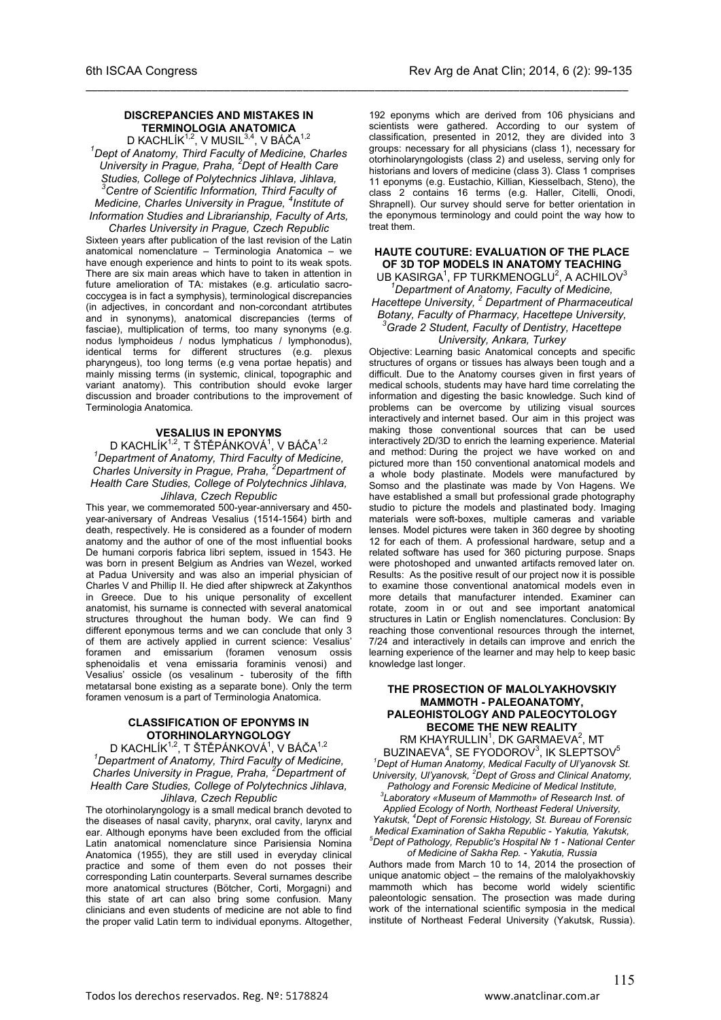#### **DISCREPANCIES AND MISTAKES IN TERMINOLOGIA ANATOMICA**

\_\_\_\_\_\_\_\_\_\_\_\_\_\_\_\_\_\_\_\_\_\_\_\_\_\_\_\_\_\_\_\_\_\_\_\_\_\_\_\_\_\_\_\_\_\_\_\_\_\_\_\_\_\_\_\_\_\_\_\_\_\_\_\_\_\_\_\_\_\_\_\_\_\_\_\_\_\_\_\_\_\_\_\_\_\_\_\_\_\_

D KACHLÍK<sup>1,2</sup>, V MUSIL<sup>3,4</sup>, V BÁČA<sup>1,2</sup> *1 Dept of Anatomy, Third Faculty of Medicine, Charles University in Prague, Praha, <sup>2</sup> Dept of Health Care Studies, College of Polytechnics Jihlava, Jihlava, 3 Centre of Scientific Information, Third Faculty of Medicine, Charles University in Prague, <sup>4</sup> Institute of* 

*Information Studies and Librarianship, Faculty of Arts, Charles University in Prague, Czech Republic*

Sixteen years after publication of the last revision of the Latin anatomical nomenclature – Terminologia Anatomica – we have enough experience and hints to point to its weak spots. There are six main areas which have to taken in attention in future amelioration of TA: mistakes (e.g. articulatio sacrococcygea is in fact a symphysis), terminological discrepancies (in adjectives, in concordant and non-corcondant atrtibutes and in synonyms), anatomical discrepancies (terms of fasciae), multiplication of terms, too many synonyms (e.g. nodus lymphoideus / nodus lymphaticus / lymphonodus), identical terms for different structures (e.g. plexus pharyngeus), too long terms (e.g vena portae hepatis) and mainly missing terms (in systemic, clinical, topographic and variant anatomy). This contribution should evoke larger discussion and broader contributions to the improvement of Terminologia Anatomica.

#### **VESALIUS IN EPONYMS**

D KACHLÍK<sup>1,2</sup>, T ŠTĚPÁNKOVÁ<sup>1</sup>, V BÁČA<sup>1,2</sup> *1 Department of Anatomy, Third Faculty of Medicine, Charles University in Prague, Praha, <sup>2</sup> Department of Health Care Studies, College of Polytechnics Jihlava, Jihlava, Czech Republic*

This year, we commemorated 500-year-anniversary and 450 year-aniversary of Andreas Vesalius (1514-1564) birth and death, respectively. He is considered as a founder of modern anatomy and the author of one of the most influential books De humani corporis fabrica libri septem, issued in 1543. He was born in present Belgium as Andries van Wezel, worked at Padua University and was also an imperial physician of Charles V and Phillip II. He died after shipwreck at Zakynthos in Greece. Due to his unique personality of excellent anatomist, his surname is connected with several anatomical structures throughout the human body. We can find 9 different eponymous terms and we can conclude that only 3 of them are actively applied in current science: Vesalius' foramen and emissarium (foramen venosum ossis sphenoidalis et vena emissaria foraminis venosi) and Vesalius' ossicle (os vesalinum - tuberosity of the fifth metatarsal bone existing as a separate bone). Only the term foramen venosum is a part of Terminologia Anatomica.

### **CLASSIFICATION OF EPONYMS IN OTORHINOLARYNGOLOGY**

D KACHLÍK<sup>1,2</sup>, T ŠTĚPÁNKOVÁ<sup>1</sup>, V BÁČA<sup>1,2</sup> *1 Department of Anatomy, Third Faculty of Medicine, Charles University in Prague, Praha, <sup>2</sup> Department of Health Care Studies, College of Polytechnics Jihlava, Jihlava, Czech Republic*

The otorhinolaryngology is a small medical branch devoted to the diseases of nasal cavity, pharynx, oral cavity, larynx and ear. Although eponyms have been excluded from the official Latin anatomical nomenclature since Parisiensia Nomina Anatomica (1955), they are still used in everyday clinical practice and some of them even do not posses their corresponding Latin counterparts. Several surnames describe more anatomical structures (Bötcher, Corti, Morgagni) and this state of art can also bring some confusion. Many clinicians and even students of medicine are not able to find the proper valid Latin term to individual eponyms. Altogether,

192 eponyms which are derived from 106 physicians and scientists were gathered. According to our system of classification, presented in 2012, they are divided into 3 groups: necessary for all physicians (class 1), necessary for otorhinolaryngologists (class 2) and useless, serving only for historians and lovers of medicine (class 3). Class 1 comprises 11 eponyms (e.g. Eustachio, Killian, Kiesselbach, Steno), the class 2 contains 16 terms (e.g. Haller, Citelli, Onodi, Shrapnell). Our survey should serve for better orientation in the eponymous terminology and could point the way how to treat them.

### **HAUTE COUTURE: EVALUATION OF THE PLACE OF 3D TOP MODELS IN ANATOMY TEACHING**

UB KASIRGA<sup>1</sup>, FP TURKMENOGLU<sup>2</sup>, A ACHILOV<sup>3</sup> *1 Department of Anatomy, Faculty of Medicine, Hacettepe University, 2 Department of Pharmaceutical Botany, Faculty of Pharmacy, Hacettepe University, 3 Grade 2 Student, Faculty of Dentistry, Hacettepe University, Ankara, Turkey*

Objective: Learning basic Anatomical concepts and specific structures of organs or tissues has always been tough and a difficult. Due to the Anatomy courses given in first years of medical schools, students may have hard time correlating the information and digesting the basic knowledge. Such kind of problems can be overcome by utilizing visual sources interactively and internet based. Our aim in this project was making those conventional sources that can be used interactively 2D/3D to enrich the learning experience. Material and method: During the project we have worked on and pictured more than 150 conventional anatomical models and a whole body plastinate. Models were manufactured by Somso and the plastinate was made by Von Hagens. We have established a small but professional grade photography studio to picture the models and plastinated body. Imaging materials were soft-boxes, multiple cameras and variable lenses. Model pictures were taken in 360 degree by shooting 12 for each of them. A professional hardware, setup and a related software has used for 360 picturing purpose. Snaps were photoshoped and unwanted artifacts removed later on. Results: As the positive result of our project now it is possible to examine those conventional anatomical models even in more details that manufacturer intended. Examiner can rotate, zoom in or out and see important anatomical structures in Latin or English nomenclatures. Conclusion: By reaching those conventional resources through the internet, 7/24 and interactively in details can improve and enrich the learning experience of the learner and may help to keep basic knowledge last longer.

#### **THE PROSECTION OF MALOLYAKHOVSKIY MAMMOTH - PALEOANATOMY, PALEOHISTOLOGY AND PALEOCYTOLOGY BECOME THE NEW REALITY**

RM KHAYRULLIN<sup>1</sup>, DK GARMAEVA<sup>2</sup>, MT BUZINAEVA<sup>4</sup>, SE FYODOROV<sup>3</sup>, IK SLEPTSOV<sup>5</sup> *1 Dept of Human Anatomy, Medical Faculty of Ul'yanovsk St. University, Ul'yanovsk, 2 Dept of Gross and Clinical Anatomy, Pathology and Forensic Medicine of Medical Institute, 3 Laboratory «Museum of Mammoth» of Research Inst. of* 

*Applied Ecology of North, Northeast Federal University, Yakutsk, 4 Dept of Forensic Histology, St. Bureau of Forensic Medical Examination of Sakha Republic - Yakutia, Yakutsk, 5 Dept of Pathology, Republic's Hospital № 1 - National Center* 

*of Medicine of Sakha Rep. - Yakutia, Russia* Authors made from March 10 to 14, 2014 the prosection of unique anatomic object – the remains of the malolyakhovskiy mammoth which has become world widely scientific paleontologic sensation. The prosection was made during work of the international scientific symposia in the medical institute of Northeast Federal University (Yakutsk, Russia).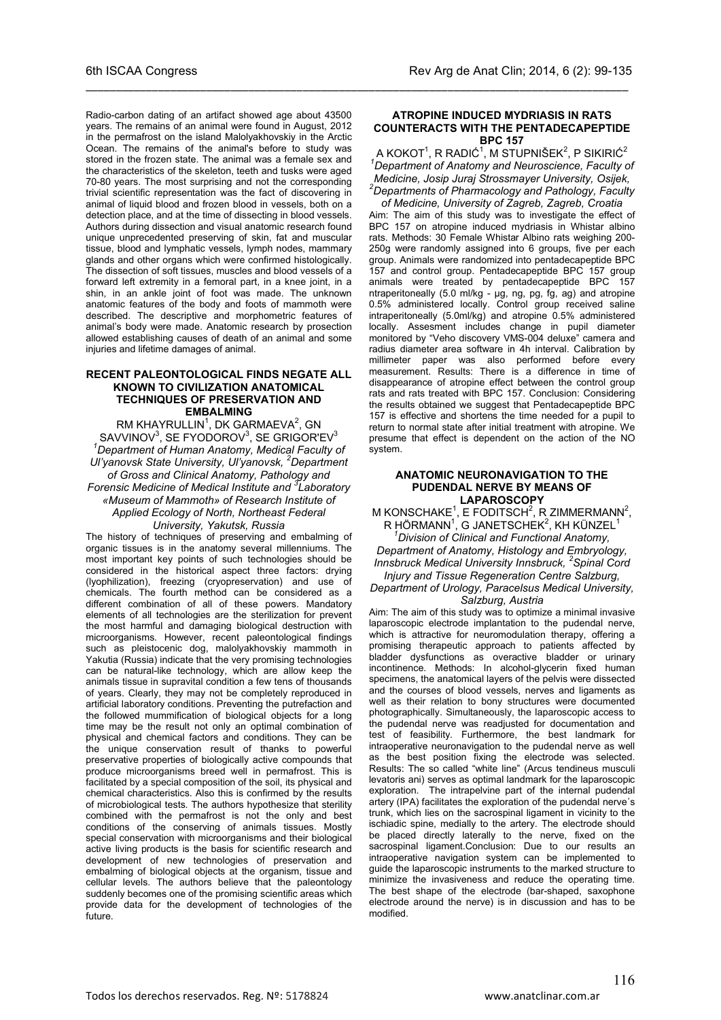Radio-carbon dating of an artifact showed age about 43500 years. The remains of an animal were found in August, 2012 in the permafrost on the island Malolyakhovskiy in the Arctic Ocean. The remains of the animal's before to study was stored in the frozen state. The animal was a female sex and the characteristics of the skeleton, teeth and tusks were aged 70-80 years. The most surprising and not the corresponding trivial scientific representation was the fact of discovering in animal of liquid blood and frozen blood in vessels, both on a detection place, and at the time of dissecting in blood vessels. Authors during dissection and visual anatomic research found unique unprecedented preserving of skin, fat and muscular tissue, blood and lymphatic vessels, lymph nodes, mammary glands and other organs which were confirmed histologically. The dissection of soft tissues, muscles and blood vessels of a forward left extremity in a femoral part, in a knee joint, in a shin, in an ankle joint of foot was made. The unknown anatomic features of the body and foots of mammoth were described. The descriptive and morphometric features of animal's body were made. Anatomic research by prosection allowed establishing causes of death of an animal and some injuries and lifetime damages of animal.

#### **RECENT PALEONTOLOGICAL FINDS NEGATE ALL KNOWN TO CIVILIZATION ANATOMICAL TECHNIQUES OF PRESERVATION AND EMBALMING**

RM KHAYRULLIN $^1$ , DK GARMAEVA $^2$ , GN  $\mathsf{SAVV}$ INOV $^3$ ,  $\mathsf{SE}\ \mathsf{FYODOROV}^3$ ,  $\mathsf{SE}\ \mathsf{GRIGOR'EV}^3$ *1 Department of Human Anatomy, Medical Faculty of Ul'yanovsk State University, Ul'yanovsk, <sup>2</sup> Department of Gross and Clinical Anatomy, Pathology and Forensic Medicine of Medical Institute and <sup>3</sup> Laboratory «Museum of Mammoth» of Research Institute of Applied Ecology of North, Northeast Federal University, Yakutsk, Russia*

The history of techniques of preserving and embalming of organic tissues is in the anatomy several millenniums. The most important key points of such technologies should be considered in the historical aspect three factors: drying (lyophilization), freezing (cryopreservation) and use of chemicals. The fourth method can be considered as a different combination of all of these powers. Mandatory elements of all technologies are the sterilization for prevent the most harmful and damaging biological destruction with microorganisms. However, recent paleontological findings such as pleistocenic dog, malolyakhovskiy mammoth in Yakutia (Russia) indicate that the very promising technologies can be natural-like technology, which are allow keep the animals tissue in supravital condition a few tens of thousands of years. Clearly, they may not be completely reproduced in artificial laboratory conditions. Preventing the putrefaction and the followed mummification of biological objects for a long time may be the result not only an optimal combination of physical and chemical factors and conditions. They can be the unique conservation result of thanks to powerful preservative properties of biologically active compounds that produce microorganisms breed well in permafrost. This is facilitated by a special composition of the soil, its physical and chemical characteristics. Also this is confirmed by the results of microbiological tests. The authors hypothesize that sterility combined with the permafrost is not the only and best conditions of the conserving of animals tissues. Mostly special conservation with microorganisms and their biological active living products is the basis for scientific research and development of new technologies of preservation and embalming of biological objects at the organism, tissue and cellular levels. The authors believe that the paleontology suddenly becomes one of the promising scientific areas which provide data for the development of technologies of the future.

#### **ATROPINE INDUCED MYDRIASIS IN RATS COUNTERACTS WITH THE PENTADECAPEPTIDE BPC 157**

\_\_\_\_\_\_\_\_\_\_\_\_\_\_\_\_\_\_\_\_\_\_\_\_\_\_\_\_\_\_\_\_\_\_\_\_\_\_\_\_\_\_\_\_\_\_\_\_\_\_\_\_\_\_\_\_\_\_\_\_\_\_\_\_\_\_\_\_\_\_\_\_\_\_\_\_\_\_\_\_\_\_\_\_\_\_\_\_\_\_

A KOKOT $^1$ , R RADIĆ $^1$ , M STUPNIŠEK $^2$ , P SIKIRIĆ $^2$ *1 Department of Anatomy and Neuroscience, Faculty of Medicine, Josip Juraj Strossmayer University, Osijek, 2 Departments of Pharmacology and Pathology, Faculty* 

*of Medicine, University of Zagreb, Zagreb, Croatia* Aim: The aim of this study was to investigate the effect of BPC 157 on atropine induced mydriasis in Whistar albino rats. Methods: 30 Female Whistar Albino rats weighing 200- 250g were randomly assigned into 6 groups, five per each group. Animals were randomized into pentadecapeptide BPC 157 and control group. Pentadecapeptide BPC 157 group animals were treated by pentadecapeptide BPC 157 ntraperitoneally (5.0 ml/kg - μg, ng, pg, fg, ag) and atropine 0.5% administered locally. Control group received saline intraperitoneally (5.0ml/kg) and atropine 0.5% administered locally. Assesment includes change in pupil diameter monitored by "Veho discovery VMS-004 deluxe" camera and radius diameter area software in 4h interval. Calibration by millimeter paper was also performed before every measurement. Results: There is a difference in time of disappearance of atropine effect between the control group rats and rats treated with BPC 157. Conclusion: Considering the results obtained we suggest that Pentadecapeptide BPC 157 is effective and shortens the time needed for a pupil to return to normal state after initial treatment with atropine. We presume that effect is dependent on the action of the NO system.

#### **ANATOMIC NEURONAVIGATION TO THE PUDENDAL NERVE BY MEANS OF LAPAROSCOPY**

M KONSCHAKE<sup>1</sup>, E FODITSCH<sup>2</sup>, R ZIMMERMANN<sup>2</sup>, R HÖRMANN<sup>1</sup>, G JANETSCHEK<sup>2</sup>, KH KÜNZEL<sup>1</sup>

*1 Division of Clinical and Functional Anatomy, Department of Anatomy, Histology and Embryology, Innsbruck Medical University Innsbruck, <sup>2</sup> Spinal Cord Injury and Tissue Regeneration Centre Salzburg, Department of Urology, Paracelsus Medical University,* 

*Salzburg, Austria*

Aim: The aim of this study was to optimize a minimal invasive laparoscopic electrode implantation to the pudendal nerve, which is attractive for neuromodulation therapy, offering a promising therapeutic approach to patients affected by bladder dysfunctions as overactive bladder or urinary incontinence. Methods: In alcohol-glycerin fixed human specimens, the anatomical layers of the pelvis were dissected and the courses of blood vessels, nerves and ligaments as well as their relation to bony structures were documented photographically. Simultaneously, the laparoscopic access to the pudendal nerve was readjusted for documentation and test of feasibility. Furthermore, the best landmark for intraoperative neuronavigation to the pudendal nerve as well as the best position fixing the electrode was selected. Results: The so called "white line" (Arcus tendineus musculi levatoris ani) serves as optimal landmark for the laparoscopic exploration. The intrapelvine part of the internal pudendal artery (IPA) facilitates the exploration of the pudendal nerve´s trunk, which lies on the sacrospinal ligament in vicinity to the ischiadic spine, medially to the artery. The electrode should be placed directly laterally to the nerve, fixed on the sacrospinal ligament.Conclusion: Due to our results an intraoperative navigation system can be implemented to guide the laparoscopic instruments to the marked structure to minimize the invasiveness and reduce the operating time. The best shape of the electrode (bar-shaped, saxophone electrode around the nerve) is in discussion and has to be modified.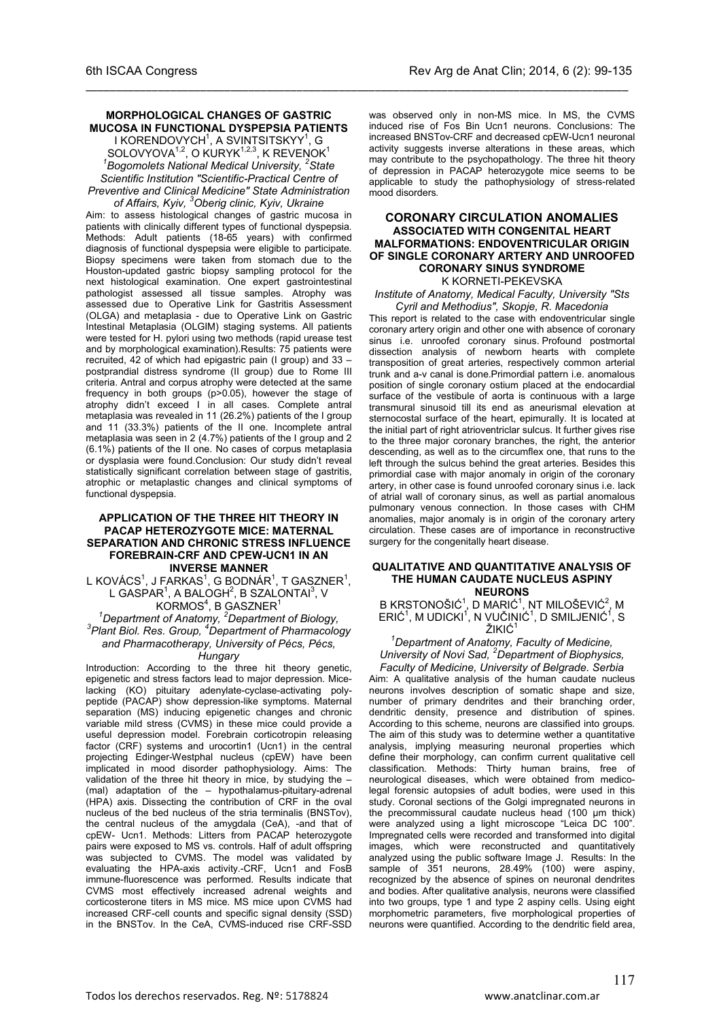#### **MORPHOLOGICAL CHANGES OF GASTRIC MUCOSA IN FUNCTIONAL DYSPEPSIA PATIENTS**

\_\_\_\_\_\_\_\_\_\_\_\_\_\_\_\_\_\_\_\_\_\_\_\_\_\_\_\_\_\_\_\_\_\_\_\_\_\_\_\_\_\_\_\_\_\_\_\_\_\_\_\_\_\_\_\_\_\_\_\_\_\_\_\_\_\_\_\_\_\_\_\_\_\_\_\_\_\_\_\_\_\_\_\_\_\_\_\_\_\_

I KORENDOVYCH<sup>1</sup>, A SVINTSITSKYY<sup>1</sup>, G  $SOLUTIONA<sup>1,2</sup>, O KURYK<sup>1,2,3</sup>, K REVENOK<sup>1</sup>$ *1 Bogomolets National Medical University, <sup>2</sup> State Scientific Institution "Scientific-Practical Centre of Preventive and Clinical Medicine" State Administration* 

*of Affairs, Kyiv, <sup>3</sup> Oberig clinic, Kyiv, Ukraine* Aim: to assess histological changes of gastric mucosa in patients with clinically different types of functional dyspepsia. Methods: Adult patients (18-65 years) with confirmed diagnosis of functional dyspepsia were eligible to participate. Biopsy specimens were taken from stomach due to the Houston-updated gastric biopsy sampling protocol for the next histological examination. One expert gastrointestinal pathologist assessed all tissue samples. Atrophy was assessed due to Operative Link for Gastritis Assessment (OLGA) and metaplasia - due to Operative Link on Gastric Intestinal Metaplasia (OLGIM) staging systems. All patients were tested for H. pylori using two methods (rapid urease test and by morphological examination).Results: 75 patients were recruited, 42 of which had epigastric pain (I group) and 33 – postprandial distress syndrome (II group) due to Rome III criteria. Antral and corpus atrophy were detected at the same frequency in both groups (p>0.05), however the stage of atrophy didn't exceed I in all cases. Complete antral metaplasia was revealed in 11 (26.2%) patients of the I group and 11 (33.3%) patients of the II one. Incomplete antral metaplasia was seen in 2 (4.7%) patients of the I group and 2 (6.1%) patients of the II one. No cases of corpus metaplasia or dysplasia were found.Conclusion: Our study didn't reveal statistically significant correlation between stage of gastritis, atrophic or metaplastic changes and clinical symptoms of functional dyspepsia.

#### **APPLICATION OF THE THREE HIT THEORY IN PACAP HETEROZYGOTE MICE: MATERNAL SEPARATION AND CHRONIC STRESS INFLUENCE FOREBRAIN-CRF AND CPEW-UCN1 IN AN INVERSE MANNER**

L KOVÁCS<sup>1</sup>, J FARKAS<sup>1</sup>, G BODNÁR<sup>1</sup>, T GASZNER<sup>1</sup>, L GASPAR $^1$ , A BALOGH $^2$ , B SZALONTAI $^3$ , V

# KORMOS<sup>4</sup>, B GASZNER<sup>1</sup><br><sup>1</sup>Department of Anatomy, <sup>2</sup>Department of Biology,<sup>3</sup><br><sup>3</sup> Plant Biol, Bee, Craup, <sup>4</sup>Department of Bharmasology, *Plant Biol. Res. Group, <sup>4</sup> Department of Pharmacology and Pharmacotherapy, University of Pécs, Pécs,*

### *Hungary*

Introduction: According to the three hit theory genetic, epigenetic and stress factors lead to major depression. Micelacking (KO) pituitary adenylate-cyclase-activating polypeptide (PACAP) show depression-like symptoms. Maternal separation (MS) inducing epigenetic changes and chronic variable mild stress (CVMS) in these mice could provide a useful depression model. Forebrain corticotropin releasing factor (CRF) systems and urocortin1 (Ucn1) in the central projecting Edinger-Westphal nucleus (cpEW) have been implicated in mood disorder pathophysiology. Aims: The validation of the three hit theory in mice, by studying the – (mal) adaptation of the – hypothalamus-pituitary-adrenal (HPA) axis. Dissecting the contribution of CRF in the oval nucleus of the bed nucleus of the stria terminalis (BNSTov), the central nucleus of the amygdala (CeA), -and that of cpEW- Ucn1. Methods: Litters from PACAP heterozygote pairs were exposed to MS vs. controls. Half of adult offspring was subjected to CVMS. The model was validated by evaluating the HPA-axis activity.-CRF, Ucn1 and FosB immune-fluorescence was performed. Results indicate that CVMS most effectively increased adrenal weights and corticosterone titers in MS mice. MS mice upon CVMS had increased CRF-cell counts and specific signal density (SSD) in the BNSTov. In the CeA, CVMS-induced rise CRF-SSD

was observed only in non-MS mice. In MS, the CVMS induced rise of Fos Bin Ucn1 neurons. Conclusions: The increased BNSTov-CRF and decreased cpEW-Ucn1 neuronal activity suggests inverse alterations in these areas, which may contribute to the psychopathology. The three hit theory of depression in PACAP heterozygote mice seems to be applicable to study the pathophysiology of stress-related mood disorders.

#### **CORONARY CIRCULATION ANOMALIES ASSOCIATED WITH CONGENITAL HEART MALFORMATIONS: ENDOVENTRICULAR ORIGIN OF SINGLE CORONARY ARTERY AND UNROOFED CORONARY SINUS SYNDROME** K KORNETI-PEKEVSKA

*Institute of Anatomy, Medical Faculty, University "Sts Cyril and Methodius", Skopje, R. Macedonia*

This report is related to the case with endoventricular single coronary artery origin and other one with absence of coronary sinus i.e. unroofed coronary sinus. Profound postmortal dissection analysis of newborn hearts with complete transposition of great arteries, respectively common arterial trunk and a-v canal is done.Primordial pattern i.e. anomalous position of single coronary ostium placed at the endocardial surface of the vestibule of aorta is continuous with a large transmural sinusoid till its end as aneurismal elevation at sternocostal surface of the heart, epimurally. It is located at the initial part of right atrioventriclar sulcus. It further gives rise to the three major coronary branches, the right, the anterior descending, as well as to the circumflex one, that runs to the left through the sulcus behind the great arteries. Besides this primordial case with major anomaly in origin of the coronary artery, in other case is found unroofed coronary sinus i.e. lack of atrial wall of coronary sinus, as well as partial anomalous pulmonary venous connection. In those cases with CHM anomalies, major anomaly is in origin of the coronary artery circulation. These cases are of importance in reconstructive surgery for the congenitally heart disease.

#### **QUALITATIVE AND QUANTITATIVE ANALYSIS OF THE HUMAN CAUDATE NUCLEUS ASPINY NEURONS**

B KRSTONOŠIĆ $1$ , D MARIĆ $1$ , NT MILOŠEVIĆ $2$ , M  $ERI$ Ć $\hat{C}$ <sup>1</sup>, M UDICKI $\hat{C}$ <sup>1</sup>, N VUČINIĆ $\hat{C}$ <sup>1</sup>, D SMILJENIĆ $\hat{C}$ <sup>1</sup>, S ŽIKIĆ<sup>1</sup>

*1 Department of Anatomy, Faculty of Medicine, University of Novi Sad, <sup>2</sup> Department of Biophysics,* 

*Faculty of Medicine, University of Belgrade. Serbia* Aim: A qualitative analysis of the human caudate nucleus neurons involves description of somatic shape and size, number of primary dendrites and their branching order, dendritic density, presence and distribution of spines. According to this scheme, neurons are classified into groups. The aim of this study was to determine wether a quantitative analysis, implying measuring neuronal properties which define their morphology, can confirm current qualitative cell classification. Methods: Thirty human brains, free of neurological diseases, which were obtained from medicolegal forensic autopsies of adult bodies, were used in this study. Coronal sections of the Golgi impregnated neurons in the precommissural caudate nucleus head (100 µm thick) were analyzed using a light microscope "Leica DC 100". Impregnated cells were recorded and transformed into digital images, which were reconstructed and quantitatively analyzed using the public software Image J. Results: In the sample of 351 neurons, 28.49% (100) were aspiny, recognized by the absence of spines on neuronal dendrites and bodies. After qualitative analysis, neurons were classified into two groups, type 1 and type 2 aspiny cells. Using eight morphometric parameters, five morphological properties of neurons were quantified. According to the dendritic field area,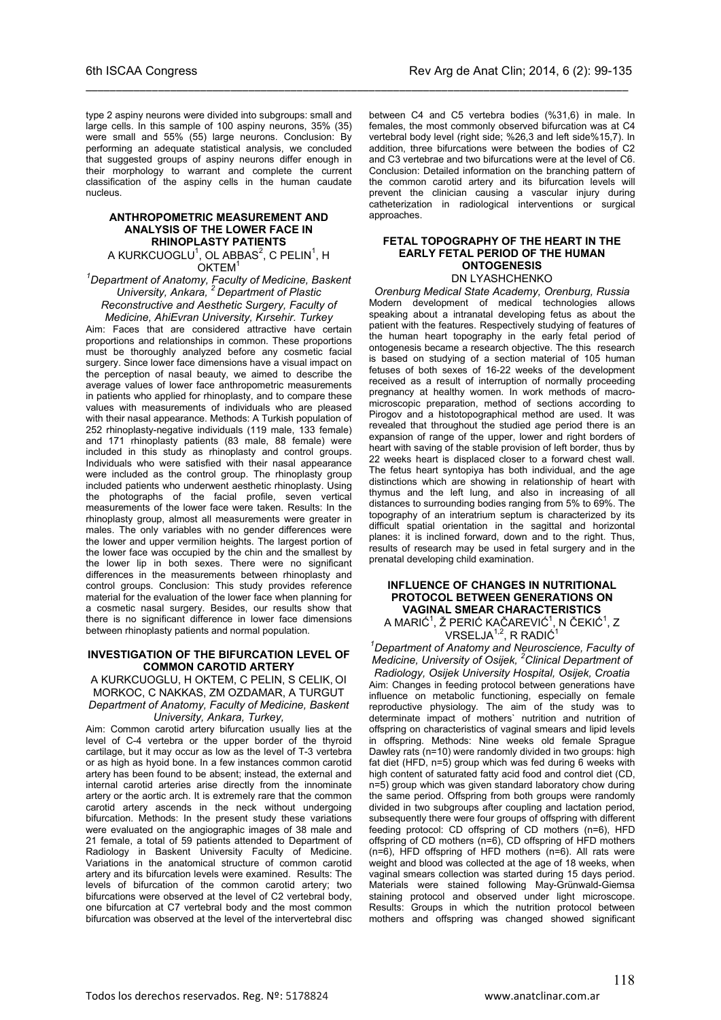type 2 aspiny neurons were divided into subgroups: small and large cells. In this sample of 100 aspiny neurons, 35% (35) were small and 55% (55) large neurons. Conclusion: By performing an adequate statistical analysis, we concluded that suggested groups of aspiny neurons differ enough in their morphology to warrant and complete the current classification of the aspiny cells in the human caudate nucleus.

\_\_\_\_\_\_\_\_\_\_\_\_\_\_\_\_\_\_\_\_\_\_\_\_\_\_\_\_\_\_\_\_\_\_\_\_\_\_\_\_\_\_\_\_\_\_\_\_\_\_\_\_\_\_\_\_\_\_\_\_\_\_\_\_\_\_\_\_\_\_\_\_\_\_\_\_\_\_\_\_\_\_\_\_\_\_\_\_\_\_

#### **ANTHROPOMETRIC MEASUREMENT AND ANALYSIS OF THE LOWER FACE IN RHINOPLASTY PATIENTS** A KURKCUOGLU $^1$ , OL ABBAS $^2$ , C PELIN $^1$ , H

OKTEM<sup>1</sup>

*1 Department of Anatomy, Faculty of Medicine, Baskent University, Ankara, 2 Department of Plastic Reconstructive and Aesthetic Surgery, Faculty of Medicine, AhiEvran University, Kırsehir. Turkey*

Aim: Faces that are considered attractive have certain proportions and relationships in common. These proportions must be thoroughly analyzed before any cosmetic facial surgery. Since lower face dimensions have a visual impact on the perception of nasal beauty, we aimed to describe the average values of lower face anthropometric measurements in patients who applied for rhinoplasty, and to compare these values with measurements of individuals who are pleased with their nasal appearance. Methods: A Turkish population of 252 rhinoplasty-negative individuals (119 male, 133 female) and 171 rhinoplasty patients (83 male, 88 female) were included in this study as rhinoplasty and control groups. Individuals who were satisfied with their nasal appearance were included as the control group. The rhinoplasty group included patients who underwent aesthetic rhinoplasty. Using the photographs of the facial profile, seven vertical measurements of the lower face were taken. Results: In the rhinoplasty group, almost all measurements were greater in males. The only variables with no gender differences were the lower and upper vermilion heights. The largest portion of the lower face was occupied by the chin and the smallest by the lower lip in both sexes. There were no significant differences in the measurements between rhinoplasty and control groups. Conclusion: This study provides reference material for the evaluation of the lower face when planning for a cosmetic nasal surgery. Besides, our results show that there is no significant difference in lower face dimensions between rhinoplasty patients and normal population.

#### **INVESTIGATION OF THE BIFURCATION LEVEL OF COMMON CAROTID ARTERY**

A KURKCUOGLU, H OKTEM, C PELIN, S CELIK, OI MORKOC, C NAKKAS, ZM OZDAMAR, A TURGUT *Department of Anatomy, Faculty of Medicine, Baskent University, Ankara, Turkey,*

Aim: Common carotid artery bifurcation usually lies at the level of C-4 vertebra or the upper border of the thyroid cartilage, but it may occur as low as the level of T-3 vertebra or as high as hyoid bone. In a few instances common carotid artery has been found to be absent; instead, the external and internal carotid arteries arise directly from the innominate artery or the aortic arch. It is extremely rare that the common carotid artery ascends in the neck without undergoing bifurcation. Methods: In the present study these variations were evaluated on the angiographic images of 38 male and 21 female, a total of 59 patients attended to Department of Radiology in Baskent University Faculty of Medicine. Variations in the anatomical structure of common carotid artery and its bifurcation levels were examined. Results: The levels of bifurcation of the common carotid artery; two bifurcations were observed at the level of C2 vertebral body, one bifurcation at C7 vertebral body and the most common bifurcation was observed at the level of the intervertebral disc

between C4 and C5 vertebra bodies (%31,6) in male. In females, the most commonly observed bifurcation was at C4 vertebral body level (right side; %26,3 and left side%15,7). In addition, three bifurcations were between the bodies of C2 and C3 vertebrae and two bifurcations were at the level of C6. Conclusion: Detailed information on the branching pattern of the common carotid artery and its bifurcation levels will prevent the clinician causing a vascular injury during catheterization in radiological interventions or surgical approaches.

### **FETAL TOPOGRAPHY OF THE HEART IN THE EARLY FETAL PERIOD OF THE HUMAN ONTOGENESIS**

DN LYASHCHENKO

*Orenburg Medical State Academy, Orenburg, Russia* Modern development of medical technologies allows speaking about a intranatal developing fetus as about the patient with the features. Respectively studying of features of the human heart topography in the early fetal period of ontogenesis became a research objective. The this research is based on studying of a section material of 105 human fetuses of both sexes of 16-22 weeks of the development received as a result of interruption of normally proceeding pregnancy at healthy women. In work methods of macromicroscopic preparation, method of sections according to Pirogov and a histotopographical method are used. It was revealed that throughout the studied age period there is an expansion of range of the upper, lower and right borders of heart with saving of the stable provision of left border, thus by 22 weeks heart is displaced closer to a forward chest wall. The fetus heart syntopiya has both individual, and the age distinctions which are showing in relationship of heart with thymus and the left lung, and also in increasing of all distances to surrounding bodies ranging from 5% to 69%. The topography of an interatrium septum is characterized by its difficult spatial orientation in the sagittal and horizontal planes: it is inclined forward, down and to the right. Thus, results of research may be used in fetal surgery and in the prenatal developing child examination.

#### **INFLUENCE OF CHANGES IN NUTRITIONAL PROTOCOL BETWEEN GENERATIONS ON VAGINAL SMEAR CHARACTERISTICS** A MARIĆ $^1$ , Ž PERIĆ KAČAREVIĆ $^1$ , N ČEKIĆ $^1$ , Z

VRSELJA<sup>1,2</sup>, R RADIĆ<sup>1</sup>

*1 Department of Anatomy and Neuroscience, Faculty of Medicine, University of Osijek, <sup>2</sup> Clinical Department of Radiology, Osijek University Hospital, Osijek, Croatia* Aim: Changes in feeding protocol between generations have influence on metabolic functioning, especially on female reproductive physiology. The aim of the study was to determinate impact of mothers` nutrition and nutrition of offspring on characteristics of vaginal smears and lipid levels in offspring. Methods: Nine weeks old female Sprague Dawley rats (n=10) were randomly divided in two groups: high fat diet (HFD, n=5) group which was fed during 6 weeks with high content of saturated fatty acid food and control diet (CD, n=5) group which was given standard laboratory chow during the same period. Offspring from both groups were randomly divided in two subgroups after coupling and lactation period, subsequently there were four groups of offspring with different feeding protocol: CD offspring of CD mothers (n=6), HFD offspring of CD mothers (n=6), CD offspring of HFD mothers (n=6), HFD offspring of HFD mothers (n=6). All rats were weight and blood was collected at the age of 18 weeks, when vaginal smears collection was started during 15 days period. Materials were stained following May-Grünwald-Giemsa staining protocol and observed under light microscope. Results: Groups in which the nutrition protocol between mothers and offspring was changed showed significant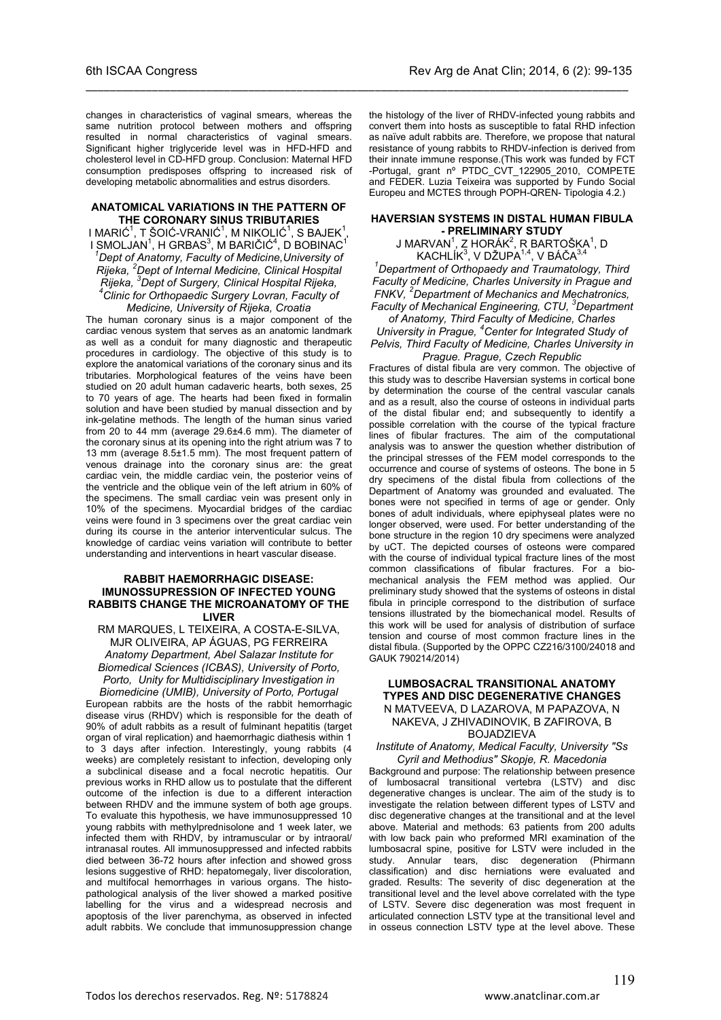changes in characteristics of vaginal smears, whereas the same nutrition protocol between mothers and offspring resulted in normal characteristics of vaginal smears. Significant higher triglyceride level was in HFD-HFD and cholesterol level in CD-HFD group. Conclusion: Maternal HFD consumption predisposes offspring to increased risk of developing metabolic abnormalities and estrus disorders.

\_\_\_\_\_\_\_\_\_\_\_\_\_\_\_\_\_\_\_\_\_\_\_\_\_\_\_\_\_\_\_\_\_\_\_\_\_\_\_\_\_\_\_\_\_\_\_\_\_\_\_\_\_\_\_\_\_\_\_\_\_\_\_\_\_\_\_\_\_\_\_\_\_\_\_\_\_\_\_\_\_\_\_\_\_\_\_\_\_\_

#### **ANATOMICAL VARIATIONS IN THE PATTERN OF THE CORONARY SINUS TRIBUTARIES**

I MARIĆ $^1$ , T ŠOIĆ-VRANIĆ $^1$ , M NIKOLIĆ $^1$ , S BAJEK $^1$ , I SMOLJAN $^1$ , H GRBAS $^3$ , M BARIČIĆ $^4$ , D BOBINAC $^1$ *1 Dept of Anatomy, Faculty of Medicine,University of Rijeka, <sup>2</sup> Dept of Internal Medicine, Clinical Hospital Rijeka, <sup>3</sup> Dept of Surgery, Clinical Hospital Rijeka, 4 Clinic for Orthopaedic Surgery Lovran, Faculty of Medicine, University of Rijeka, Croatia*

The human coronary sinus is a major component of the cardiac venous system that serves as an anatomic landmark as well as a conduit for many diagnostic and therapeutic procedures in cardiology. The objective of this study is to explore the anatomical variations of the coronary sinus and its tributaries. Morphological features of the veins have been studied on 20 adult human cadaveric hearts, both sexes, 25 to 70 years of age. The hearts had been fixed in formalin solution and have been studied by manual dissection and by ink-gelatine methods. The length of the human sinus varied from 20 to 44 mm (average 29.6±4.6 mm). The diameter of the coronary sinus at its opening into the right atrium was 7 to 13 mm (average 8.5±1.5 mm). The most frequent pattern of venous drainage into the coronary sinus are: the great cardiac vein, the middle cardiac vein, the posterior veins of the ventricle and the oblique vein of the left atrium in 60% of the specimens. The small cardiac vein was present only in 10% of the specimens. Myocardial bridges of the cardiac veins were found in 3 specimens over the great cardiac vein during its course in the anterior interventicular sulcus. The knowledge of cardiac veins variation will contribute to better understanding and interventions in heart vascular disease.

#### **RABBIT HAEMORRHAGIC DISEASE: IMUNOSSUPRESSION OF INFECTED YOUNG RABBITS CHANGE THE MICROANATOMY OF THE LIVER**

RM MARQUES, L TEIXEIRA, A COSTA-E-SILVA, MJR OLIVEIRA, AP ÁGUAS, PG FERREIRA *Anatomy Department, Abel Salazar Institute for Biomedical Sciences (ICBAS), University of Porto, Porto, Unity for Multidisciplinary Investigation in* 

*Biomedicine (UMIB), University of Porto, Portugal* European rabbits are the hosts of the rabbit hemorrhagic disease virus (RHDV) which is responsible for the death of 90% of adult rabbits as a result of fulminant hepatitis (target organ of viral replication) and haemorrhagic diathesis within 1 to 3 days after infection. Interestingly, young rabbits (4 weeks) are completely resistant to infection, developing only a subclinical disease and a focal necrotic hepatitis. Our previous works in RHD allow us to postulate that the different outcome of the infection is due to a different interaction between RHDV and the immune system of both age groups. To evaluate this hypothesis, we have immunosuppressed 10 young rabbits with methylprednisolone and 1 week later, we infected them with RHDV, by intramuscular or by intraoral/ intranasal routes. All immunosuppressed and infected rabbits died between 36-72 hours after infection and showed gross lesions suggestive of RHD: hepatomegaly, liver discoloration, and multifocal hemorrhages in various organs. The histopathological analysis of the liver showed a marked positive labelling for the virus and a widespread necrosis and apoptosis of the liver parenchyma, as observed in infected adult rabbits. We conclude that immunosuppression change

the histology of the liver of RHDV-infected young rabbits and convert them into hosts as susceptible to fatal RHD infection as naïve adult rabbits are. Therefore, we propose that natural resistance of young rabbits to RHDV-infection is derived from their innate immune response.(This work was funded by FCT -Portugal, grant nº PTDC\_CVT\_122905\_2010, COMPETE and FEDER. Luzia Teixeira was supported by Fundo Social Europeu and MCTES through POPH-QREN- Tipologia 4.2.)

#### **HAVERSIAN SYSTEMS IN DISTAL HUMAN FIBULA - PRELIMINARY STUDY**

 $\sf J$  MARVAN $^1$ , Z HORÁK $^2$ , R BARTOŠKA $^1$ , D KACHLÍK<sup>3</sup>, V DŽUPA<sup>1,4</sup>, V BÁČA<sup>3,4</sup>

*1 Department of Orthopaedy and Traumatology, Third Faculty of Medicine, Charles University in Prague and FNKV, <sup>2</sup> Department of Mechanics and Mechatronics, Faculty of Mechanical Engineering, CTU, <sup>3</sup> Department* 

### *of Anatomy, Third Faculty of Medicine, Charles*

*University in Prague, <sup>4</sup> Center for Integrated Study of Pelvis, Third Faculty of Medicine, Charles University in Prague. Prague, Czech Republic*

Fractures of distal fibula are very common. The objective of this study was to describe Haversian systems in cortical bone by determination the course of the central vascular canals and as a result, also the course of osteons in individual parts of the distal fibular end; and subsequently to identify a possible correlation with the course of the typical fracture lines of fibular fractures. The aim of the computational analysis was to answer the question whether distribution of the principal stresses of the FEM model corresponds to the occurrence and course of systems of osteons. The bone in 5 dry specimens of the distal fibula from collections of the Department of Anatomy was grounded and evaluated. The bones were not specified in terms of age or gender. Only bones of adult individuals, where epiphyseal plates were no longer observed, were used. For better understanding of the bone structure in the region 10 dry specimens were analyzed by uCT. The depicted courses of osteons were compared with the course of individual typical fracture lines of the most common classifications of fibular fractures. For a biomechanical analysis the FEM method was applied. Our preliminary study showed that the systems of osteons in distal fibula in principle correspond to the distribution of surface tensions illustrated by the biomechanical model. Results of this work will be used for analysis of distribution of surface tension and course of most common fracture lines in the distal fibula. (Supported by the OPPC CZ216/3100/24018 and GAUK 790214/2014)

#### **LUMBOSACRAL TRANSITIONAL ANATOMY TYPES AND DISC DEGENERATIVE CHANGES** N MATVEEVA, D LAZAROVA, M PAPAZOVA, N NAKEVA, J ZHIVADINOVIK, B ZAFIROVA, B BOJADZIEVA

#### *Institute of Anatomy, Medical Faculty, University "Ss Cyril and Methodius" Skopje, R. Macedonia*

Background and purpose: The relationship between presence of lumbosacral transitional vertebra (LSTV) and disc degenerative changes is unclear. The aim of the study is to investigate the relation between different types of LSTV and disc degenerative changes at the transitional and at the level above. Material and methods: 63 patients from 200 adults with low back pain who preformed MRI examination of the lumbosacral spine, positive for LSTV were included in the study. Annular tears, disc degeneration (Phirmann classification) and disc herniations were evaluated and graded. Results: The severity of disc degeneration at the transitional level and the level above correlated with the type of LSTV. Severe disc degeneration was most frequent in articulated connection LSTV type at the transitional level and in osseus connection LSTV type at the level above. These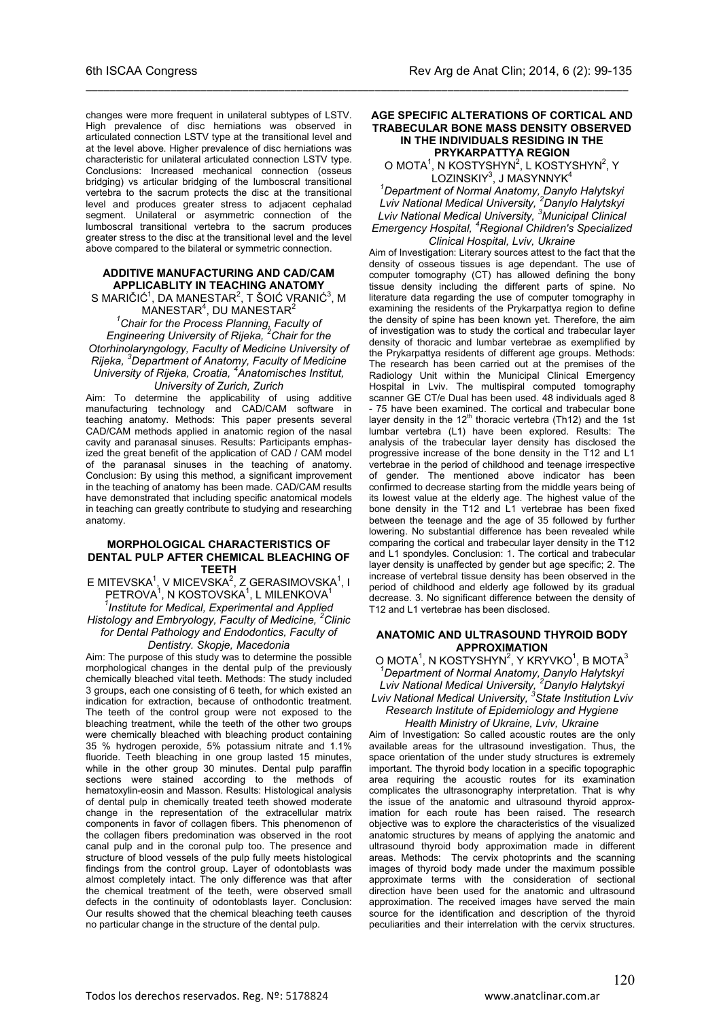changes were more frequent in unilateral subtypes of LSTV. High prevalence of disc herniations was observed in articulated connection LSTV type at the transitional level and at the level above. Higher prevalence of disc herniations was characteristic for unilateral articulated connection LSTV type. Conclusions: Increased mechanical connection (osseus bridging) vs articular bridging of the lumboscral transitional vertebra to the sacrum protects the disc at the transitional level and produces greater stress to adjacent cephalad segment. Unilateral or asymmetric connection of the lumboscral transitional vertebra to the sacrum produces greater stress to the disc at the transitional level and the level above compared to the bilateral or symmetric connection.

\_\_\_\_\_\_\_\_\_\_\_\_\_\_\_\_\_\_\_\_\_\_\_\_\_\_\_\_\_\_\_\_\_\_\_\_\_\_\_\_\_\_\_\_\_\_\_\_\_\_\_\_\_\_\_\_\_\_\_\_\_\_\_\_\_\_\_\_\_\_\_\_\_\_\_\_\_\_\_\_\_\_\_\_\_\_\_\_\_\_

#### **ADDITIVE MANUFACTURING AND CAD/CAM APPLICABLITY IN TEACHING ANATOMY**

S MARIČIĆ $^1$ , DA MANESTAR $^2$ , T ŠOIĆ VRANIĆ $^3$ , M  $M$ ANESTAR $^4$ , DU MANESTAR $^2$ 

*1 Chair for the Process Planning, Faculty of Engineering University of Rijeka, <sup>2</sup> Chair for the Otorhinolaryngology, Faculty of Medicine University of Rijeka, <sup>3</sup> Department of Anatomy, Faculty of Medicine University of Rijeka, Croatia, <sup>4</sup> Anatomisches Institut, University of Zurich, Zurich*

Aim: To determine the applicability of using additive manufacturing technology and CAD/CAM software in teaching anatomy. Methods: This paper presents several CAD/CAM methods applied in anatomic region of the nasal cavity and paranasal sinuses. Results: Participants emphasized the great benefit of the application of CAD / CAM model of the paranasal sinuses in the teaching of anatomy. Conclusion: By using this method, a significant improvement in the teaching of anatomy has been made. CAD/CAM results have demonstrated that including specific anatomical models in teaching can greatly contribute to studying and researching anatomy.

#### **MORPHOLOGICAL CHARACTERISTICS OF DENTAL PULP AFTER CHEMICAL BLEACHING OF TEETH**

E MITEVSKA<sup>1</sup>, V MICEVSKA<sup>2</sup>, Z GERASIMOVSKA<sup>1</sup>, I PETROVA<sup>1</sup>, N KOSTOVSKA<sup>1</sup>, L MILENKOVA<sup>1</sup> *1 Institute for Medical, Experimental and Applied Histology and Embryology, Faculty of Medicine, <sup>2</sup> Clinic for Dental Pathology and Endodontics, Faculty of* 

*Dentistry. Skopje, Macedonia* Aim: The purpose of this study was to determine the possible morphological changes in the dental pulp of the previously chemically bleached vital teeth. Methods: The study included 3 groups, each one consisting of 6 teeth, for which existed an indication for extraction, because of onthodontic treatment. The teeth of the control group were not exposed to the bleaching treatment, while the teeth of the other two groups were chemically bleached with bleaching product containing 35 % hydrogen peroxide, 5% potassium nitrate and 1.1% fluoride. Teeth bleaching in one group lasted 15 minutes, while in the other group 30 minutes. Dental pulp paraffin sections were stained according to the methods of hematoxylin-eosin and Masson. Results: Histological analysis of dental pulp in chemically treated teeth showed moderate change in the representation of the extracellular matrix components in favor of collagen fibers. This phenomenon of the collagen fibers predomination was observed in the root canal pulp and in the coronal pulp too. The presence and structure of blood vessels of the pulp fully meets histological findings from the control group. Layer of odontoblasts was almost completely intact. The only difference was that after the chemical treatment of the teeth, were observed small defects in the continuity of odontoblasts layer. Conclusion: Our results showed that the chemical bleaching teeth causes no particular change in the structure of the dental pulp.

#### **AGE SPECIFIC ALTERATIONS OF CORTICAL AND TRABECULAR BONE MASS DENSITY OBSERVED IN THE INDIVIDUALS RESIDING IN THE PRYKARPATTYA REGION**

O MOTA<sup>1</sup>, N KOSTYSHYN<sup>2</sup>, L KOSTYSHYN<sup>2</sup>, Y LOZINSKIY<sup>3</sup>, J MASYNNYK<sup>4</sup>

*1 Department of Normal Anatomy, Danylo Halytskyi Lviv National Medical University, <sup>2</sup> Danylo Halytskyi Lviv National Medical University, <sup>3</sup> Municipal Clinical Emergency Hospital, <sup>4</sup> Regional Children's Specialized Clinical Hospital, Lviv, Ukraine*

Aim of Investigation: Literary sources attest to the fact that the density of osseous tissues is age dependant. The use of computer tomography (CT) has allowed defining the bony tissue density including the different parts of spine. No literature data regarding the use of computer tomography in examining the residents of the Prykarpattya region to define the density of spine has been known yet. Therefore, the aim of investigation was to study the cortical and trabecular layer density of thoracic and lumbar vertebrae as exemplified by the Prykarpattya residents of different age groups. Methods: The research has been carried out at the premises of the Radiology Unit within the Municipal Clinical Emergency Hospital in Lviv. The multispiral computed tomography scanner GE CT/e Dual has been used. 48 individuals aged 8 - 75 have been examined. The cortical and trabecular bone layer density in the 12<sup>th</sup> thoracic vertebra (Th12) and the 1st lumbar vertebra (L1) have been explored. Results: The analysis of the trabecular layer density has disclosed the progressive increase of the bone density in the T12 and L1 vertebrae in the period of childhood and teenage irrespective of gender. The mentioned above indicator has been confirmed to decrease starting from the middle years being of its lowest value at the elderly age. The highest value of the bone density in the T12 and L1 vertebrae has been fixed between the teenage and the age of 35 followed by further lowering. No substantial difference has been revealed while comparing the cortical and trabecular layer density in the T12 and L1 spondyles. Conclusion: 1. The cortical and trabecular layer density is unaffected by gender but age specific; 2. The increase of vertebral tissue density has been observed in the period of childhood and elderly age followed by its gradual decrease. 3. No significant difference between the density of T12 and L1 vertebrae has been disclosed.

#### **ANATOMIC AND ULTRASOUND THYROID BODY APPROXIMATION**

 $O$  MOTA<sup>1</sup>, N KOSTYSHYN<sup>2</sup>, Y KRYVKO<sup>1</sup>, B MOTA<sup>3</sup> *1 Department of Normal Anatomy, Danylo Halytskyi Lviv National Medical University, <sup>2</sup> Danylo Halytskyi Lviv National Medical University, <sup>3</sup> State Institution Lviv Research Institute of Epidemiology and Hygiene* 

*Health Ministry of Ukraine, Lviv, Ukraine*

Aim of Investigation: So called acoustic routes are the only available areas for the ultrasound investigation. Thus, the space orientation of the under study structures is extremely important. The thyroid body location in a specific topographic area requiring the acoustic routes for its examination complicates the ultrasonography interpretation. That is why the issue of the anatomic and ultrasound thyroid approximation for each route has been raised. The research objective was to explore the characteristics of the visualized anatomic structures by means of applying the anatomic and ultrasound thyroid body approximation made in different areas. Methods: The cervix photoprints and the scanning images of thyroid body made under the maximum possible approximate terms with the consideration of sectional direction have been used for the anatomic and ultrasound approximation. The received images have served the main source for the identification and description of the thyroid peculiarities and their interrelation with the cervix structures.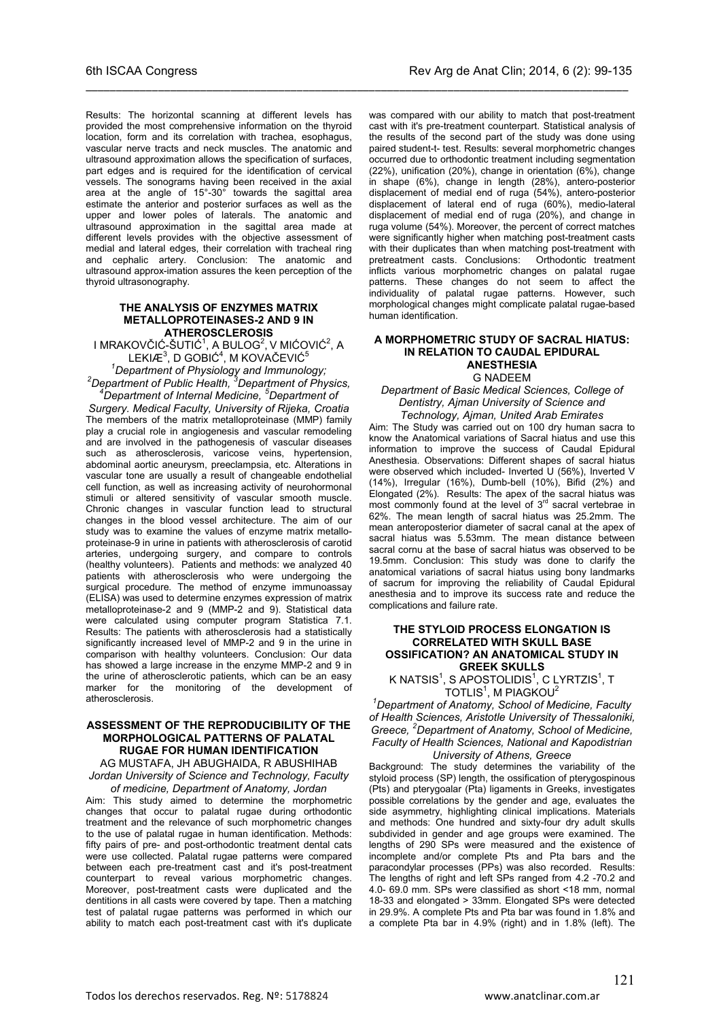Results: The horizontal scanning at different levels has provided the most comprehensive information on the thyroid location, form and its correlation with trachea, esophagus, vascular nerve tracts and neck muscles. The anatomic and ultrasound approximation allows the specification of surfaces, part edges and is required for the identification of cervical vessels. The sonograms having been received in the axial area at the angle of 15°-30° towards the sagittal area estimate the anterior and posterior surfaces as well as the upper and lower poles of laterals. The anatomic and ultrasound approximation in the sagittal area made at different levels provides with the objective assessment of medial and lateral edges, their correlation with tracheal ring and cephalic artery. Conclusion: The anatomic and ultrasound approx-imation assures the keen perception of the thyroid ultrasonography.

\_\_\_\_\_\_\_\_\_\_\_\_\_\_\_\_\_\_\_\_\_\_\_\_\_\_\_\_\_\_\_\_\_\_\_\_\_\_\_\_\_\_\_\_\_\_\_\_\_\_\_\_\_\_\_\_\_\_\_\_\_\_\_\_\_\_\_\_\_\_\_\_\_\_\_\_\_\_\_\_\_\_\_\_\_\_\_\_\_\_

#### **THE ANALYSIS OF ENZYMES MATRIX METALLOPROTEINASES-2 AND 9 IN ATHEROSCLEROSIS**

I MRAKOVČIĆ-ŠUTIĆ $^1$ , A BULOG $^2$ , V MIĆOVIĆ $^2$ , A LEKIÆ $^3$ , D GOBIĆ $^4$ , M KOVAČEVIĆ $^5$ <sup>1</sup> Department of Physiology and Immunology;<br><sup>2</sup> Department of Bublic Health <sup>3</sup> Department of Physi

*Department of Public Health, <sup>3</sup> Department of Physics, 4 Department of Internal Medicine, <sup>5</sup> Department of* 

*Surgery. Medical Faculty, University of Rijeka, Croatia* The members of the matrix metalloproteinase (MMP) family play a crucial role in angiogenesis and vascular remodeling and are involved in the pathogenesis of vascular diseases such as atherosclerosis, varicose veins, hypertension, abdominal aortic aneurysm, preeclampsia, etc. Alterations in vascular tone are usually a result of changeable endothelial cell function, as well as increasing activity of neurohormonal stimuli or altered sensitivity of vascular smooth muscle. Chronic changes in vascular function lead to structural changes in the blood vessel architecture. The aim of our study was to examine the values of enzyme matrix metalloproteinase-9 in urine in patients with atherosclerosis of carotid arteries, undergoing surgery, and compare to controls (healthy volunteers). Patients and methods: we analyzed 40 patients with atherosclerosis who were undergoing the surgical procedure. The method of enzyme immunoassay (ELISA) was used to determine enzymes expression of matrix metalloproteinase-2 and 9 (MMP-2 and 9). Statistical data were calculated using computer program Statistica 7.1. Results: The patients with atherosclerosis had a statistically significantly increased level of MMP-2 and 9 in the urine in comparison with healthy volunteers. Conclusion: Our data has showed a large increase in the enzyme MMP-2 and 9 in the urine of atherosclerotic patients, which can be an easy marker for the monitoring of the development of atherosclerosis.

### **ASSESSMENT OF THE REPRODUCIBILITY OF THE MORPHOLOGICAL PATTERNS OF PALATAL RUGAE FOR HUMAN IDENTIFICATION**

AG MUSTAFA, JH ABUGHAIDA, R ABUSHIHAB *Jordan University of Science and Technology, Faculty* 

*of medicine, Department of Anatomy, Jordan* Aim: This study aimed to determine the morphometric changes that occur to palatal rugae during orthodontic treatment and the relevance of such morphometric changes to the use of palatal rugae in human identification. Methods: fifty pairs of pre- and post-orthodontic treatment dental cats were use collected. Palatal rugae patterns were compared between each pre-treatment cast and it's post-treatment counterpart to reveal various morphometric changes. Moreover, post-treatment casts were duplicated and the dentitions in all casts were covered by tape. Then a matching test of palatal rugae patterns was performed in which our ability to match each post-treatment cast with it's duplicate

was compared with our ability to match that post-treatment cast with it's pre-treatment counterpart. Statistical analysis of the results of the second part of the study was done using paired student-t- test. Results: several morphometric changes occurred due to orthodontic treatment including segmentation (22%), unification (20%), change in orientation (6%), change in shape (6%), change in length (28%), antero-posterior displacement of medial end of ruga (54%), antero-posterior displacement of lateral end of ruga (60%), medio-lateral displacement of medial end of ruga (20%), and change in ruga volume (54%). Moreover, the percent of correct matches were significantly higher when matching post-treatment casts with their duplicates than when matching post-treatment with pretreatment casts. Conclusions: Orthodontic treatment pretreatment casts. Conclusions: inflicts various morphometric changes on palatal rugae patterns. These changes do not seem to affect the individuality of palatal rugae patterns. However, such morphological changes might complicate palatal rugae-based human identification.

#### **A MORPHOMETRIC STUDY OF SACRAL HIATUS: IN RELATION TO CAUDAL EPIDURAL ANESTHESIA** G NADEEM

*Department of Basic Medical Sciences, College of Dentistry, Ajman University of Science and Technology, Ajman, United Arab Emirates*

Aim: The Study was carried out on 100 dry human sacra to know the Anatomical variations of Sacral hiatus and use this information to improve the success of Caudal Epidural Anesthesia. Observations: Different shapes of sacral hiatus were observed which included- Inverted U (56%), Inverted V (14%), Irregular (16%), Dumb-bell (10%), Bifid (2%) and Elongated (2%). Results: The apex of the sacral hiatus was most commonly found at the level of 3<sup>rd</sup> sacral vertebrae in 62%. The mean length of sacral hiatus was 25.2mm. The mean anteroposterior diameter of sacral canal at the apex of sacral hiatus was 5.53mm. The mean distance between sacral cornu at the base of sacral hiatus was observed to be 19.5mm. Conclusion: This study was done to clarify the anatomical variations of sacral hiatus using bony landmarks of sacrum for improving the reliability of Caudal Epidural anesthesia and to improve its success rate and reduce the complications and failure rate.

#### **THE STYLOID PROCESS ELONGATION IS CORRELATED WITH SKULL BASE OSSIFICATION? AN ANATOMICAL STUDY IN GREEK SKULLS**

K NATSIS<sup>1</sup>, S APOSTOLIDIS<sup>1</sup>, C LYRTZIS<sup>1</sup>, T  $T$ OTLIS $1$ , M PIAGKOU $^2$ 

*1 Department of Anatomy, School of Medicine, Faculty of Health Sciences, Aristotle University of Thessaloniki, Greece, <sup>2</sup> Department of Anatomy, School of Medicine, Faculty of Health Sciences, National and Kapodistrian University of Athens, Greece*

Background: The study determines the variability of the styloid process (SP) length, the ossification of pterygospinous (Pts) and pterygoalar (Pta) ligaments in Greeks, investigates possible correlations by the gender and age, evaluates the side asymmetry, highlighting clinical implications. Materials and methods: One hundred and sixty-four dry adult skulls subdivided in gender and age groups were examined. The lengths of 290 SPs were measured and the existence of incomplete and/or complete Pts and Pta bars and the paracondylar processes (PPs) was also recorded. Results: The lengths of right and left SPs ranged from 4.2 -70.2 and 4.0- 69.0 mm. SPs were classified as short <18 mm, normal 18-33 and elongated > 33mm. Elongated SPs were detected in 29.9%. A complete Pts and Pta bar was found in 1.8% and a complete Pta bar in 4.9% (right) and in 1.8% (left). The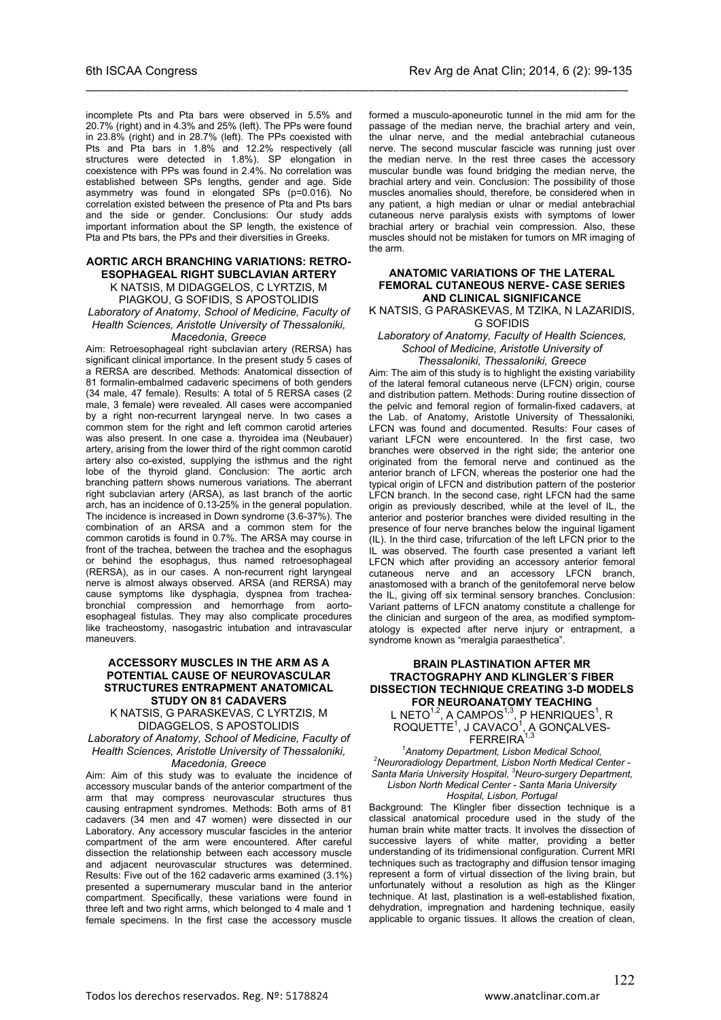incomplete Pts and Pta bars were observed in 5.5% and 20.7% (right) and in 4.3% and 25% (left). The PPs were found in 23.8% (right) and in 28.7% (left). The PPs coexisted with Pts and Pta bars in 1.8% and 12.2% respectively (all structures were detected in 1.8%). SP elongation in coexistence with PPs was found in 2.4%. No correlation was established between SPs lengths, gender and age. Side asymmetry was found in elongated SPs (p=0.016). No correlation existed between the presence of Pta and Pts bars and the side or gender. Conclusions: Our study adds important information about the SP length, the existence of Pta and Pts bars, the PPs and their diversities in Greeks.

\_\_\_\_\_\_\_\_\_\_\_\_\_\_\_\_\_\_\_\_\_\_\_\_\_\_\_\_\_\_\_\_\_\_\_\_\_\_\_\_\_\_\_\_\_\_\_\_\_\_\_\_\_\_\_\_\_\_\_\_\_\_\_\_\_\_\_\_\_\_\_\_\_\_\_\_\_\_\_\_\_\_\_\_\_\_\_\_\_\_

#### **AORTIC ARCH BRANCHING VARIATIONS: RETRO-ESOPHAGEAL RIGHT SUBCLAVIAN ARTERY**

K NATSIS, M DIDAGGELOS, C LYRTZIS, M PIAGKOU, G SOFIDIS, S APOSTOLIDIS *Laboratory of Anatomy, School of Medicine, Faculty of Health Sciences, Aristotle University of Thessaloniki,* 

### *Macedonia, Greece*

Aim: Retroesophageal right subclavian artery (RERSA) has significant clinical importance. In the present study 5 cases of a RERSA are described. Methods: Anatomical dissection of 81 formalin-embalmed cadaveric specimens of both genders (34 male, 47 female). Results: A total of 5 RERSA cases (2 male, 3 female) were revealed. All cases were accompanied by a right non-recurrent laryngeal nerve. In two cases a common stem for the right and left common carotid arteries was also present. In one case a. thyroidea ima (Neubauer) artery, arising from the lower third of the right common carotid artery also co-existed, supplying the isthmus and the right lobe of the thyroid gland. Conclusion: The aortic arch branching pattern shows numerous variations. The aberrant right subclavian artery (ARSA), as last branch of the aortic arch, has an incidence of 0.13-25% in the general population. The incidence is increased in Down syndrome (3.6-37%). The combination of an ARSA and a common stem for the common carotids is found in 0.7%. The ARSA may course in front of the trachea, between the trachea and the esophagus or behind the esophagus, thus named retroesophageal (RERSA), as in our cases. A non-recurrent right laryngeal nerve is almost always observed. ARSA (and RERSA) may cause symptoms like dysphagia, dyspnea from tracheabronchial compression and hemorrhage from aortoesophageal fistulas. They may also complicate procedures like tracheostomy, nasogastric intubation and intravascular maneuvers.

#### **ACCESSORY MUSCLES IN THE ARM AS A POTENTIAL CAUSE OF NEUROVASCULAR STRUCTURES ENTRAPMENT ANATOMICAL STUDY ON 81 CADAVERS**

K NATSIS, G PARASKEVAS, C LYRTZIS, M DIDAGGELOS, S APOSTOLIDIS

*Laboratory of Anatomy, School of Medicine, Faculty of Health Sciences, Aristotle University of Thessaloniki,* 

#### *Macedonia, Greece*

Aim: Aim of this study was to evaluate the incidence of accessory muscular bands of the anterior compartment of the arm that may compress neurovascular structures thus causing entrapment syndromes. Methods: Both arms of 81 cadavers (34 men and 47 women) were dissected in our Laboratory. Any accessory muscular fascicles in the anterior compartment of the arm were encountered. After careful dissection the relationship between each accessory muscle and adjacent neurovascular structures was determined. Results: Five out of the 162 cadaveric arms examined (3.1%) presented a supernumerary muscular band in the anterior compartment. Specifically, these variations were found in three left and two right arms, which belonged to 4 male and 1 female specimens. In the first case the accessory muscle

formed a musculo-aponeurotic tunnel in the mid arm for the passage of the median nerve, the brachial artery and vein, the ulnar nerve, and the medial antebrachial cutaneous nerve. The second muscular fascicle was running just over the median nerve. In the rest three cases the accessory muscular bundle was found bridging the median nerve, the brachial artery and vein. Conclusion: The possibility of those muscles anomalies should, therefore, be considered when in any patient, a high median or ulnar or medial antebrachial cutaneous nerve paralysis exists with symptoms of lower brachial artery or brachial vein compression. Also, these muscles should not be mistaken for tumors on MR imaging of the arm.

#### **ANATOMIC VARIATIONS OF THE LATERAL FEMORAL CUTANEOUS NERVE- CASE SERIES AND CLINICAL SIGNIFICANCE**

K NATSIS, G PARASKEVAS, M TZIKA, N LAZARIDIS, G SOFIDIS

*Laboratory of Anatomy, Faculty of Health Sciences, School of Medicine, Aristotle University of Thessaloniki, Thessaloniki, Greece*

Aim: The aim of this study is to highlight the existing variability of the lateral femoral cutaneous nerve (LFCN) origin, course and distribution pattern. Methods: During routine dissection of the pelvic and femoral region of formalin-fixed cadavers, at the Lab. of Anatomy, Aristotle University of Thessaloniki, LFCN was found and documented. Results: Four cases of variant LFCN were encountered. In the first case, two branches were observed in the right side; the anterior one originated from the femoral nerve and continued as the anterior branch of LFCN, whereas the posterior one had the typical origin of LFCN and distribution pattern of the posterior LFCN branch. In the second case, right LFCN had the same origin as previously described, while at the level of IL, the anterior and posterior branches were divided resulting in the presence of four nerve branches below the inguinal ligament (IL). In the third case, trifurcation of the left LFCN prior to the IL was observed. The fourth case presented a variant left LFCN which after providing an accessory anterior femoral cutaneous nerve and an accessory LFCN branch, anastomosed with a branch of the genitofemoral nerve below the IL, giving off six terminal sensory branches. Conclusion: Variant patterns of LFCN anatomy constitute a challenge for the clinician and surgeon of the area, as modified symptomatology is expected after nerve injury or entrapment, a syndrome known as "meralgia paraesthetica".

#### **BRAIN PLASTINATION AFTER MR TRACTOGRAPHY AND KLINGLER´S FIBER DISSECTION TECHNIQUE CREATING 3-D MODELS FOR NEUROANATOMY TEACHING**

L NETO $^{1,2}$ , A CAMPOS $^{1,3}$ , P HENRIQUES $^{1}$ , R ROQUETTE<sup>1</sup>, J CAVACO<sup>1</sup>, A GONÇALVES-FERREIRA<sup>1,3</sup>

<sup>1</sup> Anatomy Department. Lisbon Medical School. *Anatomy Department, Lisbon Medical School, 2 Neuroradiology Department, Lisbon North Medical Center - Santa Maria University Hospital, <sup>3</sup> Neuro-surgery Department, Lisbon North Medical Center - Santa Maria University Hospital, Lisbon, Portugal*

Background: The Klingler fiber dissection technique is a classical anatomical procedure used in the study of the human brain white matter tracts. It involves the dissection of successive layers of white matter, providing a better understanding of its tridimensional configuration. Current MRI techniques such as tractography and diffusion tensor imaging represent a form of virtual dissection of the living brain, but unfortunately without a resolution as high as the Klinger technique. At last, plastination is a well-established fixation, dehydration, impregnation and hardening technique, easily applicable to organic tissues. It allows the creation of clean,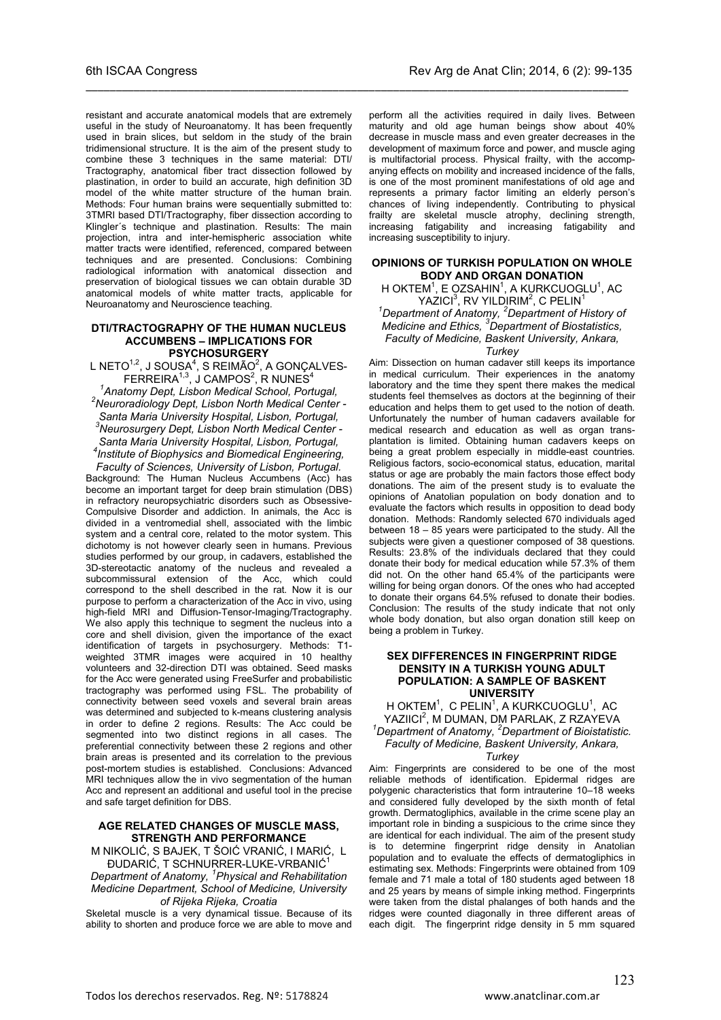resistant and accurate anatomical models that are extremely useful in the study of Neuroanatomy. It has been frequently used in brain slices, but seldom in the study of the brain tridimensional structure. It is the aim of the present study to combine these 3 techniques in the same material: DTI/ Tractography, anatomical fiber tract dissection followed by plastination, in order to build an accurate, high definition 3D model of the white matter structure of the human brain. Methods: Four human brains were sequentially submitted to: 3TMRI based DTI/Tractography, fiber dissection according to Klingler´s technique and plastination. Results: The main projection, intra and inter-hemispheric association white matter tracts were identified, referenced, compared between techniques and are presented. Conclusions: Combining radiological information with anatomical dissection and preservation of biological tissues we can obtain durable 3D anatomical models of white matter tracts, applicable for Neuroanatomy and Neuroscience teaching.

\_\_\_\_\_\_\_\_\_\_\_\_\_\_\_\_\_\_\_\_\_\_\_\_\_\_\_\_\_\_\_\_\_\_\_\_\_\_\_\_\_\_\_\_\_\_\_\_\_\_\_\_\_\_\_\_\_\_\_\_\_\_\_\_\_\_\_\_\_\_\_\_\_\_\_\_\_\_\_\_\_\_\_\_\_\_\_\_\_\_

#### **DTI/TRACTOGRAPHY OF THE HUMAN NUCLEUS ACCUMBENS – IMPLICATIONS FOR PSYCHOSURGERY**

L NETO<sup>1,2</sup>, J SOUSA<sup>4</sup>, S REIMÃO<sup>2</sup>, A GONÇALVES- $\mathsf{FERREIRA}^{1,3},$  J CAMPOS $^2$ , R NUNES $^4$ *1 Anatomy Dept, Lisbon Medical School, Portugal, <sup>2</sup>*

*Neuroradiology Dept, Lisbon North Medical Center - Santa Maria University Hospital, Lisbon, Portugal, 3 Neurosurgery Dept, Lisbon North Medical Center - Santa Maria University Hospital, Lisbon, Portugal, 4 Institute of Biophysics and Biomedical Engineering, Faculty of Sciences, University of Lisbon, Portugal.*

Background: The Human Nucleus Accumbens (Acc) has become an important target for deep brain stimulation (DBS) in refractory neuropsychiatric disorders such as Obsessive-Compulsive Disorder and addiction. In animals, the Acc is divided in a ventromedial shell, associated with the limbic system and a central core, related to the motor system. This dichotomy is not however clearly seen in humans. Previous studies performed by our group, in cadavers, established the 3D-stereotactic anatomy of the nucleus and revealed a subcommissural extension of the Acc, which could correspond to the shell described in the rat. Now it is our purpose to perform a characterization of the Acc in vivo, using high-field MRI and Diffusion-Tensor-Imaging/Tractography. We also apply this technique to segment the nucleus into a core and shell division, given the importance of the exact identification of targets in psychosurgery. Methods: T1 weighted 3TMR images were acquired in 10 healthy volunteers and 32-direction DTI was obtained. Seed masks for the Acc were generated using FreeSurfer and probabilistic tractography was performed using FSL. The probability of connectivity between seed voxels and several brain areas was determined and subjected to k-means clustering analysis in order to define 2 regions. Results: The Acc could be segmented into two distinct regions in all cases. The preferential connectivity between these 2 regions and other brain areas is presented and its correlation to the previous post-mortem studies is established. Conclusions: Advanced MRI techniques allow the in vivo segmentation of the human Acc and represent an additional and useful tool in the precise and safe target definition for DBS.

#### **AGE RELATED CHANGES OF MUSCLE MASS, STRENGTH AND PERFORMANCE**

M NIKOLIĆ, S BAJEK, T ŠOIĆ VRANIĆ, I MARIĆ, L ĐUDARIĆ, T SCHNURRER-LUKE-VRBANIĆ<sup>1</sup>

*Department of Anatomy, <sup>1</sup> Physical and Rehabilitation Medicine Department, School of Medicine, University of Rijeka Rijeka, Croatia*

Skeletal muscle is a very dynamical tissue. Because of its ability to shorten and produce force we are able to move and

perform all the activities required in daily lives. Between maturity and old age human beings show about 40% decrease in muscle mass and even greater decreases in the development of maximum force and power, and muscle aging is multifactorial process. Physical frailty, with the accompanying effects on mobility and increased incidence of the falls, is one of the most prominent manifestations of old age and represents a primary factor limiting an elderly person's chances of living independently. Contributing to physical frailty are skeletal muscle atrophy, declining strength, increasing fatigability and increasing fatigability and increasing susceptibility to injury.

#### **OPINIONS OF TURKISH POPULATION ON WHOLE BODY AND ORGAN DONATION**

H OKTEM<sup>1</sup>, E OZSAHIN<sup>1</sup>, A KURKCUOGLU<sup>1</sup>, AC  $YAZ$ ICI ${}^{3}$ , RV YILDIRIM ${}^{2}$ , C PELIN ${}^{1}$ *1 Department of Anatomy, <sup>2</sup> Department of History of Medicine and Ethics, <sup>3</sup> Department of Biostatistics, Faculty of Medicine, Baskent University, Ankara, Turkey*

Aim: Dissection on human cadaver still keeps its importance in medical curriculum. Their experiences in the anatomy laboratory and the time they spent there makes the medical students feel themselves as doctors at the beginning of their education and helps them to get used to the notion of death. Unfortunately the number of human cadavers available for medical research and education as well as organ transplantation is limited. Obtaining human cadavers keeps on being a great problem especially in middle-east countries. Religious factors, socio-economical status, education, marital status or age are probably the main factors those effect body donations. The aim of the present study is to evaluate the opinions of Anatolian population on body donation and to evaluate the factors which results in opposition to dead body donation. Methods: Randomly selected 670 individuals aged between 18 – 85 years were participated to the study. All the subjects were given a questioner composed of 38 questions. Results: 23.8% of the individuals declared that they could donate their body for medical education while 57.3% of them did not. On the other hand 65.4% of the participants were willing for being organ donors. Of the ones who had accepted to donate their organs 64.5% refused to donate their bodies. Conclusion: The results of the study indicate that not only whole body donation, but also organ donation still keep on being a problem in Turkey.

#### **SEX DIFFERENCES IN FINGERPRINT RIDGE DENSITY IN A TURKISH YOUNG ADULT POPULATION: A SAMPLE OF BASKENT UNIVERSITY**

H OKTEM<sup>1</sup>, C PELIN<sup>1</sup>, A KURKCUOGLU<sup>1</sup>, AC YAZIICI<sup>2</sup>, M DUMAN, DM PARLAK, Z RZAYEVA<br><sup>1</sup> Department of Anatomy, <sup>2</sup> Department of Biointation *Department of Anatomy, <sup>2</sup> Department of Bioistatistic. Faculty of Medicine, Baskent University, Ankara,* 

#### *Turkey*

Aim: Fingerprints are considered to be one of the most reliable methods of identification. Epidermal ridges are polygenic characteristics that form intrauterine 10–18 weeks and considered fully developed by the sixth month of fetal growth. Dermatogliphics, available in the crime scene play an important role in binding a suspicious to the crime since they are identical for each individual. The aim of the present study is to determine fingerprint ridge density in Anatolian population and to evaluate the effects of dermatogliphics in estimating sex. Methods: Fingerprints were obtained from 109 female and 71 male a total of 180 students aged between 18 and 25 years by means of simple inking method. Fingerprints were taken from the distal phalanges of both hands and the ridges were counted diagonally in three different areas of each digit. The fingerprint ridge density in 5 mm squared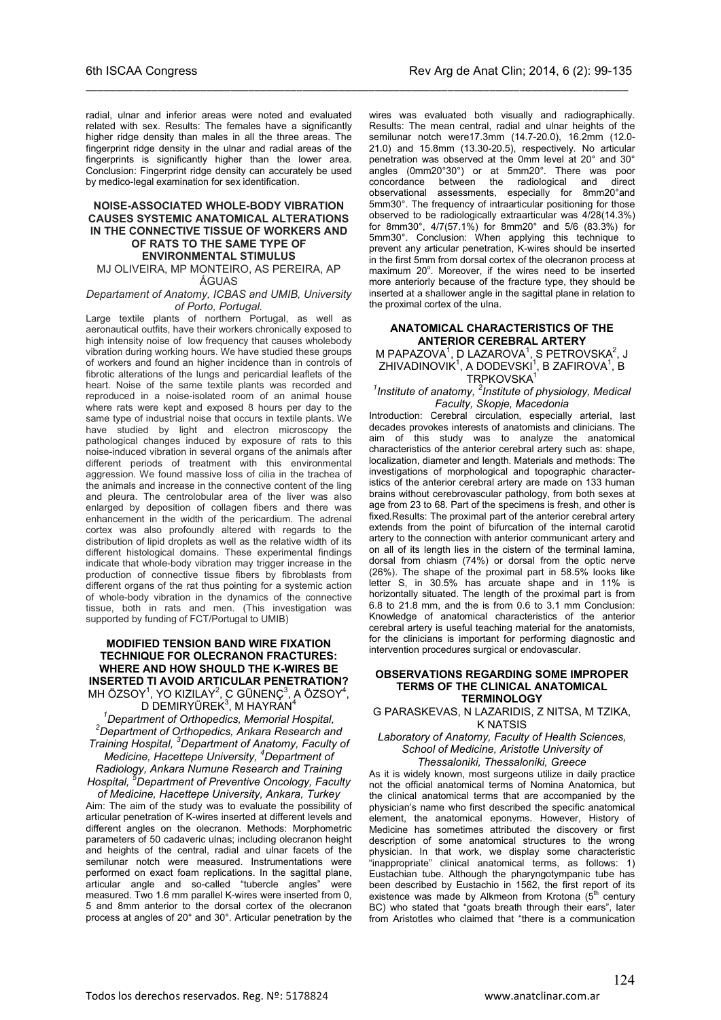radial, ulnar and inferior areas were noted and evaluated related with sex. Results: The females have a significantly higher ridge density than males in all the three areas. The fingerprint ridge density in the ulnar and radial areas of the fingerprints is significantly higher than the lower area. Conclusion: Fingerprint ridge density can accurately be used by medico-legal examination for sex identification.

\_\_\_\_\_\_\_\_\_\_\_\_\_\_\_\_\_\_\_\_\_\_\_\_\_\_\_\_\_\_\_\_\_\_\_\_\_\_\_\_\_\_\_\_\_\_\_\_\_\_\_\_\_\_\_\_\_\_\_\_\_\_\_\_\_\_\_\_\_\_\_\_\_\_\_\_\_\_\_\_\_\_\_\_\_\_\_\_\_\_

#### **NOISE-ASSOCIATED WHOLE-BODY VIBRATION CAUSES SYSTEMIC ANATOMICAL ALTERATIONS IN THE CONNECTIVE TISSUE OF WORKERS AND OF RATS TO THE SAME TYPE OF ENVIRONMENTAL STIMULUS**

MJ OLIVEIRA, MP MONTEIRO, AS PEREIRA, AP ÁGUAS

#### *Departament of Anatomy, ICBAS and UMIB, University of Porto, Portugal.*

Large textile plants of northern Portugal, as well as aeronautical outfits, have their workers chronically exposed to high intensity noise of low frequency that causes wholebody vibration during working hours. We have studied these groups of workers and found an higher incidence than in controls of fibrotic alterations of the lungs and pericardial leaflets of the heart. Noise of the same textile plants was recorded and reproduced in a noise-isolated room of an animal house where rats were kept and exposed 8 hours per day to the same type of industrial noise that occurs in textile plants. We have studied by light and electron microscopy the pathological changes induced by exposure of rats to this noise-induced vibration in several organs of the animals after different periods of treatment with this environmental aggression. We found massive loss of cilia in the trachea of the animals and increase in the connective content of the ling and pleura. The centrolobular area of the liver was also enlarged by deposition of collagen fibers and there was enhancement in the width of the pericardium. The adrenal cortex was also profoundly altered with regards to the distribution of lipid droplets as well as the relative width of its different histological domains. These experimental findings indicate that whole-body vibration may trigger increase in the production of connective tissue fibers by fibroblasts from different organs of the rat thus pointing for a systemic action of whole-body vibration in the dynamics of the connective tissue, both in rats and men. (This investigation was supported by funding of FCT/Portugal to UMIB)

#### **MODIFIED TENSION BAND WIRE FIXATION TECHNIQUE FOR OLECRANON FRACTURES: WHERE AND HOW SHOULD THE K-WIRES BE INSERTED TI AVOID ARTICULAR PENETRATION?** MH ÖZSOY $^1$ , YO KIZILAY $^2$ , C GÜNENÇ $^3$ , A ÖZSOY $^4$ ,

D DEMIRYÜREK<sup>3</sup>, M HAYRAN<sup>4</sup> *1 Department of Orthopedics, Memorial Hospital, 2 Department of Orthopedics, Ankara Research and Training Hospital, <sup>3</sup> Department of Anatomy, Faculty of Medicine, Hacettepe University, <sup>4</sup> Department of Radiology, Ankara Numune Research and Training* 

*Hospital, <sup>5</sup> Department of Preventive Oncology, Faculty of Medicine, Hacettepe University, Ankara, Turkey*

Aim: The aim of the study was to evaluate the possibility of articular penetration of K-wires inserted at different levels and different angles on the olecranon. Methods: Morphometric parameters of 50 cadaveric ulnas; including olecranon height and heights of the central, radial and ulnar facets of the semilunar notch were measured. Instrumentations were performed on exact foam replications. In the sagittal plane, articular angle and so-called "tubercle angles" were measured. Two 1.6 mm parallel K-wires were inserted from 0, 5 and 8mm anterior to the dorsal cortex of the olecranon process at angles of 20° and 30°. Articular penetration by the

wires was evaluated both visually and radiographically. Results: The mean central, radial and ulnar heights of the semilunar notch were17.3mm (14.7-20.0), 16.2mm (12.0- 21.0) and 15.8mm (13.30-20.5), respectively. No articular penetration was observed at the 0mm level at 20° and 30° angles (0mm20°30°) or at 5mm20°. There was poor concordance between the radiological and direct observational assessments, especially for 8mm20°and 5mm30°. The frequency of intraarticular positioning for those observed to be radiologically extraarticular was 4/28(14.3%) for 8mm30°, 4/7(57.1%) for 8mm20° and 5/6 (83.3%) for 5mm30°. Conclusion: When applying this technique to prevent any articular penetration, K-wires should be inserted in the first 5mm from dorsal cortex of the olecranon process at maximum 20°. Moreover, if the wires need to be inserted more anteriorly because of the fracture type, they should be inserted at a shallower angle in the sagittal plane in relation to the proximal cortex of the ulna.

#### **ANATOMICAL CHARACTERISTICS OF THE ANTERIOR CEREBRAL ARTERY**

M PAPAZOVA<sup>1</sup>, D LAZAROVA<sup>1</sup>, S PETROVSKA<sup>2</sup>, J ZHIVADINOVIK<sup>1</sup>, A DODEVSKI<sup>1</sup>, B ZAFIROVA<sup>1</sup>, B TRPKOVSKA<sup>1</sup>

#### *1 Institute of anatomy, <sup>2</sup> Institute of physiology, Medical Faculty, Skopje, Macedonia*

Introduction: Cerebral circulation, especially arterial, last decades provokes interests of anatomists and clinicians. The aim of this study was to analyze the anatomical characteristics of the anterior cerebral artery such as: shape, localization, diameter and length. Materials and methods: The investigations of morphological and topographic characteristics of the anterior cerebral artery are made on 133 human brains without cerebrovascular pathology, from both sexes at age from 23 to 68. Part of the specimens is fresh, and other is fixed.Results: The proximal part of the anterior cerebral artery extends from the point of bifurcation of the internal carotid artery to the connection with anterior communicant artery and on all of its length lies in the cistern of the terminal lamina, dorsal from chiasm (74%) or dorsal from the optic nerve (26%). The shape of the proximal part in 58.5% looks like letter S, in 30.5% has arcuate shape and in 11% is horizontally situated. The length of the proximal part is from 6.8 to 21.8 mm, and the is from 0.6 to 3.1 mm Conclusion: Knowledge of anatomical characteristics of the anterior cerebral artery is useful teaching material for the anatomists, for the clinicians is important for performing diagnostic and intervention procedures surgical or endovascular.

#### **OBSERVATIONS REGARDING SOME IMPROPER TERMS OF THE CLINICAL ANATOMICAL TERMINOLOGY**

G PARASKEVAS, N LAZARIDIS, Z NITSA, M TZIKA, K NATSIS

*Laboratory of Anatomy, Faculty of Health Sciences, School of Medicine, Aristotle University of Thessaloniki, Thessaloniki, Greece*

As it is widely known, most surgeons utilize in daily practice not the official anatomical terms of Nomina Anatomica, but the clinical anatomical terms that are accompanied by the physician's name who first described the specific anatomical element, the anatomical eponyms. However, History of Medicine has sometimes attributed the discovery or first description of some anatomical structures to the wrong physician. In that work, we display some characteristic "inappropriate" clinical anatomical terms, as follows: 1) Eustachian tube. Although the pharyngotympanic tube has been described by Eustachio in 1562, the first report of its existence was made by Alkmeon from Krotona  $(5<sup>th</sup>$  century BC) who stated that "goats breath through their ears", later from Aristotles who claimed that "there is a communication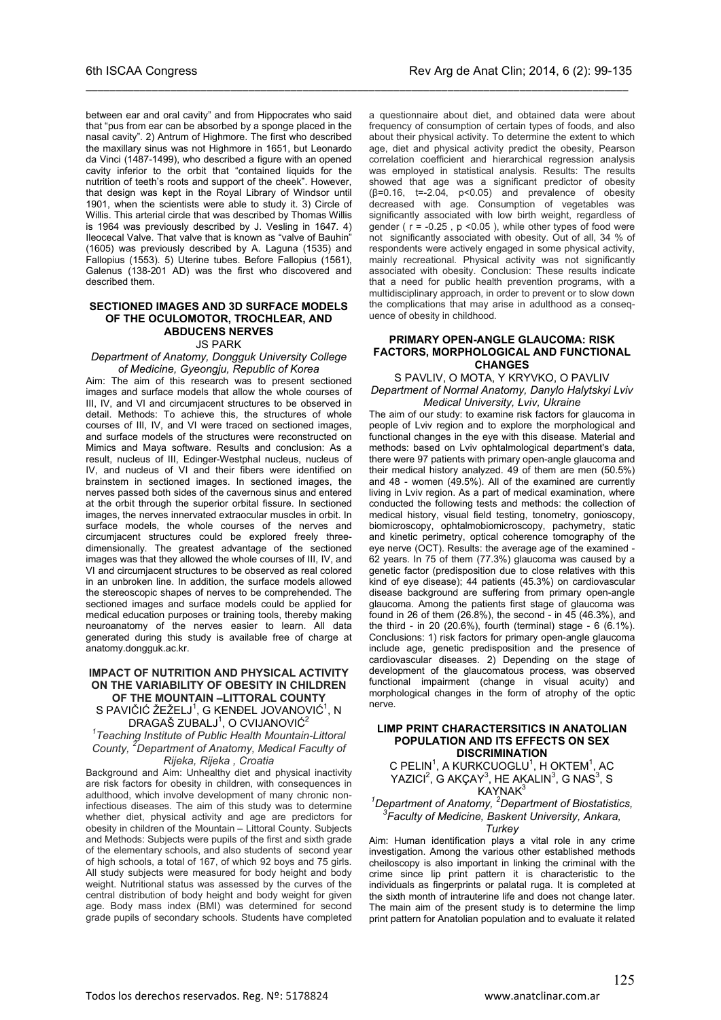between ear and oral cavity" and from Hippocrates who said that "pus from ear can be absorbed by a sponge placed in the nasal cavity". 2) Antrum of Highmore. The first who described the maxillary sinus was not Highmore in 1651, but Leonardo da Vinci (1487-1499), who described a figure with an opened cavity inferior to the orbit that "contained liquids for the nutrition of teeth's roots and support of the cheek". However, that design was kept in the Royal Library of Windsor until 1901, when the scientists were able to study it. 3) Circle of Willis. This arterial circle that was described by Thomas Willis is 1964 was previously described by J. Vesling in 1647. 4) Ileocecal Valve. That valve that is known as "valve of Bauhin" (1605) was previously described by A. Laguna (1535) and Fallopius (1553). 5) Uterine tubes. Before Fallopius (1561), Galenus (138-201 AD) was the first who discovered and described them.

\_\_\_\_\_\_\_\_\_\_\_\_\_\_\_\_\_\_\_\_\_\_\_\_\_\_\_\_\_\_\_\_\_\_\_\_\_\_\_\_\_\_\_\_\_\_\_\_\_\_\_\_\_\_\_\_\_\_\_\_\_\_\_\_\_\_\_\_\_\_\_\_\_\_\_\_\_\_\_\_\_\_\_\_\_\_\_\_\_\_

#### **SECTIONED IMAGES AND 3D SURFACE MODELS OF THE OCULOMOTOR, TROCHLEAR, AND ABDUCENS NERVES** JS PARK

*Department of Anatomy, Dongguk University College of Medicine, Gyeongju, Republic of Korea*

Aim: The aim of this research was to present sectioned images and surface models that allow the whole courses of III, IV, and VI and circumjacent structures to be observed in detail. Methods: To achieve this, the structures of whole courses of III, IV, and VI were traced on sectioned images, and surface models of the structures were reconstructed on Mimics and Maya software. Results and conclusion: As a result, nucleus of III, Edinger-Westphal nucleus, nucleus of IV, and nucleus of VI and their fibers were identified on brainstem in sectioned images. In sectioned images, the nerves passed both sides of the cavernous sinus and entered at the orbit through the superior orbital fissure. In sectioned images, the nerves innervated extraocular muscles in orbit. In surface models, the whole courses of the nerves and circumjacent structures could be explored freely threedimensionally. The greatest advantage of the sectioned images was that they allowed the whole courses of III, IV, and VI and circumjacent structures to be observed as real colored in an unbroken line. In addition, the surface models allowed the stereoscopic shapes of nerves to be comprehended. The sectioned images and surface models could be applied for medical education purposes or training tools, thereby making neuroanatomy of the nerves easier to learn. All data generated during this study is available free of charge at anatomy.dongguk.ac.kr.

#### **IMPACT OF NUTRITION AND PHYSICAL ACTIVITY ON THE VARIABILITY OF OBESITY IN CHILDREN OF THE MOUNTAIN –LITTORAL COUNTY** S PAVIČIĆ ŽEŽELJ $^1$ , G KENĐEL JOVANOVIĆ $^1$ , N

DRAGAŠ ZUBALJ<sup>1</sup>, O CVIJANOVIĆ<sup>2</sup>

*1 Teaching Institute of Public Health Mountain-Littoral County, <sup>2</sup> Department of Anatomy, Medical Faculty of Rijeka, Rijeka , Croatia*

Background and Aim: Unhealthy diet and physical inactivity are risk factors for obesity in children, with consequences in adulthood, which involve development of many chronic noninfectious diseases. The aim of this study was to determine whether diet, physical activity and age are predictors for obesity in children of the Mountain – Littoral County. Subjects and Methods: Subjects were pupils of the first and sixth grade of the elementary schools, and also students of second year of high schools, a total of 167, of which 92 boys and 75 girls. All study subjects were measured for body height and body weight. Nutritional status was assessed by the curves of the central distribution of body height and body weight for given age. Body mass index (BMI) was determined for second grade pupils of secondary schools. Students have completed

a questionnaire about diet, and obtained data were about frequency of consumption of certain types of foods, and also about their physical activity. To determine the extent to which age, diet and physical activity predict the obesity, Pearson correlation coefficient and hierarchical regression analysis was employed in statistical analysis. Results: The results showed that age was a significant predictor of obesity  $(\beta=0.16, t=-2.04, p<0.05)$  and prevalence of obesity decreased with age. Consumption of vegetables was significantly associated with low birth weight, regardless of gender ( $r = -0.25$ ,  $p < 0.05$ ), while other types of food were not significantly associated with obesity. Out of all, 34 % of respondents were actively engaged in some physical activity, mainly recreational. Physical activity was not significantly associated with obesity. Conclusion: These results indicate that a need for public health prevention programs, with a multidisciplinary approach, in order to prevent or to slow down the complications that may arise in adulthood as a consequence of obesity in childhood.

#### **PRIMARY OPEN-ANGLE GLAUCOMA: RISK FACTORS, MORPHOLOGICAL AND FUNCTIONAL CHANGES**

#### S PAVLIV, O MOTA, Y KRYVKO, O PAVLIV *Department of Normal Anatomy, Danylo Halytskyi Lviv Medical University, Lviv, Ukraine*

The aim of our study: to examine risk factors for glaucoma in people of Lviv region and to explore the morphological and functional changes in the eye with this disease. Material and methods: based on Lviv ophtalmological department's data, there were 97 patients with primary open-angle glaucoma and their medical history analyzed. 49 of them are men (50.5%) and 48 - women (49.5%). All of the examined are currently living in Lviv region. As a part of medical examination, where conducted the following tests and methods: the collection of medical history, visual field testing, tonometry, gonioscopy, biomicroscopy, ophtalmobiomicroscopy, pachymetry, static and kinetic perimetry, optical coherence tomography of the eye nerve (OCT). Results: the average age of the examined - 62 years. In 75 of them (77.3%) glaucoma was caused by a genetic factor (predisposition due to close relatives with this kind of eye disease); 44 patients (45.3%) on cardiovascular disease background are suffering from primary open-angle glaucoma. Among the patients first stage of glaucoma was found in 26 of them  $(26.8\%)$ , the second - in  $45$   $(46.3\%)$ , and the third - in 20 (20.6%), fourth (terminal) stage - 6 (6.1%). Conclusions: 1) risk factors for primary open-angle glaucoma include age, genetic predisposition and the presence of cardiovascular diseases. 2) Depending on the stage of development of the glaucomatous process, was observed functional impairment (change in visual acuity) and morphological changes in the form of atrophy of the optic nerve.

#### **LIMP PRINT CHARACTERSITICS IN ANATOLIAN POPULATION AND ITS EFFECTS ON SEX DISCRIMINATION**

C PELIN<sup>1</sup>, A KURKCUOGLU<sup>1</sup>, H OKTEM<sup>1</sup>, AC YAZICI<sup>2</sup>, G AKÇAY<sup>3</sup>, HE AKALIN<sup>3</sup>, G NAS<sup>3</sup>, S KAYNAK<sup>3</sup>

*1 Department of Anatomy, <sup>2</sup> Department of Biostatistics, 3 Faculty of Medicine, Baskent University, Ankara,* 

#### *Turkey*

Aim: Human identification plays a vital role in any crime investigation. Among the various other established methods cheiloscopy is also important in linking the criminal with the crime since lip print pattern it is characteristic to the individuals as fingerprints or palatal ruga. It is completed at the sixth month of intrauterine life and does not change later. The main aim of the present study is to determine the limp print pattern for Anatolian population and to evaluate it related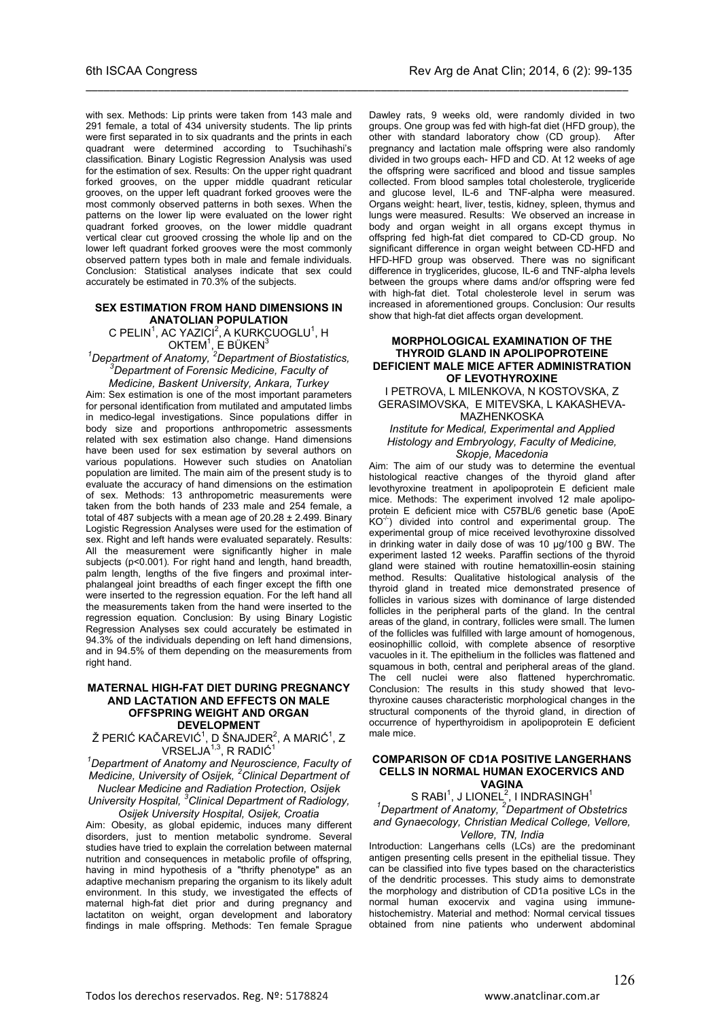with sex. Methods: Lip prints were taken from 143 male and 291 female, a total of 434 university students. The lip prints were first separated in to six quadrants and the prints in each quadrant were determined according to Tsuchihashi's classification. Binary Logistic Regression Analysis was used for the estimation of sex. Results: On the upper right quadrant forked grooves, on the upper middle quadrant reticular grooves, on the upper left quadrant forked grooves were the most commonly observed patterns in both sexes. When the patterns on the lower lip were evaluated on the lower right quadrant forked grooves, on the lower middle quadrant vertical clear cut grooved crossing the whole lip and on the lower left quadrant forked grooves were the most commonly observed pattern types both in male and female individuals. Conclusion: Statistical analyses indicate that sex could accurately be estimated in 70.3% of the subjects.

\_\_\_\_\_\_\_\_\_\_\_\_\_\_\_\_\_\_\_\_\_\_\_\_\_\_\_\_\_\_\_\_\_\_\_\_\_\_\_\_\_\_\_\_\_\_\_\_\_\_\_\_\_\_\_\_\_\_\_\_\_\_\_\_\_\_\_\_\_\_\_\_\_\_\_\_\_\_\_\_\_\_\_\_\_\_\_\_\_\_

#### **SEX ESTIMATION FROM HAND DIMENSIONS IN ANATOLIAN POPULATION**

C PELIN<sup>1</sup>, AC YAZICI<sup>2</sup>, A KURKCUOGLU<sup>1</sup>, H

OKTEM<sup>1</sup>, E BÜKEN<sup>3</sup><br><sup>1</sup>Department of Anatomy, <sup>2</sup>Department of Biostatistics, <sup>3</sup>Department of Essensia Madising Fessilities *Department of Forensic Medicine, Faculty of* 

*Medicine, Baskent University, Ankara, Turkey* Aim: Sex estimation is one of the most important parameters for personal identification from mutilated and amputated limbs in medico-legal investigations. Since populations differ in body size and proportions anthropometric assessments related with sex estimation also change. Hand dimensions have been used for sex estimation by several authors on various populations. However such studies on Anatolian population are limited. The main aim of the present study is to evaluate the accuracy of hand dimensions on the estimation of sex. Methods: 13 anthropometric measurements were taken from the both hands of 233 male and 254 female, a total of 487 subjects with a mean age of  $20.28 \pm 2.499$ . Binary Logistic Regression Analyses were used for the estimation of sex. Right and left hands were evaluated separately. Results: All the measurement were significantly higher in male subjects (p<0.001). For right hand and length, hand breadth, palm length, lengths of the five fingers and proximal interphalangeal joint breadths of each finger except the fifth one were inserted to the regression equation. For the left hand all the measurements taken from the hand were inserted to the regression equation. Conclusion: By using Binary Logistic Regression Analyses sex could accurately be estimated in 94.3% of the individuals depending on left hand dimensions, and in 94.5% of them depending on the measurements from right hand.

#### **MATERNAL HIGH-FAT DIET DURING PREGNANCY AND LACTATION AND EFFECTS ON MALE OFFSPRING WEIGHT AND ORGAN DEVELOPMENT**

Ž PERIĆ KAČAREVIĆ<sup>1</sup>, D ŠNAJDER<sup>2</sup>, A MARIĆ<sup>1</sup>, Z  $VRSELJA<sup>1,3</sup>$ , R RADIĆ<sup>1</sup>

*1 Department of Anatomy and Neuroscience, Faculty of Medicine, University of Osijek, <sup>2</sup> Clinical Department of Nuclear Medicine and Radiation Protection, Osijek* 

*University Hospital, <sup>3</sup> Clinical Department of Radiology, Osijek University Hospital, Osijek, Croatia*

Aim: Obesity, as global epidemic, induces many different disorders, just to mention metabolic syndrome. Several studies have tried to explain the correlation between maternal nutrition and consequences in metabolic profile of offspring, having in mind hypothesis of a "thrifty phenotype" as an adaptive mechanism preparing the organism to its likely adult environment. In this study, we investigated the effects of maternal high-fat diet prior and during pregnancy and lactatiton on weight, organ development and laboratory findings in male offspring. Methods: Ten female Sprague

Dawley rats, 9 weeks old, were randomly divided in two groups. One group was fed with high-fat diet (HFD group), the other with standard laboratory chow (CD group). After pregnancy and lactation male offspring were also randomly divided in two groups each- HFD and CD. At 12 weeks of age the offspring were sacrificed and blood and tissue samples collected. From blood samples total cholesterole, trygliceride and glucose level, IL-6 and TNF-alpha were measured. Organs weight: heart, liver, testis, kidney, spleen, thymus and lungs were measured. Results: We observed an increase in body and organ weight in all organs except thymus in offspring fed high-fat diet compared to CD-CD group. No significant difference in organ weight between CD-HFD and HFD-HFD group was observed. There was no significant difference in tryglicerides, glucose, IL-6 and TNF-alpha levels between the groups where dams and/or offspring were fed with high-fat diet. Total cholesterole level in serum was increased in aforementioned groups. Conclusion: Our results show that high-fat diet affects organ development.

#### **MORPHOLOGICAL EXAMINATION OF THE THYROID GLAND IN APOLIPOPROTEINE DEFICIENT MALE MICE AFTER ADMINISTRATION OF LEVOTHYROXINE**

#### I PETROVA, L MILENKOVA, N KOSTOVSKA, Z GERASIMOVSKA, E MITEVSKA, L KAKASHEVA-MAZHENKOSKA

#### *Institute for Medical, Experimental and Applied Histology and Embryology, Faculty of Medicine, Skopje, Macedonia*

Aim: The aim of our study was to determine the eventual histological reactive changes of the thyroid gland after levothyroxine treatment in apolipoprotein E deficient male mice. Methods: The experiment involved 12 male apolipoprotein E deficient mice with C57BL/6 genetic base (ApoE  $KO<sup>-/-</sup>$ ) divided into control and experimental group. The experimental group of mice received levothyroxine dissolved in drinking water in daily dose of was 10 µg/100 g BW. The experiment lasted 12 weeks. Paraffin sections of the thyroid gland were stained with routine hematoxillin-eosin staining method. Results: Qualitative histological analysis of the thyroid gland in treated mice demonstrated presence of follicles in various sizes with dominance of large distended follicles in the peripheral parts of the gland. In the central areas of the gland, in contrary, follicles were small. The lumen of the follicles was fulfilled with large amount of homogenous, eosinophillic colloid, with complete absence of resorptive vacuoles in it. The epithelium in the follicles was flattened and squamous in both, central and peripheral areas of the gland. The cell nuclei were also flattened hyperchromatic. Conclusion: The results in this study showed that levothyroxine causes characteristic morphological changes in the structural components of the thyroid gland, in direction of occurrence of hyperthyroidism in apolipoprotein E deficient male mice.

#### **COMPARISON OF CD1A POSITIVE LANGERHANS CELLS IN NORMAL HUMAN EXOCERVICS AND VAGINA**

# S RABI<sup>1</sup> , J LIONEL<sup>2</sup> , I INDRASINGH1 *1 Department of Anatomy, <sup>2</sup> Department of Obstetrics and Gynaecology, Christian Medical College, Vellore, Vellore, TN, India*

Introduction: Langerhans cells (LCs) are the predominant antigen presenting cells present in the epithelial tissue. They can be classified into five types based on the characteristics of the dendritic processes. This study aims to demonstrate the morphology and distribution of CD1a positive LCs in the normal human exocervix and vagina using immunehistochemistry. Material and method: Normal cervical tissues obtained from nine patients who underwent abdominal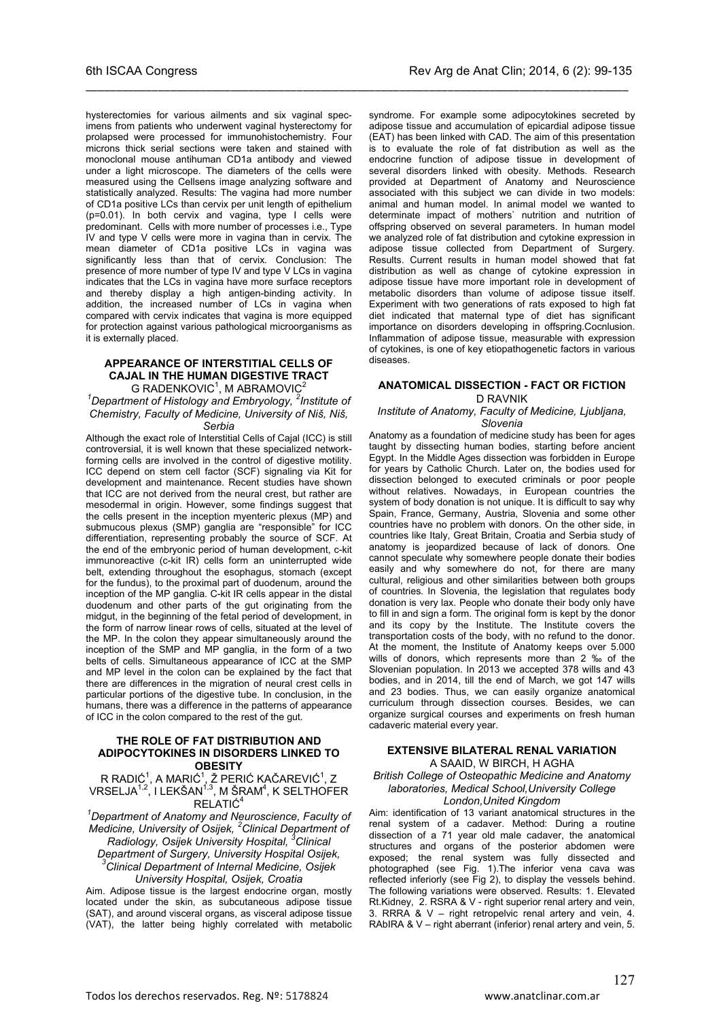hysterectomies for various ailments and six vaginal specimens from patients who underwent vaginal hysterectomy for prolapsed were processed for immunohistochemistry. Four microns thick serial sections were taken and stained with monoclonal mouse antihuman CD1a antibody and viewed under a light microscope. The diameters of the cells were measured using the Cellsens image analyzing software and statistically analyzed. Results: The vagina had more number of CD1a positive LCs than cervix per unit length of epithelium (p=0.01). In both cervix and vagina, type I cells were predominant. Cells with more number of processes i.e., Type IV and type V cells were more in vagina than in cervix. The mean diameter of CD1a positive LCs in vagina was significantly less than that of cervix. Conclusion: The presence of more number of type IV and type V LCs in vagina indicates that the LCs in vagina have more surface receptors

\_\_\_\_\_\_\_\_\_\_\_\_\_\_\_\_\_\_\_\_\_\_\_\_\_\_\_\_\_\_\_\_\_\_\_\_\_\_\_\_\_\_\_\_\_\_\_\_\_\_\_\_\_\_\_\_\_\_\_\_\_\_\_\_\_\_\_\_\_\_\_\_\_\_\_\_\_\_\_\_\_\_\_\_\_\_\_\_\_\_

and thereby display a high antigen-binding activity. In addition, the increased number of LCs in vagina when compared with cervix indicates that vagina is more equipped for protection against various pathological microorganisms as it is externally placed.

#### **APPEARANCE OF INTERSTITIAL CELLS OF CAJAL IN THE HUMAN DIGESTIVE TRACT** G RADENKOVIC $1$ , M ABRAMOVIC $2$

*1 Department of Histology and Embryology, <sup>2</sup> Institute of Chemistry, Faculty of Medicine, University of Niš, Niš, Serbia*

Although the exact role of Interstitial Cells of Cajal (ICC) is still controversial, it is well known that these specialized networkforming cells are involved in the control of digestive motility. ICC depend on stem cell factor (SCF) signaling via Kit for development and maintenance. Recent studies have shown that ICC are not derived from the neural crest, but rather are mesodermal in origin. However, some findings suggest that the cells present in the inception myenteric plexus (MP) and submucous plexus (SMP) ganglia are "responsible" for ICC differentiation, representing probably the source of SCF. At the end of the embryonic period of human development, c-kit immunoreactive (c-kit IR) cells form an uninterrupted wide belt, extending throughout the esophagus, stomach (except for the fundus), to the proximal part of duodenum, around the inception of the MP ganglia. C-kit IR cells appear in the distal duodenum and other parts of the gut originating from the midgut, in the beginning of the fetal period of development, in the form of narrow linear rows of cells, situated at the level of the MP. In the colon they appear simultaneously around the inception of the SMP and MP ganglia, in the form of a two belts of cells. Simultaneous appearance of ICC at the SMP and MP level in the colon can be explained by the fact that there are differences in the migration of neural crest cells in particular portions of the digestive tube. In conclusion, in the humans, there was a difference in the patterns of appearance of ICC in the colon compared to the rest of the gut.

#### **THE ROLE OF FAT DISTRIBUTION AND ADIPOCYTOKINES IN DISORDERS LINKED TO OBESITY**

R RADIĆ $^1$ , A MARIĆ $^1$ , Ž PERIĆ KAČAREVIĆ $^1$ , Z VRSELJA $^{\rm 1,2}$ , I LEKŠAN $^{\rm 1,3}$ , M ŠRAM $^{\rm 4}$ , K SELTHOFER RELATIĆ<sup>4</sup>

*1 Department of Anatomy and Neuroscience, Faculty of Medicine, University of Osijek, <sup>2</sup> Clinical Department of Radiology, Osijek University Hospital, <sup>3</sup> Clinical Department of Surgery, University Hospital Osijek, 3 Clinical Department of Internal Medicine, Osijek University Hospital, Osijek, Croatia*

Aim. Adipose tissue is the largest endocrine organ, mostly located under the skin, as subcutaneous adipose tissue (SAT), and around visceral organs, as visceral adipose tissue (VAT), the latter being highly correlated with metabolic

syndrome. For example some adipocytokines secreted by adipose tissue and accumulation of epicardial adipose tissue (EAT) has been linked with CAD. The aim of this presentation is to evaluate the role of fat distribution as well as the endocrine function of adipose tissue in development of several disorders linked with obesity. Methods. Research provided at Department of Anatomy and Neuroscience associated with this subject we can divide in two models: animal and human model. In animal model we wanted to determinate impact of mothers` nutrition and nutrition of offspring observed on several parameters. In human model we analyzed role of fat distribution and cytokine expression in adipose tissue collected from Department of Surgery. Results. Current results in human model showed that fat distribution as well as change of cytokine expression in adipose tissue have more important role in development of metabolic disorders than volume of adipose tissue itself. Experiment with two generations of rats exposed to high fat diet indicated that maternal type of diet has significant importance on disorders developing in offspring.Cocnlusion. Inflammation of adipose tissue, measurable with expression of cytokines, is one of key etiopathogenetic factors in various diseases.

#### **ANATOMICAL DISSECTION - FACT OR FICTION** D RAVNIK

#### *Institute of Anatomy, Faculty of Medicine, Ljubljana, Slovenia*

Anatomy as a foundation of medicine study has been for ages taught by dissecting human bodies, starting before ancient Egypt. In the Middle Ages dissection was forbidden in Europe for years by Catholic Church. Later on, the bodies used for dissection belonged to executed criminals or poor people without relatives. Nowadays, in European countries the system of body donation is not unique. It is difficult to say why Spain, France, Germany, Austria, Slovenia and some other countries have no problem with donors. On the other side, in countries like Italy, Great Britain, Croatia and Serbia study of anatomy is jeopardized because of lack of donors. One cannot speculate why somewhere people donate their bodies easily and why somewhere do not, for there are many cultural, religious and other similarities between both groups of countries. In Slovenia, the legislation that regulates body donation is very lax. People who donate their body only have to fill in and sign a form. The original form is kept by the donor and its copy by the Institute. The Institute covers the transportation costs of the body, with no refund to the donor. At the moment, the Institute of Anatomy keeps over 5.000 wills of donors, which represents more than 2 ‰ of the Slovenian population. In 2013 we accepted 378 wills and 43 bodies, and in 2014, till the end of March, we got 147 wills and 23 bodies. Thus, we can easily organize anatomical curriculum through dissection courses. Besides, we can organize surgical courses and experiments on fresh human cadaveric material every year.

#### **EXTENSIVE BILATERAL RENAL VARIATION** A SAAID, W BIRCH, H AGHA

*British College of Osteopathic Medicine and Anatomy laboratories, Medical School,University College London,United Kingdom*

Aim: identification of 13 variant anatomical structures in the renal system of a cadaver. Method: During a routine dissection of a 71 year old male cadaver, the anatomical structures and organs of the posterior abdomen were exposed; the renal system was fully dissected and photographed (see Fig. 1).The inferior vena cava was reflected inferiorly (see Fig 2), to display the vessels behind. The following variations were observed. Results: 1. Elevated Rt.Kidney, 2. RSRA & V - right superior renal artery and vein, 3. RRRA & V – right retropelvic renal artery and vein, 4. RAbIRA & V – right aberrant (inferior) renal artery and vein, 5.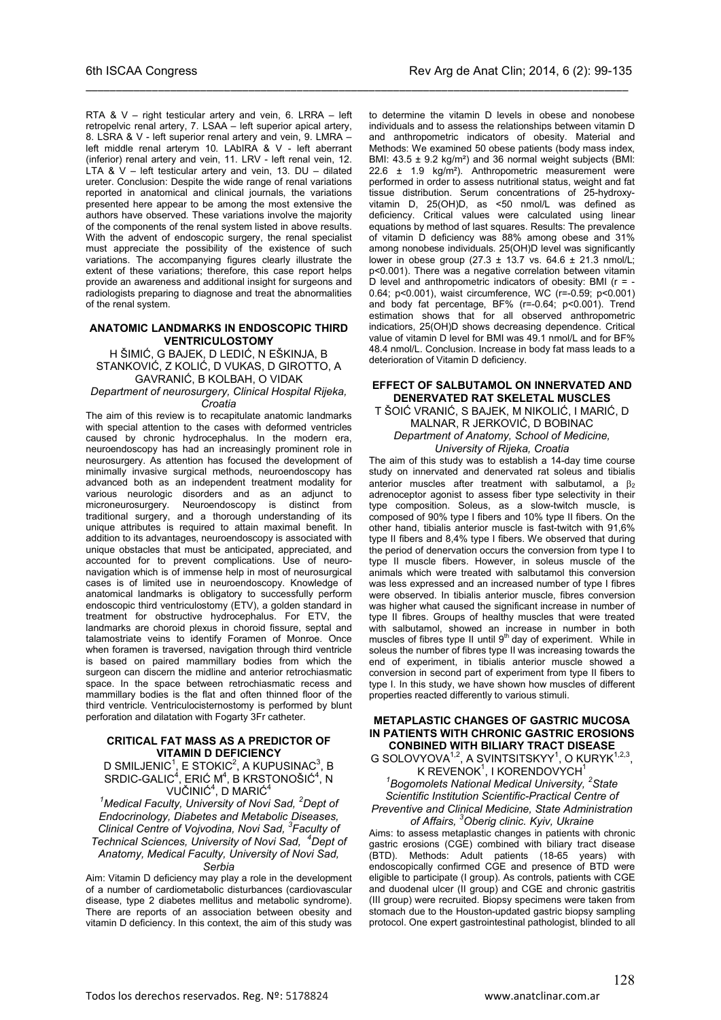RTA & V – right testicular artery and vein, 6. LRRA – left retropelvic renal artery, 7. LSAA – left superior apical artery, 8. LSRA & V - left superior renal artery and vein, 9. LMRA – left middle renal arterym 10. LAbIRA & V - left aberrant (inferior) renal artery and vein, 11. LRV - left renal vein, 12. LTA &  $V$  – left testicular artery and vein, 13. DU – dilated ureter. Conclusion: Despite the wide range of renal variations reported in anatomical and clinical journals, the variations presented here appear to be among the most extensive the authors have observed. These variations involve the majority of the components of the renal system listed in above results. With the advent of endoscopic surgery, the renal specialist must appreciate the possibility of the existence of such variations. The accompanying figures clearly illustrate the extent of these variations; therefore, this case report helps provide an awareness and additional insight for surgeons and radiologists preparing to diagnose and treat the abnormalities of the renal system.

\_\_\_\_\_\_\_\_\_\_\_\_\_\_\_\_\_\_\_\_\_\_\_\_\_\_\_\_\_\_\_\_\_\_\_\_\_\_\_\_\_\_\_\_\_\_\_\_\_\_\_\_\_\_\_\_\_\_\_\_\_\_\_\_\_\_\_\_\_\_\_\_\_\_\_\_\_\_\_\_\_\_\_\_\_\_\_\_\_\_

#### **ANATOMIC LANDMARKS IN ENDOSCOPIC THIRD VENTRICULOSTOMY**

H ŠIMIĆ, G BAJEK, D LEDIĆ, N EŠKINJA, B STANKOVIĆ, Z KOLIĆ, D VUKAS, D GIROTTO, A GAVRANIĆ, B KOLBAH, O VIDAK

*Department of neurosurgery, Clinical Hospital Rijeka, Croatia*

The aim of this review is to recapitulate anatomic landmarks with special attention to the cases with deformed ventricles caused by chronic hydrocephalus. In the modern era, neuroendoscopy has had an increasingly prominent role in neurosurgery. As attention has focused the development of minimally invasive surgical methods, neuroendoscopy has advanced both as an independent treatment modality for various neurologic disorders and as an adjunct to microneurosurgery. Neuroendoscopy is distinct from traditional surgery, and a thorough understanding of its unique attributes is required to attain maximal benefit. In addition to its advantages, neuroendoscopy is associated with unique obstacles that must be anticipated, appreciated, and accounted for to prevent complications. Use of neuronavigation which is of immense help in most of neurosurgical cases is of limited use in neuroendoscopy. Knowledge of anatomical landmarks is obligatory to successfully perform endoscopic third ventriculostomy (ETV), a golden standard in treatment for obstructive hydrocephalus. For ETV, the landmarks are choroid plexus in choroid fissure, septal and talamostriate veins to identify Foramen of Monroe. Once when foramen is traversed, navigation through third ventricle is based on paired mammillary bodies from which the surgeon can discern the midline and anterior retrochiasmatic space. In the space between retrochiasmatic recess and mammillary bodies is the flat and often thinned floor of the third ventricle. Ventriculocisternostomy is performed by blunt perforation and dilatation with Fogarty 3Fr catheter.

### **CRITICAL FAT MASS AS A PREDICTOR OF VITAMIN D DEFICIENCY**

D SMILJENIC $^1$ , E STOKIC $^2$ , A KUPUSINAC $^3$ , B  $SRDIC-GALIC<sup>4</sup>, ERIC M<sup>4</sup>, B KRSTONOŠIC<sup>4</sup>, N$ VUČINIĆ<sup>4</sup>, D MARIĆ<sup>4</sup>

*1 Medical Faculty, University of Novi Sad, <sup>2</sup> Dept of Endocrinology, Diabetes and Metabolic Diseases, Clinical Centre of Vojvodina, Novi Sad, <sup>3</sup> Faculty of Technical Sciences, University of Novi Sad, <sup>4</sup> Dept of Anatomy, Medical Faculty, University of Novi Sad, Serbia*

Aim: Vitamin D deficiency may play a role in the development of a number of cardiometabolic disturbances (cardiovascular disease, type 2 diabetes mellitus and metabolic syndrome). There are reports of an association between obesity and vitamin D deficiency. In this context, the aim of this study was

to determine the vitamin D levels in obese and nonobese individuals and to assess the relationships between vitamin D and anthropometric indicators of obesity. Material and Methods: We examined 50 obese patients (body mass index, BMI: 43.5 ± 9.2 kg/m²) and 36 normal weight subjects (BMI: 22.6 ± 1.9 kg/m²). Anthropometric measurement were performed in order to assess nutritional status, weight and fat tissue distribution. Serum concentrations of 25-hydroxyvitamin D, 25(OH)D, as <50 nmol/L was defined as deficiency. Critical values were calculated using linear equations by method of last squares. Results: The prevalence of vitamin D deficiency was 88% among obese and 31% among nonobese individuals. 25(OH)D level was significantly lower in obese group (27.3 ± 13.7 vs. 64.6 ± 21.3 nmol/L; p<0.001). There was a negative correlation between vitamin D level and anthropometric indicators of obesity: BMI ( $r = -$ 0.64; p<0.001), waist circumference, WC (r=-0.59; p<0.001) and body fat percentage, BF% (r=-0.64; p<0.001). Trend estimation shows that for all observed anthropometric indicatiors, 25(OH)D shows decreasing dependence. Critical value of vitamin D level for BMI was 49.1 nmol/L and for BF% 48.4 nmol/L. Conclusion. Increase in body fat mass leads to a deterioration of Vitamin D deficiency.

#### **EFFECT OF SALBUTAMOL ON INNERVATED AND DENERVATED RAT SKELETAL MUSCLES**

T ŠOIĆ VRANIĆ, S BAJEK, M NIKOLIĆ, I MARIĆ, D MALNAR, R JERKOVIĆ, D BOBINAC *Department of Anatomy, School of Medicine, University of Rijeka, Croatia*

The aim of this study was to establish a 14-day time course study on innervated and denervated rat soleus and tibialis anterior muscles after treatment with salbutamol, a  $\beta_2$ adrenoceptor agonist to assess fiber type selectivity in their type composition. Soleus, as a slow-twitch muscle, is composed of 90% type I fibers and 10% type II fibers. On the other hand, tibialis anterior muscle is fast-twitch with 91,6% type II fibers and 8,4% type I fibers. We observed that during the period of denervation occurs the conversion from type I to type II muscle fibers. However, in soleus muscle of the animals which were treated with salbutamol this conversion was less expressed and an increased number of type I fibres were observed. In tibialis anterior muscle, fibres conversion was higher what caused the significant increase in number of type II fibres. Groups of healthy muscles that were treated with salbutamol, showed an increase in number in both muscles of fibres type II until  $9<sup>th</sup>$  day of experiment. While in soleus the number of fibres type II was increasing towards the end of experiment, in tibialis anterior muscle showed a conversion in second part of experiment from type II fibers to type I. In this study, we have shown how muscles of different properties reacted differently to various stimuli.

#### **METAPLASTIC CHANGES OF GASTRIC MUCOSA IN PATIENTS WITH CHRONIC GASTRIC EROSIONS CONBINED WITH BILIARY TRACT DISEASE**

G SOLOVYOVA<sup>1,2</sup>, A SVINTSITSKYY<sup>1</sup>, O KURYK<sup>1,2,3</sup>, K REVENOK<sup>1</sup>, I KORENDOVYCH<sup>1</sup>

*1 Bogomolets National Medical University, <sup>2</sup> State Scientific Institution Scientific-Practical Centre of Preventive and Clinical Medicine, State Administration of Affairs, <sup>3</sup> Oberig clinic. Kyiv, Ukraine*

Aims: to assess metaplastic changes in patients with chronic gastric erosions (CGE) combined with biliary tract disease (BTD). Methods: Adult patients (18-65 years) with endoscopically confirmed CGE and presence of BTD were eligible to participate (I group). As controls, patients with CGE and duodenal ulcer (II group) and CGE and chronic gastritis (III group) were recruited. Biopsy specimens were taken from stomach due to the Houston-updated gastric biopsy sampling protocol. One expert gastrointestinal pathologist, blinded to all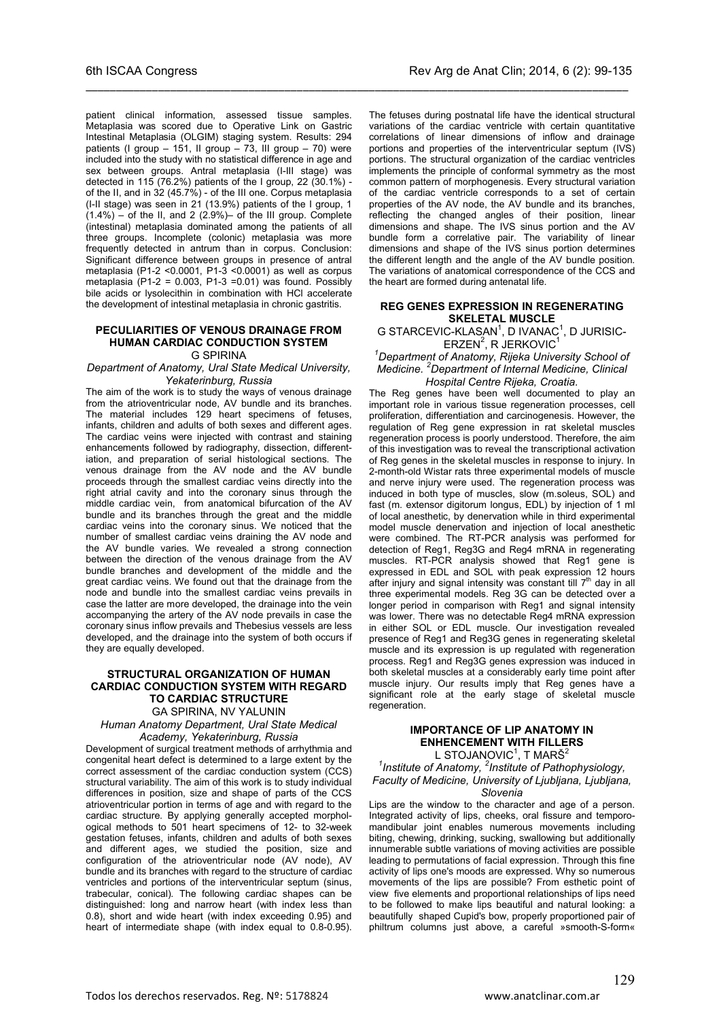patient clinical information, assessed tissue samples. Metaplasia was scored due to Operative Link on Gastric Intestinal Metaplasia (OLGIM) staging system. Results: 294 patients (I group  $-$  151, II group  $-$  73, III group  $-$  70) were included into the study with no statistical difference in age and sex between groups. Antral metaplasia (I-III stage) was detected in 115 (76.2%) patients of the I group, 22 (30.1%) of the II, and in 32 (45.7%) - of the III one. Corpus metaplasia (I-II stage) was seen in 21 (13.9%) patients of the I group, 1  $(1.4\%)$  – of the II, and 2  $(2.9\%)$  of the III group. Complete (intestinal) metaplasia dominated among the patients of all three groups. Incomplete (colonic) metaplasia was more frequently detected in antrum than in corpus. Conclusion: Significant difference between groups in presence of antral metaplasia (P1-2 <0.0001, P1-3 <0.0001) as well as corpus metaplasia  $(P1-2 = 0.003, P1-3 = 0.01)$  was found. Possibly bile acids or lysolecithin in combination with HCl accelerate the development of intestinal metaplasia in chronic gastritis.

\_\_\_\_\_\_\_\_\_\_\_\_\_\_\_\_\_\_\_\_\_\_\_\_\_\_\_\_\_\_\_\_\_\_\_\_\_\_\_\_\_\_\_\_\_\_\_\_\_\_\_\_\_\_\_\_\_\_\_\_\_\_\_\_\_\_\_\_\_\_\_\_\_\_\_\_\_\_\_\_\_\_\_\_\_\_\_\_\_\_

### **PECULIARITIES OF VENOUS DRAINAGE FROM HUMAN CARDIAC CONDUCTION SYSTEM**

G SPIRINA

*Department of Anatomy, Ural State Medical University, Yekaterinburg, Russia*

The aim of the work is to study the ways of venous drainage from the atrioventricular node, AV bundle and its branches. The material includes 129 heart specimens of fetuses, infants, children and adults of both sexes and different ages. The cardiac veins were injected with contrast and staining enhancements followed by radiography, dissection, differentiation, and preparation of serial histological sections. The venous drainage from the AV node and the AV bundle proceeds through the smallest cardiac veins directly into the right atrial cavity and into the coronary sinus through the middle cardiac vein, from anatomical bifurcation of the AV bundle and its branches through the great and the middle cardiac veins into the coronary sinus. We noticed that the number of smallest cardiac veins draining the AV node and the AV bundle varies. We revealed a strong connection between the direction of the venous drainage from the AV bundle branches and development of the middle and the great cardiac veins. We found out that the drainage from the node and bundle into the smallest cardiac veins prevails in case the latter are more developed, the drainage into the vein accompanying the artery of the AV node prevails in case the coronary sinus inflow prevails and Thebesius vessels are less developed, and the drainage into the system of both occurs if they are equally developed.

#### **STRUCTURAL ORGANIZATION OF HUMAN CARDIAC CONDUCTION SYSTEM WITH REGARD TO CARDIAC STRUCTURE** GA SPIRINA, NV YALUNIN

*Human Anatomy Department, Ural State Medical Academy, Yekaterinburg, Russia*

Development of surgical treatment methods of arrhythmia and congenital heart defect is determined to a large extent by the correct assessment of the cardiac conduction system (CCS) structural variability. The aim of this work is to study individual differences in position, size and shape of parts of the CCS atrioventricular portion in terms of age and with regard to the cardiac structure. By applying generally accepted morphological methods to 501 heart specimens of 12- to 32-week gestation fetuses, infants, children and adults of both sexes and different ages, we studied the position, size and configuration of the atrioventricular node (AV node), AV bundle and its branches with regard to the structure of cardiac ventricles and portions of the interventricular septum (sinus, trabecular, conical). The following cardiac shapes can be distinguished: long and narrow heart (with index less than 0.8), short and wide heart (with index exceeding 0.95) and heart of intermediate shape (with index equal to 0.8-0.95).

The fetuses during postnatal life have the identical structural variations of the cardiac ventricle with certain quantitative correlations of linear dimensions of inflow and drainage portions and properties of the interventricular septum (IVS) portions. The structural organization of the cardiac ventricles implements the principle of conformal symmetry as the most common pattern of morphogenesis. Every structural variation of the cardiac ventricle corresponds to a set of certain properties of the AV node, the AV bundle and its branches, reflecting the changed angles of their position, linear dimensions and shape. The IVS sinus portion and the AV bundle form a correlative pair. The variability of linear dimensions and shape of the IVS sinus portion determines the different length and the angle of the AV bundle position. The variations of anatomical correspondence of the CCS and the heart are formed during antenatal life.

#### **REG GENES EXPRESSION IN REGENERATING SKELETAL MUSCLE**

G STARCEVIC-KLASAN<sup>1</sup>, D IVANAC<sup>1</sup>, D JURISIC- $ERZEN<sup>2</sup>$ , R JERKOVIC<sup>1</sup>

*1 Department of Anatomy, Rijeka University School of Medicine. <sup>2</sup> Department of Internal Medicine, Clinical Hospital Centre Rijeka, Croatia.*

The Reg genes have been well documented to play an important role in various tissue regeneration processes, cell proliferation, differentiation and carcinogenesis. However, the regulation of Reg gene expression in rat skeletal muscles regeneration process is poorly understood. Therefore, the aim of this investigation was to reveal the transcriptional activation of Reg genes in the skeletal muscles in response to injury. In 2-month-old Wistar rats three experimental models of muscle and nerve injury were used. The regeneration process was induced in both type of muscles, slow (m.soleus, SOL) and fast (m. extensor digitorum longus, EDL) by injection of 1 ml of local anesthetic, by denervation while in third experimental model muscle denervation and injection of local anesthetic were combined. The RT-PCR analysis was performed for detection of Reg1, Reg3G and Reg4 mRNA in regenerating muscles. RT-PCR analysis showed that Reg1 gene is expressed in EDL and SOL with peak expression 12 hours after injury and signal intensity was constant till 7<sup>th</sup> day in all three experimental models. Reg 3G can be detected over a longer period in comparison with Reg1 and signal intensity was lower. There was no detectable Reg4 mRNA expression in either SOL or EDL muscle. Our investigation revealed presence of Reg1 and Reg3G genes in regenerating skeletal muscle and its expression is up regulated with regeneration process. Reg1 and Reg3G genes expression was induced in both skeletal muscles at a considerably early time point after muscle injury. Our results imply that Reg genes have a significant role at the early stage of skeletal muscle regeneration.

### **IMPORTANCE OF LIP ANATOMY IN ENHENCEMENT WITH FILLERS**

L STOJANOVIC1 , T MARŠ2 *1 Institute of Anatomy, <sup>2</sup> Institute of Pathophysiology, Faculty of Medicine, University of Ljubljana, Ljubljana, Slovenia*

Lips are the window to the character and age of a person. Integrated activity of lips, cheeks, oral fissure and temporomandibular joint enables numerous movements including biting, chewing, drinking, sucking, swallowing but additionally innumerable subtle variations of moving activities are possible leading to permutations of facial expression. Through this fine activity of lips one's moods are expressed. Why so numerous movements of the lips are possible? From esthetic point of view five elements and proportional relationships of lips need to be followed to make lips beautiful and natural looking: a beautifully shaped Cupid's bow, properly proportioned pair of philtrum columns just above, a careful »smooth-S-form«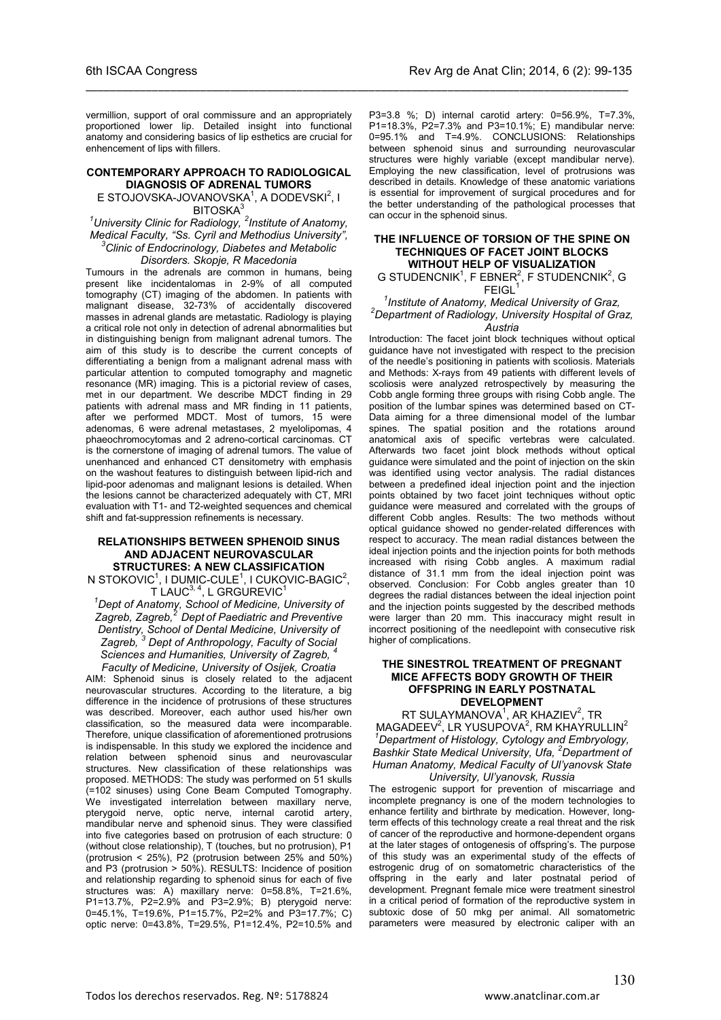vermillion, support of oral commissure and an appropriately proportioned lower lip. Detailed insight into functional anatomy and considering basics of lip esthetics are crucial for enhencement of lips with fillers.

\_\_\_\_\_\_\_\_\_\_\_\_\_\_\_\_\_\_\_\_\_\_\_\_\_\_\_\_\_\_\_\_\_\_\_\_\_\_\_\_\_\_\_\_\_\_\_\_\_\_\_\_\_\_\_\_\_\_\_\_\_\_\_\_\_\_\_\_\_\_\_\_\_\_\_\_\_\_\_\_\_\_\_\_\_\_\_\_\_\_

#### **CONTEMPORARY APPROACH TO RADIOLOGICAL DIAGNOSIS OF ADRENAL TUMORS**

E STOJOVSKA-JOVANOVSKA<sup>1</sup>, A DODEVSKI<sup>2</sup>, I **BITOSKA** 

<sup>1</sup> University Clinic for Radiology, <sup>2</sup> Institute of Anatomy, *Medical Faculty, "Ss. Cyril and Methodius University", Clinic of Endocrinology, Diabetes and Metabolic Disorders. Skopje, R Macedonia*

Tumours in the adrenals are common in humans, being present like incidentalomas in 2-9% of all computed tomography (CT) imaging of the abdomen. In patients with malignant disease, 32-73% of accidentally discovered masses in adrenal glands are metastatic. Radiology is playing a critical role not only in detection of adrenal abnormalities but in distinguishing benign from malignant adrenal tumors. The aim of this study is to describe the current concepts of differentiating a benign from a malignant adrenal mass with particular attention to computed tomography and magnetic resonance (MR) imaging. This is a pictorial review of cases, met in our department. We describe MDCT finding in 29 patients with adrenal mass and MR finding in 11 patients, after we performed MDCT. Most of tumors, 15 were adenomas, 6 were adrenal metastases, 2 myelolipomas, 4 phaeochromocytomas and 2 adreno-cortical carcinomas. CT is the cornerstone of imaging of adrenal tumors. The value of unenhanced and enhanced CT densitometry with emphasis on the washout features to distinguish between lipid-rich and lipid-poor adenomas and malignant lesions is detailed. When the lesions cannot be characterized adequately with CT, MRI evaluation with T1- and T2-weighted sequences and chemical shift and fat-suppression refinements is necessary.

#### **RELATIONSHIPS BETWEEN SPHENOID SINUS AND ADJACENT NEUROVASCULAR STRUCTURES: A NEW CLASSIFICATION**

N STOKOVIC $1$ , I DUMIC-CULE $1$ , I CUKOVIC-BAGIC $2$ ,  $T$  LAUC $^{3,4}$ , L GRGUREVIC<sup>1</sup>

*1 Dept of Anatomy, School of Medicine, University of Zagreb, Zagreb,2 Dept of Paediatric and Preventive Dentistry, School of Dental Medicine, University of Zagreb, <sup>3</sup> Dept of Anthropology, Faculty of Social*  Sciences and Humanities, University of Zagreb,

*Faculty of Medicine, University of Osijek, Croatia* AIM: Sphenoid sinus is closely related to the adjacent neurovascular structures. According to the literature, a big difference in the incidence of protrusions of these structures was described. Moreover, each author used his/her own classification, so the measured data were incomparable. Therefore, unique classification of aforementioned protrusions is indispensable. In this study we explored the incidence and relation between sphenoid sinus and neurovascular structures. New classification of these relationships was proposed. METHODS: The study was performed on 51 skulls (=102 sinuses) using Cone Beam Computed Tomography. We investigated interrelation between maxillary nerve, pterygoid nerve, optic nerve, internal carotid artery, mandibular nerve and sphenoid sinus. They were classified into five categories based on protrusion of each structure: 0 (without close relationship), T (touches, but no protrusion), P1 (protrusion < 25%), P2 (protrusion between 25% and 50%) and P3 (protrusion > 50%). RESULTS: Incidence of position and relationship regarding to sphenoid sinus for each of five structures was: A) maxillary nerve: 0=58.8%, T=21.6%, P1=13.7%, P2=2.9% and P3=2.9%; B) pterygoid nerve: 0=45.1%, T=19.6%, P1=15.7%, P2=2% and P3=17.7%; C) optic nerve: 0=43.8%, T=29.5%, P1=12.4%, P2=10.5% and

P3=3.8 %; D) internal carotid artery: 0=56.9%, T=7.3%, P1=18.3%, P2=7.3% and P3=10.1%; E) mandibular nerve: 0=95.1% and T=4.9%. CONCLUSIONS: Relationships between sphenoid sinus and surrounding neurovascular structures were highly variable (except mandibular nerve). Employing the new classification, level of protrusions was described in details. Knowledge of these anatomic variations is essential for improvement of surgical procedures and for the better understanding of the pathological processes that can occur in the sphenoid sinus.

#### **THE INFLUENCE OF TORSION OF THE SPINE ON TECHNIQUES OF FACET JOINT BLOCKS WITHOUT HELP OF VISUALIZATION**

G STUDENCNIK<sup>1</sup>, F EBNER<sup>2</sup>, F STUDENCNIK<sup>2</sup>, G  $F EIGL<sup>1</sup>$ 

#### *1 Institute of Anatomy, Medical University of Graz, <sup>2</sup> Department of Radiology, University Hospital of Graz, Austria*

Introduction: The facet joint block techniques without optical guidance have not investigated with respect to the precision of the needle's positioning in patients with scoliosis. Materials and Methods: X-rays from 49 patients with different levels of scoliosis were analyzed retrospectively by measuring the Cobb angle forming three groups with rising Cobb angle. The position of the lumbar spines was determined based on CT-Data aiming for a three dimensional model of the lumbar spines. The spatial position and the rotations around anatomical axis of specific vertebras were calculated. Afterwards two facet joint block methods without optical guidance were simulated and the point of injection on the skin was identified using vector analysis. The radial distances between a predefined ideal injection point and the injection points obtained by two facet joint techniques without optic guidance were measured and correlated with the groups of different Cobb angles. Results: The two methods without optical guidance showed no gender-related differences with respect to accuracy. The mean radial distances between the ideal injection points and the injection points for both methods increased with rising Cobb angles. A maximum radial distance of 31.1 mm from the ideal injection point was observed. Conclusion: For Cobb angles greater than 10 degrees the radial distances between the ideal injection point and the injection points suggested by the described methods were larger than 20 mm. This inaccuracy might result in incorrect positioning of the needlepoint with consecutive risk higher of complications.

#### **THE SINESTROL TREATMENT OF PREGNANT MICE AFFECTS BODY GROWTH OF THEIR OFFSPRING IN EARLY POSTNATAL DEVELOPMENT**

RT SULAYMANOVA<sup>1</sup>, AR KHAZIEV<sup>2</sup>, TR  $MAGADEEV<sup>2</sup>$ , LR YUSUPOVA<sup>2</sup>, RM KHAYRULLIN<sup>2</sup> *1 Department of Histology, Cytology and Embryology, Bashkir State Medical University, Ufa, <sup>2</sup> Department of Human Anatomy, Medical Faculty of Ul'yanovsk State University, Ul'yanovsk, Russia*

The estrogenic support for prevention of miscarriage and incomplete pregnancy is one of the modern technologies to enhance fertility and birthrate by medication. However, longterm effects of this technology create a real threat and the risk of cancer of the reproductive and hormone-dependent organs at the later stages of ontogenesis of offspring's. The purpose of this study was an experimental study of the effects of estrogenic drug of on somatometric characteristics of the offspring in the early and later postnatal period of development. Pregnant female mice were treatment sinestrol in a critical period of formation of the reproductive system in subtoxic dose of 50 mkg per animal. All somatometric parameters were measured by electronic caliper with an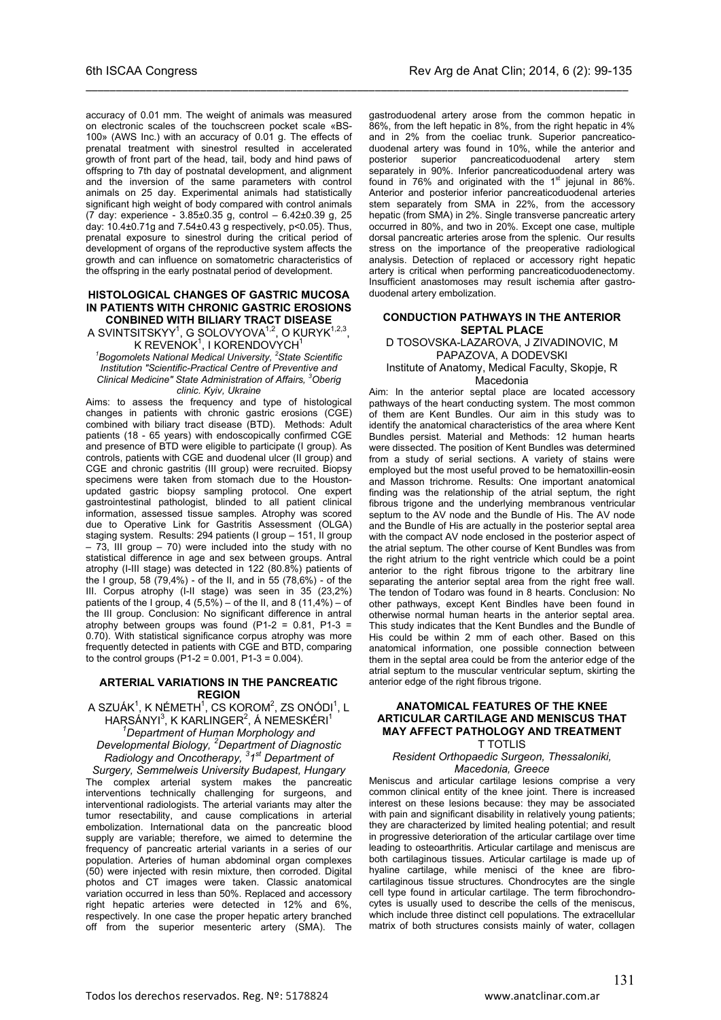accuracy of 0.01 mm. The weight of animals was measured on electronic scales of the touchscreen pocket scale «BS-100» (AWS Inc.) with an accuracy of 0.01 g. The effects of prenatal treatment with sinestrol resulted in accelerated growth of front part of the head, tail, body and hind paws of offspring to 7th day of postnatal development, and alignment and the inversion of the same parameters with control animals on 25 day. Experimental animals had statistically significant high weight of body compared with control animals (7 day: experience - 3.85±0.35 g, control – 6.42±0.39 g, 25 day: 10.4±0.71g and 7.54±0.43 g respectively, p<0.05). Thus, prenatal exposure to sinestrol during the critical period of development of organs of the reproductive system affects the growth and can influence on somatometric characteristics of the offspring in the early postnatal period of development.

\_\_\_\_\_\_\_\_\_\_\_\_\_\_\_\_\_\_\_\_\_\_\_\_\_\_\_\_\_\_\_\_\_\_\_\_\_\_\_\_\_\_\_\_\_\_\_\_\_\_\_\_\_\_\_\_\_\_\_\_\_\_\_\_\_\_\_\_\_\_\_\_\_\_\_\_\_\_\_\_\_\_\_\_\_\_\_\_\_\_

#### **HISTOLOGICAL CHANGES OF GASTRIC MUCOSA IN PATIENTS WITH CHRONIC GASTRIC EROSIONS CONBINED WITH BILIARY TRACT DISEASE**

A SVINTSITSKYY $^1$ , G SOLOVYOVA $^{1,2}$ , O KURYK $^{1,2,3}$ , K REVENOK $^1$ , I KORENDOVYCH $^1$ 

*1 Bogomolets National Medical University, <sup>2</sup> State Scientific Institution "Scientific-Practical Centre of Preventive and Clinical Medicine" State Administration of Affairs, <sup>3</sup> Oberig clinic. Kyiv, Ukraine*

Aims: to assess the frequency and type of histological changes in patients with chronic gastric erosions (CGE) combined with biliary tract disease (BTD). Methods: Adult patients (18 - 65 years) with endoscopically confirmed CGE and presence of BTD were eligible to participate (I group). As controls, patients with CGE and duodenal ulcer (II group) and CGE and chronic gastritis (III group) were recruited. Biopsy specimens were taken from stomach due to the Houstonupdated gastric biopsy sampling protocol. One expert gastrointestinal pathologist, blinded to all patient clinical information, assessed tissue samples. Atrophy was scored due to Operative Link for Gastritis Assessment (OLGA) staging system. Results: 294 patients (I group - 151, II group  $-73$ , III group  $-70$ ) were included into the study with no statistical difference in age and sex between groups. Antral atrophy (I-III stage) was detected in 122 (80.8%) patients of the I group, 58 (79,4%) - of the II, and in 55 (78,6%) - of the III. Corpus atrophy (I-II stage) was seen in 35 (23,2%) patients of the I group, 4  $(5,5\%)$  – of the II, and 8  $(11,4\%)$  – of the III group. Conclusion: No significant difference in antral atrophy between groups was found (P1-2 = 0.81, P1-3 = 0.70). With statistical significance corpus atrophy was more frequently detected in patients with CGE and BTD, comparing to the control groups ( $P1-2 = 0.001$ ,  $P1-3 = 0.004$ ).

#### **ARTERIAL VARIATIONS IN THE PANCREATIC REGION**

A SZUÁK $^1$ , K NÉMETH $^1$ , CS KOROM $^2$ , ZS ONÓDI $^1$ , L HARSÁNYI<sup>3</sup>, K KARLINGER<sup>2</sup>, Á NEMESKÉRI<sup>1</sup> *1 Department of Human Morphology and Developmental Biology, <sup>2</sup> Department of Diagnostic Radiology and Oncotherapy, <sup>3</sup> 1st Department of* 

*Surgery, Semmelweis University Budapest, Hungary* The complex arterial system makes the pancreatic interventions technically challenging for surgeons, and interventional radiologists. The arterial variants may alter the tumor resectability, and cause complications in arterial embolization. International data on the pancreatic blood supply are variable; therefore, we aimed to determine the frequency of pancreatic arterial variants in a series of our population. Arteries of human abdominal organ complexes (50) were injected with resin mixture, then corroded. Digital photos and CT images were taken. Classic anatomical variation occurred in less than 50%. Replaced and accessory right hepatic arteries were detected in 12% and 6%, respectively. In one case the proper hepatic artery branched off from the superior mesenteric artery (SMA). The

gastroduodenal artery arose from the common hepatic in 86%, from the left hepatic in 8%, from the right hepatic in 4% and in 2% from the coeliac trunk. Superior pancreaticoduodenal artery was found in 10%, while the anterior and posterior superior pancreaticoduodenal artery stem separately in 90%. Inferior pancreaticoduodenal artery was found in 76% and originated with the  $1<sup>st</sup>$  jejunal in 86%. Anterior and posterior inferior pancreaticoduodenal arteries stem separately from SMA in 22%, from the accessory hepatic (from SMA) in 2%. Single transverse pancreatic artery occurred in 80%, and two in 20%. Except one case, multiple dorsal pancreatic arteries arose from the splenic. Our results stress on the importance of the preoperative radiological analysis. Detection of replaced or accessory right hepatic artery is critical when performing pancreaticoduodenectomy. Insufficient anastomoses may result ischemia after gastroduodenal artery embolization.

#### **CONDUCTION PATHWAYS IN THE ANTERIOR SEPTAL PLACE**

D TOSOVSKA-LAZAROVA, J ZIVADINOVIC, M PAPAZOVA, A DODEVSKI Institute of Anatomy, Medical Faculty, Skopje, R

**Macedonia** 

Aim: In the anterior septal place are located accessory pathways of the heart conducting system. The most common of them are Kent Bundles. Our aim in this study was to identify the anatomical characteristics of the area where Kent Bundles persist. Material and Methods: 12 human hearts were dissected. The position of Kent Bundles was determined from a study of serial sections. A variety of stains were employed but the most useful proved to be hematoxillin-eosin and Masson trichrome. Results: One important anatomical finding was the relationship of the atrial septum, the right fibrous trigone and the underlying membranous ventricular septum to the AV node and the Bundle of His. The AV node and the Bundle of His are actually in the posterior septal area with the compact AV node enclosed in the posterior aspect of the atrial septum. The other course of Kent Bundles was from the right atrium to the right ventricle which could be a point anterior to the right fibrous trigone to the arbitrary line separating the anterior septal area from the right free wall. The tendon of Todaro was found in 8 hearts. Conclusion: No other pathways, except Kent Bindles have been found in otherwise normal human hearts in the anterior septal area. This study indicates that the Kent Bundles and the Bundle of His could be within 2 mm of each other. Based on this anatomical information, one possible connection between them in the septal area could be from the anterior edge of the atrial septum to the muscular ventricular septum, skirting the anterior edge of the right fibrous trigone.

#### **ANATOMICAL FEATURES OF THE KNEE ARTICULAR CARTILAGE AND MENISCUS THAT MAY AFFECT PATHOLOGY AND TREATMENT**

T TOTLIS

#### *Resident Orthopaedic Surgeon, Thessaloniki, Macedonia, Greece*

Meniscus and articular cartilage lesions comprise a very common clinical entity of the knee joint. There is increased interest on these lesions because: they may be associated with pain and significant disability in relatively young patients; they are characterized by limited healing potential; and result in progressive deterioration of the articular cartilage over time leading to osteoarthritis. Articular cartilage and meniscus are both cartilaginous tissues. Articular cartilage is made up of hyaline cartilage, while menisci of the knee are fibrocartilaginous tissue structures. Chondrocytes are the single cell type found in articular cartilage. The term fibrochondrocytes is usually used to describe the cells of the meniscus, which include three distinct cell populations. The extracellular matrix of both structures consists mainly of water, collagen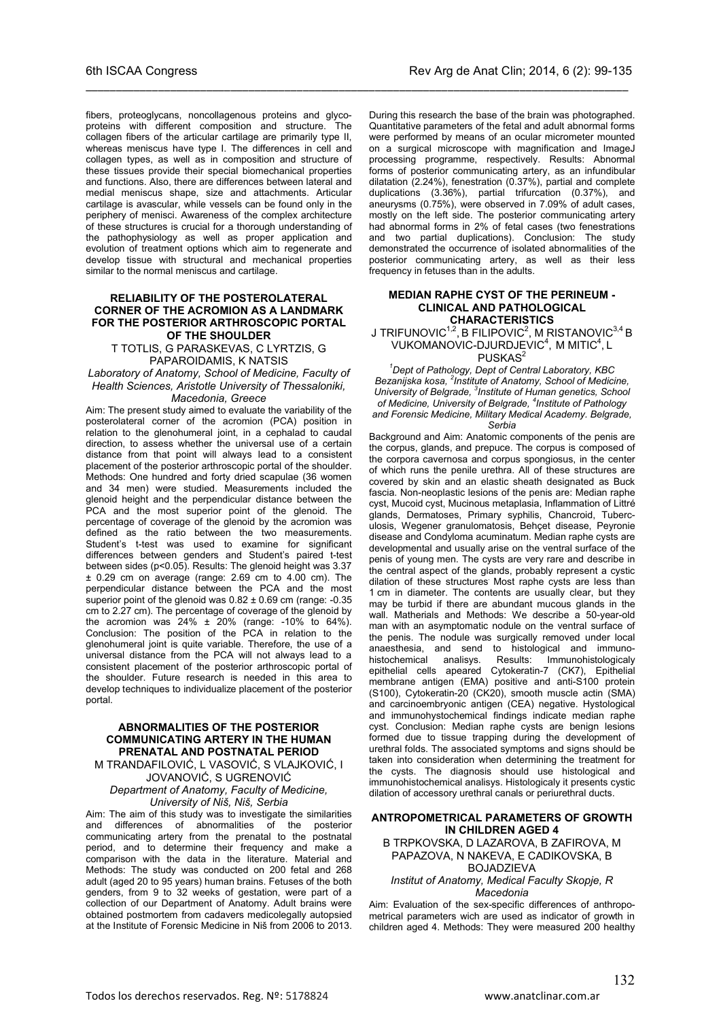fibers, proteoglycans, noncollagenous proteins and glycoproteins with different composition and structure. The collagen fibers of the articular cartilage are primarily type II, whereas meniscus have type I. The differences in cell and collagen types, as well as in composition and structure of these tissues provide their special biomechanical properties and functions. Also, there are differences between lateral and medial meniscus shape, size and attachments. Articular cartilage is avascular, while vessels can be found only in the periphery of menisci. Awareness of the complex architecture of these structures is crucial for a thorough understanding of the pathophysiology as well as proper application and evolution of treatment options which aim to regenerate and develop tissue with structural and mechanical properties similar to the normal meniscus and cartilage.

\_\_\_\_\_\_\_\_\_\_\_\_\_\_\_\_\_\_\_\_\_\_\_\_\_\_\_\_\_\_\_\_\_\_\_\_\_\_\_\_\_\_\_\_\_\_\_\_\_\_\_\_\_\_\_\_\_\_\_\_\_\_\_\_\_\_\_\_\_\_\_\_\_\_\_\_\_\_\_\_\_\_\_\_\_\_\_\_\_\_

#### **RELIABILITY OF THE POSTEROLATERAL CORNER OF THE ACROMION AS A LANDMARK FOR THE POSTERIOR ARTHROSCOPIC PORTAL OF THE SHOULDER**

T TOTLIS, G PARASKEVAS, C LYRTZIS, G PAPAROIDAMIS, K NATSIS

*Laboratory of Anatomy, School of Medicine, Faculty of Health Sciences, Aristotle University of Thessaloniki, Macedonia, Greece*

#### Aim: The present study aimed to evaluate the variability of the posterolateral corner of the acromion (PCA) position in relation to the glenohumeral joint, in a cephalad to caudal direction, to assess whether the universal use of a certain distance from that point will always lead to a consistent placement of the posterior arthroscopic portal of the shoulder. Methods: One hundred and forty dried scapulae (36 women and 34 men) were studied. Measurements included the glenoid height and the perpendicular distance between the PCA and the most superior point of the glenoid. The percentage of coverage of the glenoid by the acromion was defined as the ratio between the two measurements. Student's t-test was used to examine for significant differences between genders and Student's paired t-test between sides (p<0.05). Results: The glenoid height was 3.37  $\pm$  0.29 cm on average (range: 2.69 cm to 4.00 cm). The perpendicular distance between the PCA and the most superior point of the glenoid was  $0.82 \pm 0.69$  cm (range:  $-0.35$ ) cm to 2.27 cm). The percentage of coverage of the glenoid by the acromion was  $24\% \pm 20\%$  (range: -10% to 64%). Conclusion: The position of the PCA in relation to the glenohumeral joint is quite variable. Therefore, the use of a universal distance from the PCA will not always lead to a consistent placement of the posterior arthroscopic portal of the shoulder. Future research is needed in this area to develop techniques to individualize placement of the posterior portal.

#### **ABNORMALITIES OF THE POSTERIOR COMMUNICATING ARTERY IN THE HUMAN PRENATAL AND POSTNATAL PERIOD**

M TRANDAFILOVIĆ, L VASOVIĆ, S VLAJKOVIĆ, I JOVANOVIĆ, S UGRENOVIĆ *Department of Anatomy, Faculty of Medicine,* 

*University of Niš, Niš, Serbia*

Aim: The aim of this study was to investigate the similarities and differences of abnormalities of the posterior communicating artery from the prenatal to the postnatal period, and to determine their frequency and make a comparison with the data in the literature. Material and Methods: The study was conducted on 200 fetal and 268 adult (aged 20 to 95 years) human brains. Fetuses of the both genders, from 9 to 32 weeks of gestation, were part of a collection of our Department of Anatomy. Adult brains were obtained postmortem from cadavers medicolegally autopsied at the Institute of Forensic Medicine in Niš from 2006 to 2013.

During this research the base of the brain was photographed. Quantitative parameters of the fetal and adult abnormal forms were performed by means of an ocular micrometer mounted on a surgical microscope with magnification and ImageJ processing programme, respectively. Results: Abnormal forms of posterior communicating artery, as an infundibular dilatation (2.24%), fenestration (0.37%), partial and complete duplications (3.36%), partial trifurcation (0.37%), and aneurysms (0.75%), were observed in 7.09% of adult cases, mostly on the left side. The posterior communicating artery had abnormal forms in 2% of fetal cases (two fenestrations and two partial duplications). Conclusion: The study demonstrated the occurrence of isolated abnormalities of the posterior communicating artery, as well as their less frequency in fetuses than in the adults.

#### **MEDIAN RAPHE CYST OF THE PERINEUM - CLINICAL AND PATHOLOGICAL CHARACTERISTICS**

J TRIFUNOVIC $^{\rm 1,2}$ , B FILIPOVIC $^{\rm 2}$ , M RISTANOVIC $^{\rm 3,4}$  B VUKOMANOVIC-DJURDJEVIC<sup>4</sup>, M MITIC<sup>4</sup>, L

PUSKAS<sup>2</sup>

*1 Dept of Pathology, Dept of Central Laboratory, KBC Bezanijska kosa, <sup>2</sup> Institute of Anatomy, School of Medicine,*  University of Belgrade, <sup>3</sup>Institute of Human genetics, School *of Medicine, University of Belgrade, <sup>4</sup> Institute of Pathology and Forensic Medicine, Military Medical Academy. Belgrade,* 

*Serbia*

Background and Aim: Anatomic components of the penis are the corpus, glands, and prepuce. The corpus is composed of the corpora cavernosa and corpus spongiosus, in the center of which runs the penile urethra. All of these structures are covered by skin and an elastic sheath designated as Buck fascia. Non-neoplastic lesions of the penis are: Median raphe cyst, Mucoid cyst, Mucinous metaplasia, Inflammation of Littré glands, Dermatoses, Primary syphilis, Chancroid, Tuberculosis, Wegener granulomatosis, Behçet disease, Peyronie disease and Condyloma acuminatum. Median raphe cysts are developmental and usually arise on the ventral surface of the penis of young men. The cysts are very rare and describe in the central aspect of the glands, probably represent a cystic dilation of these structures. Most raphe cysts are less than 1 cm in diameter. The contents are usually clear, but they may be turbid if there are abundant mucous glands in the wall. Matherials and Methods: We describe a 50-year-old man with an asymptomatic nodule on the ventral surface of the penis. The nodule was surgically removed under local anaesthesia, and send to histological and immunohistochemical analisys. Results: Immunohistologicaly epithelial cells apeared Cytokeratin-7 (CK7), Epithelial membrane antigen (EMA) positive and anti-S100 protein (S100), Cytokeratin-20 (CK20), smooth muscle actin (SMA) and carcinoembryonic antigen (CEA) negative. Hystological and immunohystochemical findings indicate median raphe cyst. Conclusion: Median raphe cysts are benign lesions formed due to tissue trapping during the development of urethral folds. The associated symptoms and signs should be taken into consideration when determining the treatment for the cysts. The diagnosis should use histological and immunohistochemical analisys. Histologicaly it presents cystic dilation of accessory urethral canals or periurethral ducts.

#### **ANTROPOMETRICAL PARAMETERS OF GROWTH IN CHILDREN AGED 4**

B TRPKOVSKA, D LAZAROVA, B ZAFIROVA, M PAPAZOVA, N NAKEVA, E CADIKOVSKA, B **BOJADZIEVA** 

#### *Institut of Anatomy, Medical Faculty Skopje, R Macedonia*

Aim: Evaluation of the sex-specific differences of anthropometrical parameters wich are used as indicator of growth in children aged 4. Methods: They were measured 200 healthy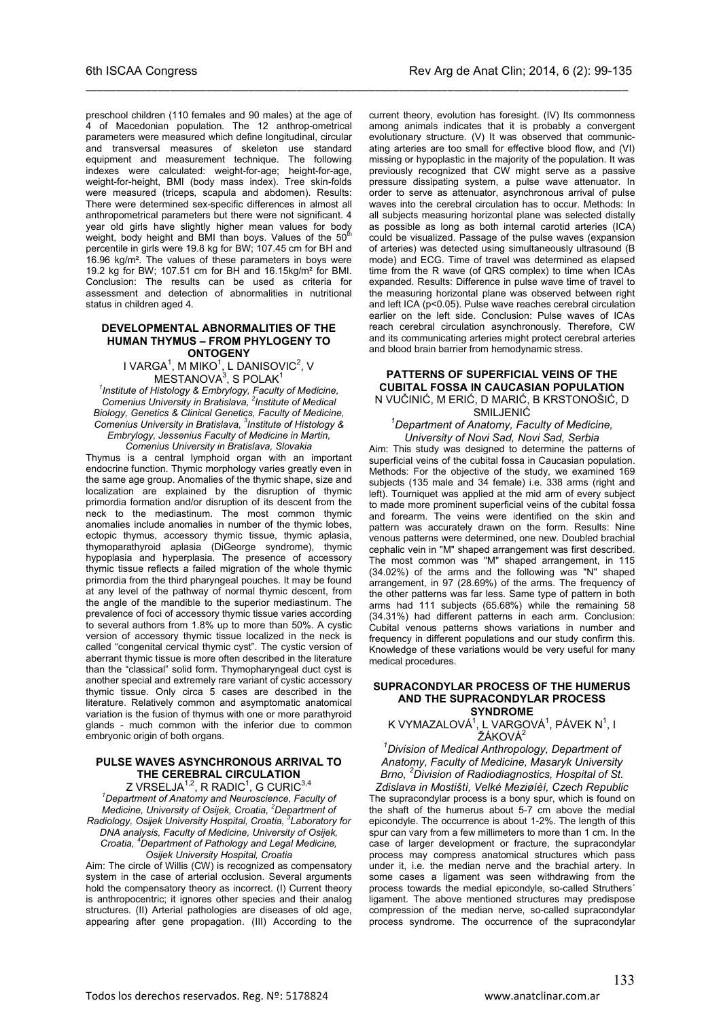preschool children (110 females and 90 males) at the age of 4 of Macedonian population. The 12 anthrop-ometrical parameters were measured which define longitudinal, circular and transversal measures of skeleton use standard equipment and measurement technique. The following indexes were calculated: weight-for-age; height-for-age, weight-for-height, BMI (body mass index). Tree skin-folds were measured (triceps, scapula and abdomen). Results: There were determined sex-specific differences in almost all anthropometrical parameters but there were not significant. 4 year old girls have slightly higher mean values for body<br>weight, body height and BMI than boys. Values of the 50<sup>th</sup> percentile in girls were 19.8 kg for BW; 107.45 cm for BH and 16.96 kg/m². The values of these parameters in boys were 19.2 kg for BW; 107.51 cm for BH and 16.15kg/m² for BMI. Conclusion: The results can be used as criteria for assessment and detection of abnormalities in nutritional status in children aged 4.

\_\_\_\_\_\_\_\_\_\_\_\_\_\_\_\_\_\_\_\_\_\_\_\_\_\_\_\_\_\_\_\_\_\_\_\_\_\_\_\_\_\_\_\_\_\_\_\_\_\_\_\_\_\_\_\_\_\_\_\_\_\_\_\_\_\_\_\_\_\_\_\_\_\_\_\_\_\_\_\_\_\_\_\_\_\_\_\_\_\_

#### **DEVELOPMENTAL ABNORMALITIES OF THE HUMAN THYMUS – FROM PHYLOGENY TO ONTOGENY**

I VARGA $1$ , M MIKO $1$ , L DANISOVIC $2$ , V  $MESTANOVA<sup>3</sup>$ , S POLAK $<sup>1</sup>$ </sup>

*1 Institute of Histology & Embrylogy, Faculty of Medicine, Comenius University in Bratislava, 2 Institute of Medical Biology, Genetics & Clinical Genetics, Faculty of Medicine, Comenius University in Bratislava, 3 Institute of Histology & Embrylogy, Jessenius Faculty of Medicine in Martin, Comenius University in Bratislava, Slovakia*

Thymus is a central lymphoid organ with an important endocrine function. Thymic morphology varies greatly even in the same age group. Anomalies of the thymic shape, size and localization are explained by the disruption of thymic primordia formation and/or disruption of its descent from the neck to the mediastinum. The most common thymic anomalies include anomalies in number of the thymic lobes, ectopic thymus, accessory thymic tissue, thymic aplasia, thymoparathyroid aplasia (DiGeorge syndrome), thymic hypoplasia and hyperplasia. The presence of accessory thymic tissue reflects a failed migration of the whole thymic primordia from the third pharyngeal pouches. It may be found at any level of the pathway of normal thymic descent, from the angle of the mandible to the superior mediastinum. The prevalence of foci of accessory thymic tissue varies according to several authors from 1.8% up to more than 50%. A cystic version of accessory thymic tissue localized in the neck is called "congenital cervical thymic cyst". The cystic version of aberrant thymic tissue is more often described in the literature than the "classical" solid form. Thymopharyngeal duct cyst is another special and extremely rare variant of cystic accessory thymic tissue. Only circa 5 cases are described in the literature. Relatively common and asymptomatic anatomical variation is the fusion of thymus with one or more parathyroid glands - much common with the inferior due to common embryonic origin of both organs.

#### **PULSE WAVES ASYNCHRONOUS ARRIVAL TO THE CEREBRAL CIRCULATION**

Z VRSELJA $^{\rm 1,2}$ , R RADIC $^{\rm 1}$ , G CURIC $^{\rm 3,4}$ *1 Department of Anatomy and Neuroscience, Faculty of Medicine, University of Osijek, Croatia, 2 Department of Radiology, Osijek University Hospital, Croatia, 3 Laboratory for DNA analysis, Faculty of Medicine, University of Osijek, Croatia, 4 Department of Pathology and Legal Medicine, Osijek University Hospital, Croatia*

Aim: The circle of Willis (CW) is recognized as compensatory system in the case of arterial occlusion. Several arguments hold the compensatory theory as incorrect. (I) Current theory is anthropocentric; it ignores other species and their analog structures. (II) Arterial pathologies are diseases of old age, appearing after gene propagation. (III) According to the current theory, evolution has foresight. (IV) Its commonness among animals indicates that it is probably a convergent evolutionary structure. (V) It was observed that communicating arteries are too small for effective blood flow, and (VI) missing or hypoplastic in the majority of the population. It was previously recognized that CW might serve as a passive pressure dissipating system, a pulse wave attenuator. In order to serve as attenuator, asynchronous arrival of pulse waves into the cerebral circulation has to occur. Methods: In all subjects measuring horizontal plane was selected distally as possible as long as both internal carotid arteries (ICA) could be visualized. Passage of the pulse waves (expansion of arteries) was detected using simultaneously ultrasound (B mode) and ECG. Time of travel was determined as elapsed time from the R wave (of QRS complex) to time when ICAs expanded. Results: Difference in pulse wave time of travel to the measuring horizontal plane was observed between right and left ICA (p<0.05). Pulse wave reaches cerebral circulation earlier on the left side. Conclusion: Pulse waves of ICAs reach cerebral circulation asynchronously. Therefore, CW and its communicating arteries might protect cerebral arteries and blood brain barrier from hemodynamic stress.

### **PATTERNS OF SUPERFICIAL VEINS OF THE CUBITAL FOSSA IN CAUCASIAN POPULATION** N VUČINIĆ, M ERIĆ, D MARIĆ, B KRSTONOŠIĆ, D

SMILJENI<sup>Ć</sup> *<sup>1</sup> Department of Anatomy, Faculty of Medicine, University of Novi Sad, Novi Sad, Serbia*

Aim: This study was designed to determine the patterns of superficial veins of the cubital fossa in Caucasian population. Methods: For the objective of the study, we examined 169 subjects (135 male and 34 female) i.e. 338 arms (right and left). Tourniquet was applied at the mid arm of every subject to made more prominent superficial veins of the cubital fossa and forearm. The veins were identified on the skin and pattern was accurately drawn on the form. Results: Nine venous patterns were determined, one new. Doubled brachial cephalic vein in "M" shaped arrangement was first described. The most common was "M" shaped arrangement, in 115 (34.02%) of the arms and the following was "N" shaped arrangement, in 97 (28.69%) of the arms. The frequency of the other patterns was far less. Same type of pattern in both arms had 111 subjects (65.68%) while the remaining 58 (34.31%) had different patterns in each arm. Conclusion: Cubital venous patterns shows variations in number and frequency in different populations and our study confirm this. Knowledge of these variations would be very useful for many medical procedures.

#### **SUPRACONDYLAR PROCESS OF THE HUMERUS AND THE SUPRACONDYLAR PROCESS SYNDROME**

K VYMAZALOVÁ $^1$ , L VARGOVÁ $^1$ , PÁVEK N $^1$ , I  $\check{\mathsf{Z}}$ ÁKOVÁ $^2$ 

*1 Division of Medical Anthropology, Department of Anatomy, Faculty of Medicine, Masaryk University Brno, <sup>2</sup> Division of Radiodiagnostics, Hospital of St.* 

*Zdislava in Mostištì, Velké Meziøíèí, Czech Republic* The supracondylar process is a bony spur, which is found on the shaft of the humerus about 5-7 cm above the medial epicondyle. The occurrence is about 1-2%. The length of this spur can vary from a few millimeters to more than 1 cm. In the case of larger development or fracture, the supracondylar process may compress anatomical structures which pass under it, i.e. the median nerve and the brachial artery. In some cases a ligament was seen withdrawing from the process towards the medial epicondyle, so-called Struthers´ ligament. The above mentioned structures may predispose compression of the median nerve, so-called supracondylar process syndrome. The occurrence of the supracondylar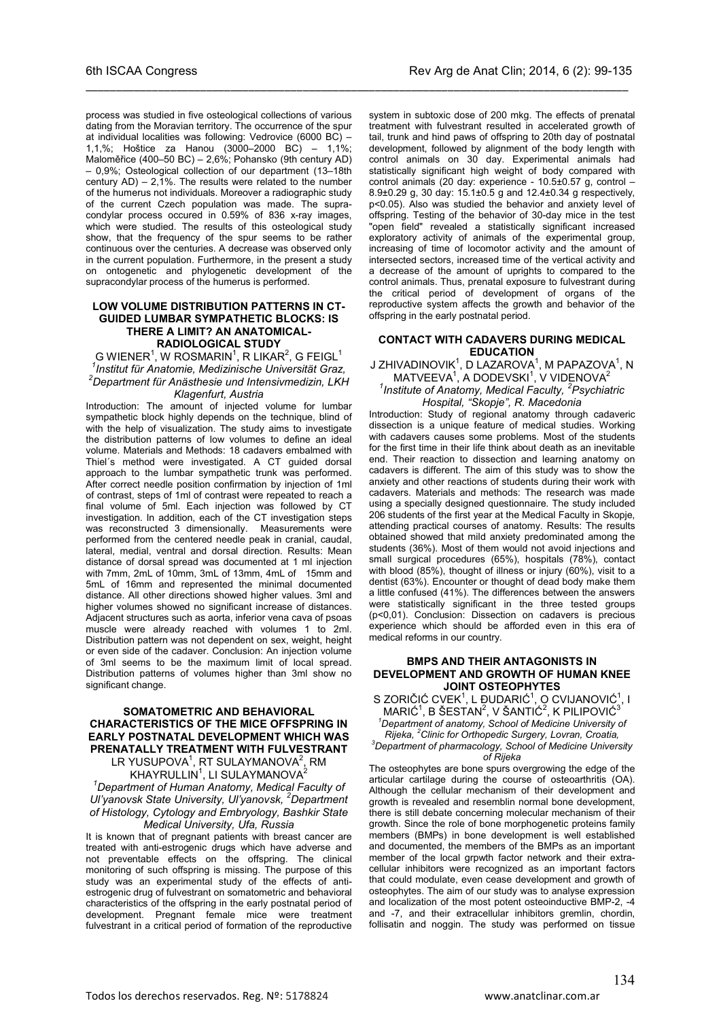\_\_\_\_\_\_\_\_\_\_\_\_\_\_\_\_\_\_\_\_\_\_\_\_\_\_\_\_\_\_\_\_\_\_\_\_\_\_\_\_\_\_\_\_\_\_\_\_\_\_\_\_\_\_\_\_\_\_\_\_\_\_\_\_\_\_\_\_\_\_\_\_\_\_\_\_\_\_\_\_\_\_\_\_\_\_\_\_\_\_

– 0,9%; Osteological collection of our department (13–18th century  $AD$ ) – 2,1%. The results were related to the number of the humerus not individuals. Moreover a radiographic study of the current Czech population was made. The supracondylar process occured in 0.59% of 836 x-ray images, which were studied. The results of this osteological study show, that the frequency of the spur seems to be rather continuous over the centuries. A decrease was observed only in the current population. Furthermore, in the present a study on ontogenetic and phylogenetic development of the supracondylar process of the humerus is performed.

#### **LOW VOLUME DISTRIBUTION PATTERNS IN CT-GUIDED LUMBAR SYMPATHETIC BLOCKS: IS THERE A LIMIT? AN ANATOMICAL-RADIOLOGICAL STUDY**

G WIENER $^1$ , W ROSMARIN $^1$ , R LIKAR $^2$ , G FEIGL $^1$ *1 Institut für Anatomie, Medizinische Universität Graz, <sup>2</sup> Department für Anästhesie und Intensivmedizin, LKH Klagenfurt, Austria*

Introduction: The amount of injected volume for lumbar sympathetic block highly depends on the technique, blind of with the help of visualization. The study aims to investigate the distribution patterns of low volumes to define an ideal volume. Materials and Methods: 18 cadavers embalmed with Thiel´s method were investigated. A CT guided dorsal approach to the lumbar sympathetic trunk was performed. After correct needle position confirmation by injection of 1ml of contrast, steps of 1ml of contrast were repeated to reach a final volume of 5ml. Each injection was followed by CT investigation. In addition, each of the CT investigation steps was reconstructed 3 dimensionally. Measurements were performed from the centered needle peak in cranial, caudal, lateral, medial, ventral and dorsal direction. Results: Mean distance of dorsal spread was documented at 1 ml injection with 7mm, 2mL of 10mm, 3mL of 13mm, 4mL of 15mm and 5mL of 16mm and represented the minimal documented distance. All other directions showed higher values. 3ml and higher volumes showed no significant increase of distances. Adjacent structures such as aorta, inferior vena cava of psoas muscle were already reached with volumes 1 to 2ml. Distribution pattern was not dependent on sex, weight, height or even side of the cadaver. Conclusion: An injection volume of 3ml seems to be the maximum limit of local spread. Distribution patterns of volumes higher than 3ml show no significant change.

### **SOMATOMETRIC AND BEHAVIORAL CHARACTERISTICS OF THE MICE OFFSPRING IN EARLY POSTNATAL DEVELOPMENT WHICH WAS PRENATALLY TREATMENT WITH FULVESTRANT**

LR YUSUPOVA $^{\rm 1}$ , RT SULAYMANOVA $^{\rm 2}$ , RM KHAYRULLIN $^1$ , LI SULAYMANOVA $^2$ 

*1 Department of Human Anatomy, Medical Faculty of Ul'yanovsk State University, Ul'yanovsk, <sup>2</sup> Department of Histology, Cytology and Embryology, Bashkir State Medical University, Ufa, Russia*

It is known that of pregnant patients with breast cancer are treated with anti-estrogenic drugs which have adverse and not preventable effects on the offspring. The clinical monitoring of such offspring is missing. The purpose of this study was an experimental study of the effects of antiestrogenic drug of fulvestrant on somatometric and behavioral characteristics of the offspring in the early postnatal period of development. Pregnant female mice were treatment fulvestrant in a critical period of formation of the reproductive

system in subtoxic dose of 200 mkg. The effects of prenatal treatment with fulvestrant resulted in accelerated growth of tail, trunk and hind paws of offspring to 20th day of postnatal development, followed by alignment of the body length with control animals on 30 day. Experimental animals had statistically significant high weight of body compared with control animals (20 day: experience - 10.5±0.57 g, control – 8.9±0.29 g, 30 day: 15.1±0.5 g and 12.4±0.34 g respectively, p<0.05). Also was studied the behavior and anxiety level of offspring. Testing of the behavior of 30-day mice in the test "open field" revealed a statistically significant increased exploratory activity of animals of the experimental group, increasing of time of locomotor activity and the amount of intersected sectors, increased time of the vertical activity and a decrease of the amount of uprights to compared to the control animals. Thus, prenatal exposure to fulvestrant during the critical period of development of organs of the reproductive system affects the growth and behavior of the offspring in the early postnatal period.

#### **CONTACT WITH CADAVERS DURING MEDICAL EDUCATION**

J ZHIVADINOVIK $1$ , D LAZAROVA $1$ , M PAPAZOVA $1$ , N MATVEEVA<sup>1</sup>, A DODEVSKI<sup>1</sup>, V VIDENOVA<sup>2</sup> *1 Institute of Anatomy, Medical Faculty, <sup>2</sup> Psychiatric* 

*Hospital, "Skopje", R. Macedonia*

Introduction: Study of regional anatomy through cadaveric dissection is a unique feature of medical studies. Working with cadavers causes some problems. Most of the students for the first time in their life think about death as an inevitable end. Their reaction to dissection and learning anatomy on cadavers is different. The aim of this study was to show the anxiety and other reactions of students during their work with cadavers. Materials and methods: The research was made using a specially designed questionnaire. The study included 206 students of the first year at the Medical Faculty in Skopje, attending practical courses of anatomy. Results: The results obtained showed that mild anxiety predominated among the students (36%). Most of them would not avoid injections and small surgical procedures (65%), hospitals (78%), contact with blood (85%), thought of illness or injury (60%), visit to a dentist (63%). Encounter or thought of dead body make them a little confused (41%). The differences between the answers were statistically significant in the three tested groups (p<0,01). Conclusion: Dissection on cadavers is precious experience which should be afforded even in this era of medical reforms in our country.

#### **BMPS AND THEIR ANTAGONISTS IN DEVELOPMENT AND GROWTH OF HUMAN KNEE JOINT OSTEOPHYTES**

S ZORIČIĆ CVEK<sup>1</sup>, L ĐUDARIĆ<sup>1</sup>, O CVIJANOVIĆ<sup>1</sup>, I MARIĆ<sup>1</sup>, B ŠESTAN<sup>2</sup>, V ŠANTIĆ<sup>2</sup>, K PILIPOVIĆ<sup>3</sup>

*1 Department of anatomy, School of Medicine University of Rijeka, 2 Clinic for Orthopedic Surgery, Lovran, Croatia, 3*

*Department of pharmacology, School of Medicine University of Rijeka*

The osteophytes are bone spurs overgrowing the edge of the articular cartilage during the course of osteoarthritis (OA). Although the cellular mechanism of their development and growth is revealed and resemblin normal bone development, there is still debate concerning molecular mechanism of their growth. Since the role of bone morphogenetic proteins family members (BMPs) in bone development is well established and documented, the members of the BMPs as an important member of the local grpwth factor network and their extracellular inhibitors were recognized as an important factors that could modulate, even cease development and growth of osteophytes. The aim of our study was to analyse expression and localization of the most potent osteoinductive BMP-2, -4 and -7, and their extracellular inhibitors gremlin, chordin, follisatin and noggin. The study was performed on tissue